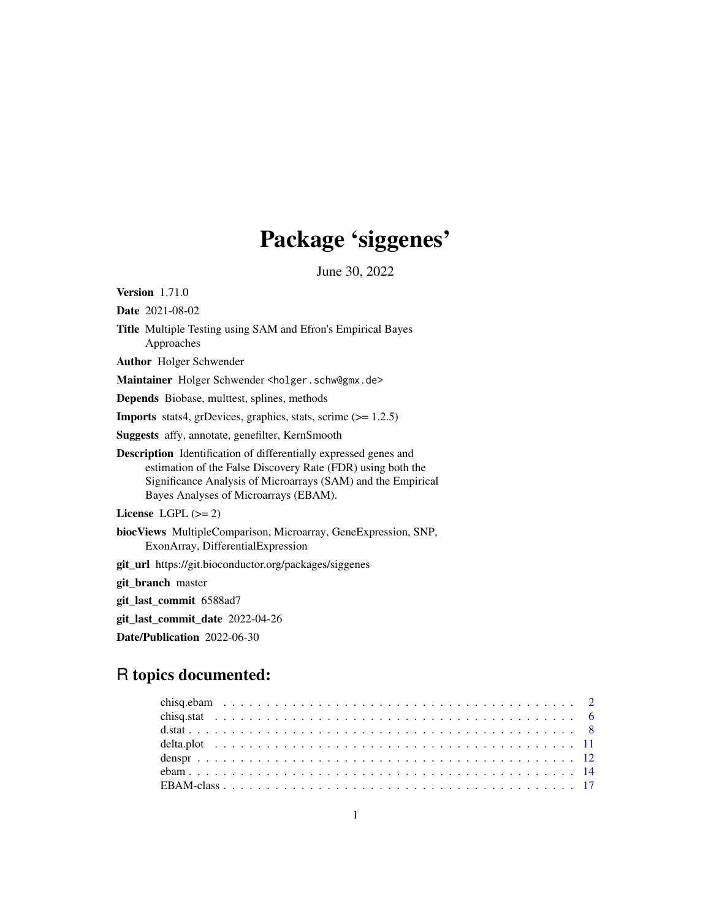# Package 'siggenes'

June 30, 2022

<span id="page-0-0"></span>Version 1.71.0

Date 2021-08-02

Title Multiple Testing using SAM and Efron's Empirical Bayes Approaches

Author Holger Schwender

Maintainer Holger Schwender <holger.schw@gmx.de>

Depends Biobase, multtest, splines, methods

**Imports** stats4, grDevices, graphics, stats, scrime  $(>= 1.2.5)$ 

Suggests affy, annotate, genefilter, KernSmooth

Description Identification of differentially expressed genes and estimation of the False Discovery Rate (FDR) using both the Significance Analysis of Microarrays (SAM) and the Empirical Bayes Analyses of Microarrays (EBAM).

License LGPL  $(>= 2)$ 

biocViews MultipleComparison, Microarray, GeneExpression, SNP, ExonArray, DifferentialExpression

git\_url https://git.bioconductor.org/packages/siggenes

git\_branch master

git\_last\_commit 6588ad7

git\_last\_commit\_date 2022-04-26

Date/Publication 2022-06-30

## R topics documented: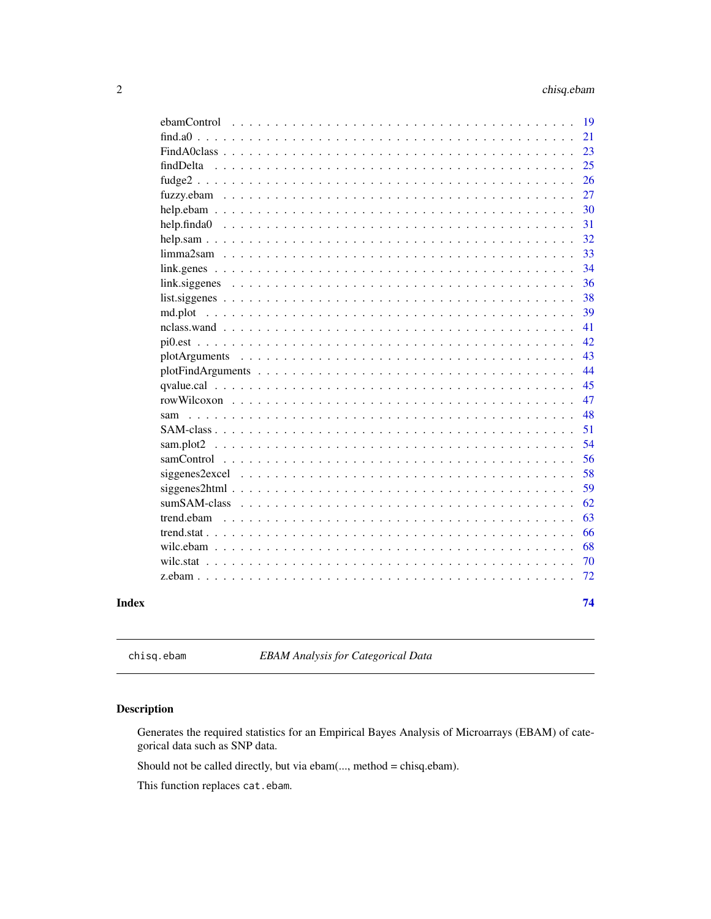<span id="page-1-0"></span>

| Index |            | 74       |
|-------|------------|----------|
|       |            | 72       |
|       |            | 70       |
|       |            | 68       |
|       |            | 66       |
|       | trend.ebam | 63       |
|       |            | 62       |
|       |            | 59       |
|       |            | 58       |
|       |            | 56       |
|       |            | 54       |
|       |            | 51       |
|       | sam        | 48       |
|       |            | 47       |
|       |            | 45       |
|       |            | 44       |
|       |            | 43       |
|       |            | 42       |
|       |            | 41       |
|       |            | 39       |
|       |            | 38       |
|       |            | 36       |
|       |            | 34       |
|       |            | 33       |
|       |            | 32       |
|       |            | 31       |
|       |            | 30       |
|       |            | 27       |
|       |            | 26       |
|       |            | 23<br>25 |
|       |            | 21       |
|       |            | 19       |
|       |            |          |

<span id="page-1-1"></span>chisq.ebam *EBAM Analysis for Categorical Data*

## <span id="page-1-2"></span>Description

Generates the required statistics for an Empirical Bayes Analysis of Microarrays (EBAM) of categorical data such as SNP data.

Should not be called directly, but via ebam(..., method = chisq.ebam).

This function replaces cat.ebam.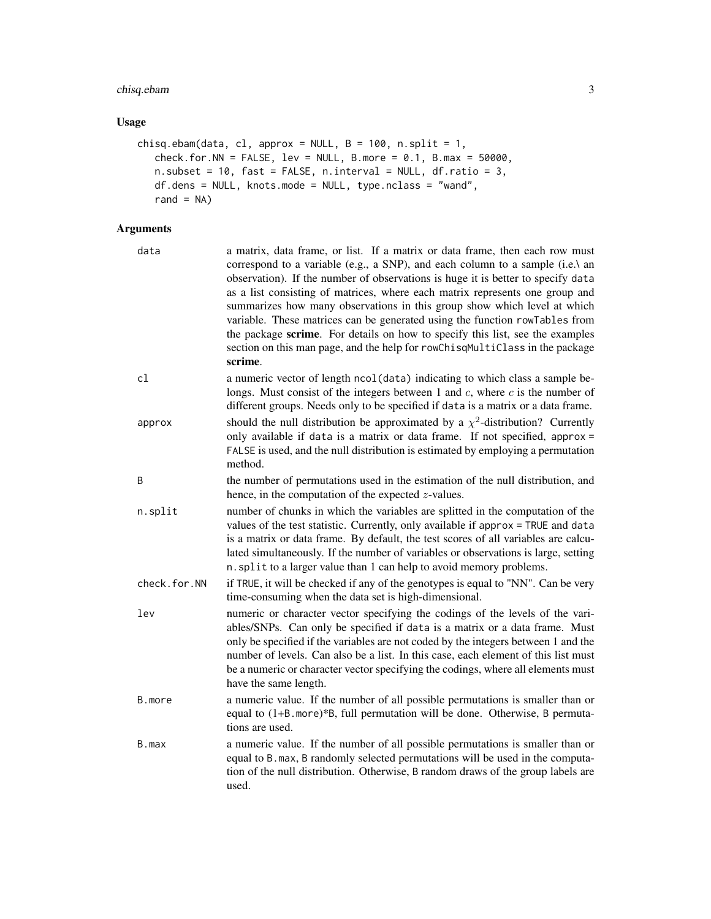## chisq.ebam 3

## Usage

```
chisq.ebam(data, cl, approx = NULL, B = 100, n.split = 1,
  check.for.NN = FALSE, lev = NULL, B.more = 0.1, B.max = 50000,
  n.subset = 10, fast = FALSE, n.interval = NULL, df.ratio = 3,
   df.dens = NULL, knots.mode = NULL, type.nclass = "wand",
   rand = NA)
```

| data         | a matrix, data frame, or list. If a matrix or data frame, then each row must<br>correspond to a variable (e.g., a SNP), and each column to a sample (i.e.\ an<br>observation). If the number of observations is huge it is better to specify data<br>as a list consisting of matrices, where each matrix represents one group and<br>summarizes how many observations in this group show which level at which<br>variable. These matrices can be generated using the function rowTables from<br>the package scrime. For details on how to specify this list, see the examples<br>section on this man page, and the help for rowChisqMultiClass in the package<br>scrime. |
|--------------|--------------------------------------------------------------------------------------------------------------------------------------------------------------------------------------------------------------------------------------------------------------------------------------------------------------------------------------------------------------------------------------------------------------------------------------------------------------------------------------------------------------------------------------------------------------------------------------------------------------------------------------------------------------------------|
| cl           | a numeric vector of length ncol (data) indicating to which class a sample be-<br>longs. Must consist of the integers between 1 and $c$ , where $c$ is the number of<br>different groups. Needs only to be specified if data is a matrix or a data frame.                                                                                                                                                                                                                                                                                                                                                                                                                 |
| approx       | should the null distribution be approximated by a $\chi^2$ -distribution? Currently<br>only available if data is a matrix or data frame. If not specified, approx =<br>FALSE is used, and the null distribution is estimated by employing a permutation<br>method.                                                                                                                                                                                                                                                                                                                                                                                                       |
| B            | the number of permutations used in the estimation of the null distribution, and<br>hence, in the computation of the expected $z$ -values.                                                                                                                                                                                                                                                                                                                                                                                                                                                                                                                                |
| n.split      | number of chunks in which the variables are splitted in the computation of the<br>values of the test statistic. Currently, only available if approx = TRUE and data<br>is a matrix or data frame. By default, the test scores of all variables are calcu-<br>lated simultaneously. If the number of variables or observations is large, setting<br>n. split to a larger value than 1 can help to avoid memory problems.                                                                                                                                                                                                                                                  |
| check.for.NN | if TRUE, it will be checked if any of the genotypes is equal to "NN". Can be very<br>time-consuming when the data set is high-dimensional.                                                                                                                                                                                                                                                                                                                                                                                                                                                                                                                               |
| lev          | numeric or character vector specifying the codings of the levels of the vari-<br>ables/SNPs. Can only be specified if data is a matrix or a data frame. Must<br>only be specified if the variables are not coded by the integers between 1 and the<br>number of levels. Can also be a list. In this case, each element of this list must<br>be a numeric or character vector specifying the codings, where all elements must<br>have the same length.                                                                                                                                                                                                                    |
| B.more       | a numeric value. If the number of all possible permutations is smaller than or<br>equal to (1+B. more)*B, full permutation will be done. Otherwise, B permuta-<br>tions are used.                                                                                                                                                                                                                                                                                                                                                                                                                                                                                        |
| B.max        | a numeric value. If the number of all possible permutations is smaller than or<br>equal to B. max, B randomly selected permutations will be used in the computa-<br>tion of the null distribution. Otherwise, B random draws of the group labels are<br>used.                                                                                                                                                                                                                                                                                                                                                                                                            |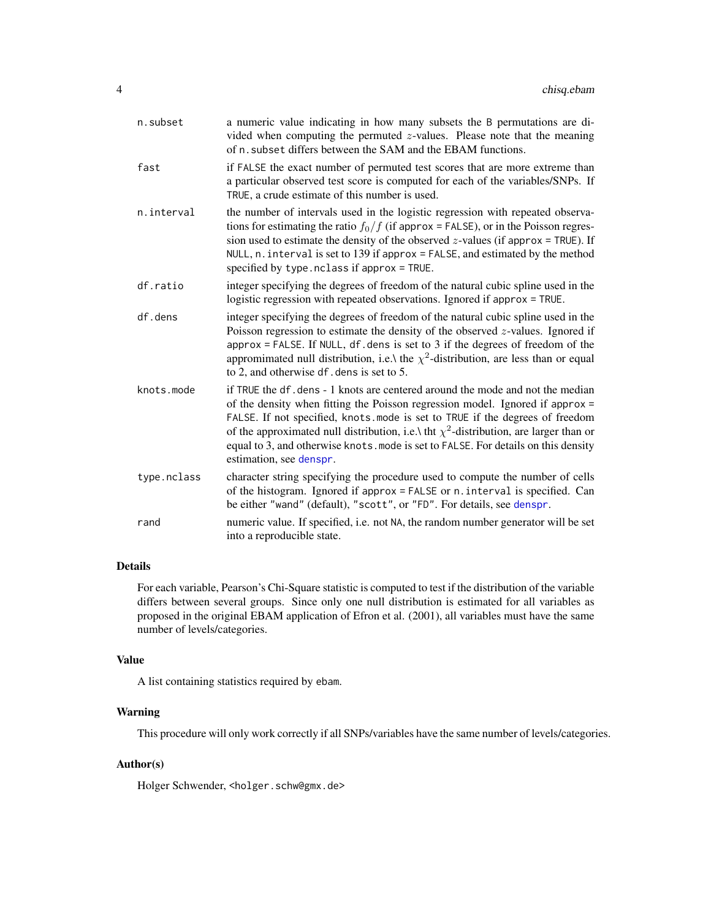| n.subset    | a numeric value indicating in how many subsets the B permutations are di-<br>vided when computing the permuted $z$ -values. Please note that the meaning<br>of n. subset differs between the SAM and the EBAM functions.                                                                                                                                                                                                                                        |
|-------------|-----------------------------------------------------------------------------------------------------------------------------------------------------------------------------------------------------------------------------------------------------------------------------------------------------------------------------------------------------------------------------------------------------------------------------------------------------------------|
| fast        | if FALSE the exact number of permuted test scores that are more extreme than<br>a particular observed test score is computed for each of the variables/SNPs. If<br>TRUE, a crude estimate of this number is used.                                                                                                                                                                                                                                               |
| n.interval  | the number of intervals used in the logistic regression with repeated observa-<br>tions for estimating the ratio $f_0/f$ (if approx = FALSE), or in the Poisson regres-<br>sion used to estimate the density of the observed $z$ -values (if approx = TRUE). If<br>NULL, $n$ . interval is set to 139 if approx = FALSE, and estimated by the method<br>specified by type. nclass if approx = TRUE.                                                             |
| df.ratio    | integer specifying the degrees of freedom of the natural cubic spline used in the<br>logistic regression with repeated observations. Ignored if approx = TRUE.                                                                                                                                                                                                                                                                                                  |
| df.dens     | integer specifying the degrees of freedom of the natural cubic spline used in the<br>Poisson regression to estimate the density of the observed $z$ -values. Ignored if<br>$approx = FALSE$ . If NULL, df. dens is set to 3 if the degrees of freedom of the<br>appromimated null distribution, i.e. the $\chi^2$ -distribution, are less than or equal<br>to 2, and otherwise df. dens is set to 5.                                                            |
| knots.mode  | if TRUE the df. dens - 1 knots are centered around the mode and not the median<br>of the density when fitting the Poisson regression model. Ignored if approx =<br>FALSE. If not specified, knots mode is set to TRUE if the degrees of freedom<br>of the approximated null distribution, i.e.\ tht $\chi^2$ -distribution, are larger than or<br>equal to 3, and otherwise knots. mode is set to FALSE. For details on this density<br>estimation, see denspr. |
| type.nclass | character string specifying the procedure used to compute the number of cells<br>of the histogram. Ignored if approx = FALSE or n. interval is specified. Can<br>be either "wand" (default), "scott", or "FD". For details, see denspr.                                                                                                                                                                                                                         |
| rand        | numeric value. If specified, i.e. not NA, the random number generator will be set<br>into a reproducible state.                                                                                                                                                                                                                                                                                                                                                 |

#### Details

For each variable, Pearson's Chi-Square statistic is computed to test if the distribution of the variable differs between several groups. Since only one null distribution is estimated for all variables as proposed in the original EBAM application of Efron et al. (2001), all variables must have the same number of levels/categories.

#### Value

A list containing statistics required by ebam.

## Warning

This procedure will only work correctly if all SNPs/variables have the same number of levels/categories.

## Author(s)

Holger Schwender, <holger.schw@gmx.de>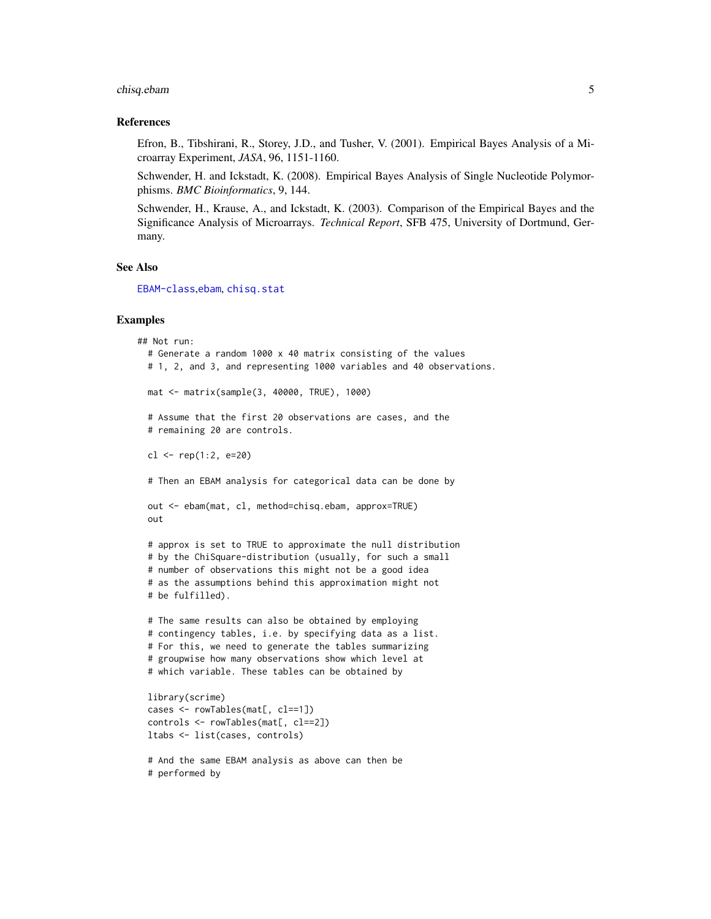## chisq.ebam 5

#### References

Efron, B., Tibshirani, R., Storey, J.D., and Tusher, V. (2001). Empirical Bayes Analysis of a Microarray Experiment, *JASA*, 96, 1151-1160.

Schwender, H. and Ickstadt, K. (2008). Empirical Bayes Analysis of Single Nucleotide Polymorphisms. *BMC Bioinformatics*, 9, 144.

Schwender, H., Krause, A., and Ickstadt, K. (2003). Comparison of the Empirical Bayes and the Significance Analysis of Microarrays. *Technical Report*, SFB 475, University of Dortmund, Germany.

## See Also

[EBAM-class](#page-16-1),[ebam](#page-13-1), [chisq.stat](#page-5-1)

#### Examples

```
## Not run:
 # Generate a random 1000 x 40 matrix consisting of the values
 # 1, 2, and 3, and representing 1000 variables and 40 observations.
 mat <- matrix(sample(3, 40000, TRUE), 1000)
 # Assume that the first 20 observations are cases, and the
 # remaining 20 are controls.
 cl <- rep(1:2, e=20)# Then an EBAM analysis for categorical data can be done by
 out <- ebam(mat, cl, method=chisq.ebam, approx=TRUE)
 out
 # approx is set to TRUE to approximate the null distribution
 # by the ChiSquare-distribution (usually, for such a small
 # number of observations this might not be a good idea
 # as the assumptions behind this approximation might not
 # be fulfilled).
 # The same results can also be obtained by employing
 # contingency tables, i.e. by specifying data as a list.
 # For this, we need to generate the tables summarizing
 # groupwise how many observations show which level at
 # which variable. These tables can be obtained by
 library(scrime)
 cases <- rowTables(mat[, cl==1])
 controls <- rowTables(mat[, cl==2])
 ltabs <- list(cases, controls)
```
# And the same EBAM analysis as above can then be # performed by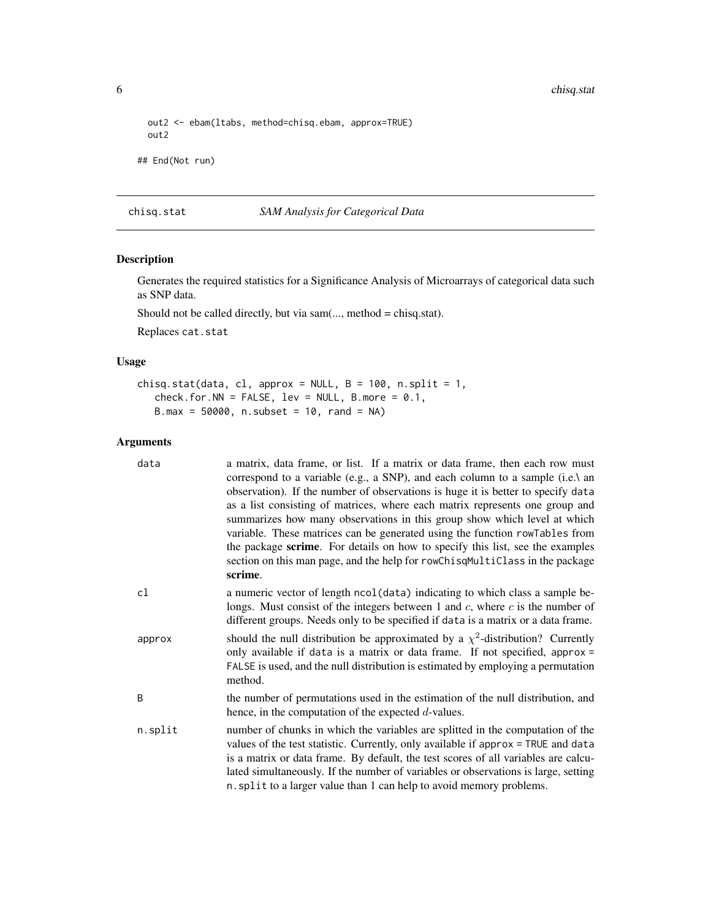6 chisq.stat chisq.stat chisq.stat chisq.stat chisq.stat chisq.stat chisq.stat chisq.stat chisq.stat chisq.stat chisq.stat chisq.stat chisq.stat chisq.stat chisq.stat chisq.stat chisq.stat chisq.stat chisq.stat chisq.stat

```
out2 <- ebam(ltabs, method=chisq.ebam, approx=TRUE)
 out2
## End(Not run)
```
<span id="page-5-1"></span>chisq.stat *SAM Analysis for Categorical Data*

## Description

Generates the required statistics for a Significance Analysis of Microarrays of categorical data such as SNP data.

Should not be called directly, but via sam(..., method = chisq.stat).

Replaces cat.stat

#### Usage

```
chisq.stat(data, cl, approx = NULL, B = 100, n.split = 1,
   check.for.NN = FALSE, lev = NULL, B.more = 0.1,
   B.max = 50000, n.subset = 10, rand = NA)
```

| data    | a matrix, data frame, or list. If a matrix or data frame, then each row must<br>correspond to a variable (e.g., a SNP), and each column to a sample (i.e.) an<br>observation). If the number of observations is huge it is better to specify data<br>as a list consisting of matrices, where each matrix represents one group and<br>summarizes how many observations in this group show which level at which<br>variable. These matrices can be generated using the function rowTables from<br>the package scrime. For details on how to specify this list, see the examples<br>section on this man page, and the help for rowChisqMultiClass in the package<br>scrime. |
|---------|--------------------------------------------------------------------------------------------------------------------------------------------------------------------------------------------------------------------------------------------------------------------------------------------------------------------------------------------------------------------------------------------------------------------------------------------------------------------------------------------------------------------------------------------------------------------------------------------------------------------------------------------------------------------------|
| cl      | a numeric vector of length ncol (data) indicating to which class a sample be-<br>longs. Must consist of the integers between 1 and $c$ , where $c$ is the number of<br>different groups. Needs only to be specified if data is a matrix or a data frame.                                                                                                                                                                                                                                                                                                                                                                                                                 |
| approx  | should the null distribution be approximated by a $\chi^2$ -distribution? Currently<br>only available if data is a matrix or data frame. If not specified, approx =<br>FALSE is used, and the null distribution is estimated by employing a permutation<br>method.                                                                                                                                                                                                                                                                                                                                                                                                       |
| B       | the number of permutations used in the estimation of the null distribution, and<br>hence, in the computation of the expected $d$ -values.                                                                                                                                                                                                                                                                                                                                                                                                                                                                                                                                |
| n.split | number of chunks in which the variables are splitted in the computation of the<br>values of the test statistic. Currently, only available if approx = TRUE and data<br>is a matrix or data frame. By default, the test scores of all variables are calcu-<br>lated simultaneously. If the number of variables or observations is large, setting<br>n. split to a larger value than 1 can help to avoid memory problems.                                                                                                                                                                                                                                                  |

<span id="page-5-0"></span>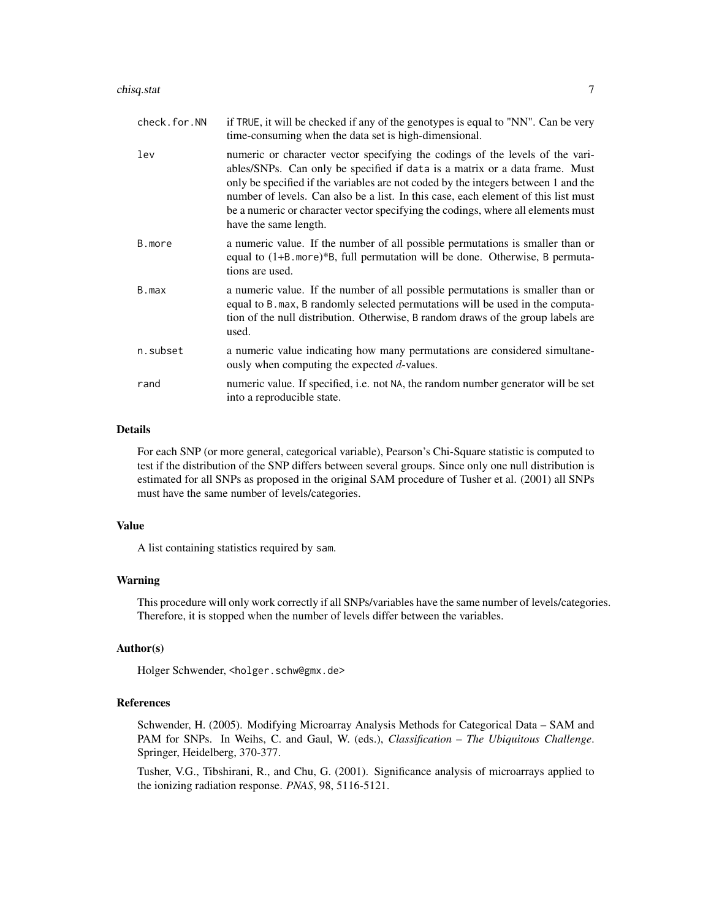| check.for.NN | if TRUE, it will be checked if any of the genotypes is equal to "NN". Can be very<br>time-consuming when the data set is high-dimensional.                                                                                                                                                                                                                                                                                                            |
|--------------|-------------------------------------------------------------------------------------------------------------------------------------------------------------------------------------------------------------------------------------------------------------------------------------------------------------------------------------------------------------------------------------------------------------------------------------------------------|
| lev          | numeric or character vector specifying the codings of the levels of the vari-<br>ables/SNPs. Can only be specified if data is a matrix or a data frame. Must<br>only be specified if the variables are not coded by the integers between 1 and the<br>number of levels. Can also be a list. In this case, each element of this list must<br>be a numeric or character vector specifying the codings, where all elements must<br>have the same length. |
| B.more       | a numeric value. If the number of all possible permutations is smaller than or<br>equal to (1+B. more)*B, full permutation will be done. Otherwise, B permuta-<br>tions are used.                                                                                                                                                                                                                                                                     |
| B.max        | a numeric value. If the number of all possible permutations is smaller than or<br>equal to B. max, B randomly selected permutations will be used in the computa-<br>tion of the null distribution. Otherwise, B random draws of the group labels are<br>used.                                                                                                                                                                                         |
| n.subset     | a numeric value indicating how many permutations are considered simultane-<br>ously when computing the expected $d$ -values.                                                                                                                                                                                                                                                                                                                          |
| rand         | numeric value. If specified, i.e. not NA, the random number generator will be set<br>into a reproducible state.                                                                                                                                                                                                                                                                                                                                       |

## Details

For each SNP (or more general, categorical variable), Pearson's Chi-Square statistic is computed to test if the distribution of the SNP differs between several groups. Since only one null distribution is estimated for all SNPs as proposed in the original SAM procedure of Tusher et al. (2001) all SNPs must have the same number of levels/categories.

## Value

A list containing statistics required by sam.

#### Warning

This procedure will only work correctly if all SNPs/variables have the same number of levels/categories. Therefore, it is stopped when the number of levels differ between the variables.

## Author(s)

Holger Schwender, <holger.schw@gmx.de>

## References

Schwender, H. (2005). Modifying Microarray Analysis Methods for Categorical Data – SAM and PAM for SNPs. In Weihs, C. and Gaul, W. (eds.), *Classification – The Ubiquitous Challenge*. Springer, Heidelberg, 370-377.

Tusher, V.G., Tibshirani, R., and Chu, G. (2001). Significance analysis of microarrays applied to the ionizing radiation response. *PNAS*, 98, 5116-5121.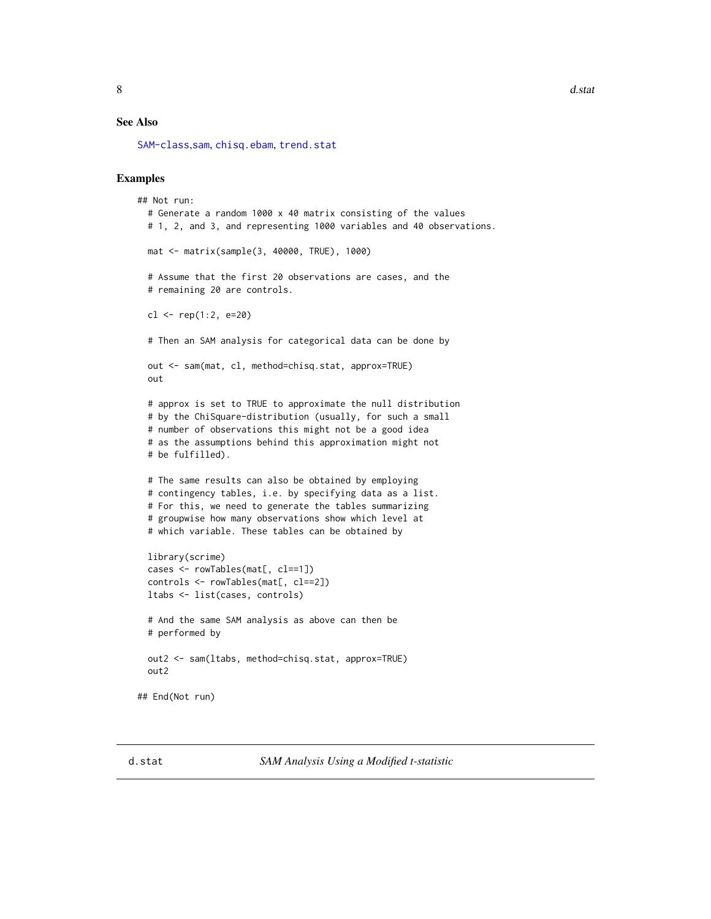<span id="page-7-0"></span>8 d.state and the contract of the contract of the contract of the contract of the contract of the contract of the contract of the contract of the contract of the contract of the contract of the contract of the contract of

#### See Also

[SAM-class](#page-50-1),[sam](#page-47-1), [chisq.ebam](#page-1-1), [trend.stat](#page-65-1)

## Examples

```
## Not run:
 # Generate a random 1000 x 40 matrix consisting of the values
 # 1, 2, and 3, and representing 1000 variables and 40 observations.
 mat <- matrix(sample(3, 40000, TRUE), 1000)
 # Assume that the first 20 observations are cases, and the
 # remaining 20 are controls.
 cl <- rep(1:2, e=20)# Then an SAM analysis for categorical data can be done by
 out <- sam(mat, cl, method=chisq.stat, approx=TRUE)
 out
 # approx is set to TRUE to approximate the null distribution
 # by the ChiSquare-distribution (usually, for such a small
 # number of observations this might not be a good idea
 # as the assumptions behind this approximation might not
 # be fulfilled).
 # The same results can also be obtained by employing
 # contingency tables, i.e. by specifying data as a list.
 # For this, we need to generate the tables summarizing
 # groupwise how many observations show which level at
 # which variable. These tables can be obtained by
 library(scrime)
 cases <- rowTables(mat[, cl==1])
 controls <- rowTables(mat[, cl==2])
 ltabs <- list(cases, controls)
 # And the same SAM analysis as above can then be
 # performed by
 out2 <- sam(ltabs, method=chisq.stat, approx=TRUE)
 out2
## End(Not run)
```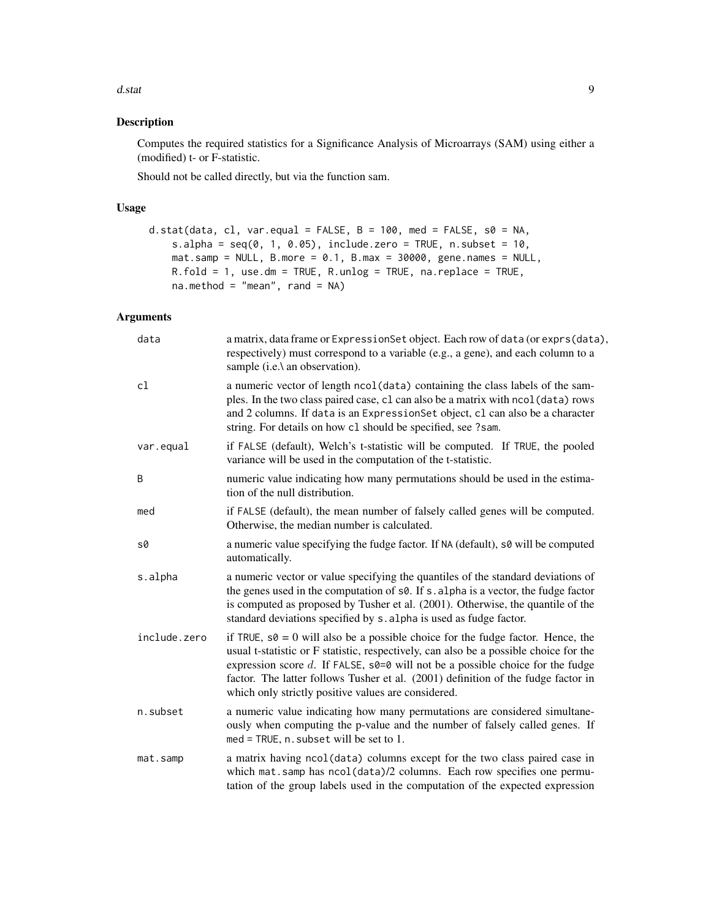d.stat 9

## Description

Computes the required statistics for a Significance Analysis of Microarrays (SAM) using either a (modified) t- or F-statistic.

Should not be called directly, but via the function sam.

## Usage

```
d.stat(data, cl, var.equal = FALSE, B = 100, med = FALSE, s0 = NA,
    s.alpha = seq(0, 1, 0.05), include.zero = TRUE, n.subset = 10,
   mat.sum = NULL, B.more = 0.1, B.max = 30000, gene.names = NULL,R.fold = 1, use.dm = TRUE, R.unlog = TRUE, na.replace = TRUE,
   na.method = "mean", rand = NA)
```

| data         | a matrix, data frame or ExpressionSet object. Each row of data (or exprs(data),<br>respectively) must correspond to a variable (e.g., a gene), and each column to a<br>sample (i.e.\ an observation).                                                                                                                                                                                                              |
|--------------|--------------------------------------------------------------------------------------------------------------------------------------------------------------------------------------------------------------------------------------------------------------------------------------------------------------------------------------------------------------------------------------------------------------------|
| cl           | a numeric vector of length ncol (data) containing the class labels of the sam-<br>ples. In the two class paired case, c1 can also be a matrix with nco1(data) rows<br>and 2 columns. If data is an ExpressionSet object, cl can also be a character<br>string. For details on how c1 should be specified, see ?sam.                                                                                                |
| var.equal    | if FALSE (default), Welch's t-statistic will be computed. If TRUE, the pooled<br>variance will be used in the computation of the t-statistic.                                                                                                                                                                                                                                                                      |
| B            | numeric value indicating how many permutations should be used in the estima-<br>tion of the null distribution.                                                                                                                                                                                                                                                                                                     |
| med          | if FALSE (default), the mean number of falsely called genes will be computed.<br>Otherwise, the median number is calculated.                                                                                                                                                                                                                                                                                       |
| s0           | a numeric value specifying the fudge factor. If NA (default), s0 will be computed<br>automatically.                                                                                                                                                                                                                                                                                                                |
| s.alpha      | a numeric vector or value specifying the quantiles of the standard deviations of<br>the genes used in the computation of s0. If s. alpha is a vector, the fudge factor<br>is computed as proposed by Tusher et al. (2001). Otherwise, the quantile of the<br>standard deviations specified by s. alpha is used as fudge factor.                                                                                    |
| include.zero | if TRUE, $s\theta = 0$ will also be a possible choice for the fudge factor. Hence, the<br>usual t-statistic or F statistic, respectively, can also be a possible choice for the<br>expression score $d$ . If FALSE, $s0=0$ will not be a possible choice for the fudge<br>factor. The latter follows Tusher et al. (2001) definition of the fudge factor in<br>which only strictly positive values are considered. |
| n.subset     | a numeric value indicating how many permutations are considered simultane-<br>ously when computing the p-value and the number of falsely called genes. If<br>$med = TRUE, n.subset will be set to 1.$                                                                                                                                                                                                              |
| mat.samp     | a matrix having ncol(data) columns except for the two class paired case in<br>which mat.samp has ncol(data)/2 columns. Each row specifies one permu-<br>tation of the group labels used in the computation of the expected expression                                                                                                                                                                              |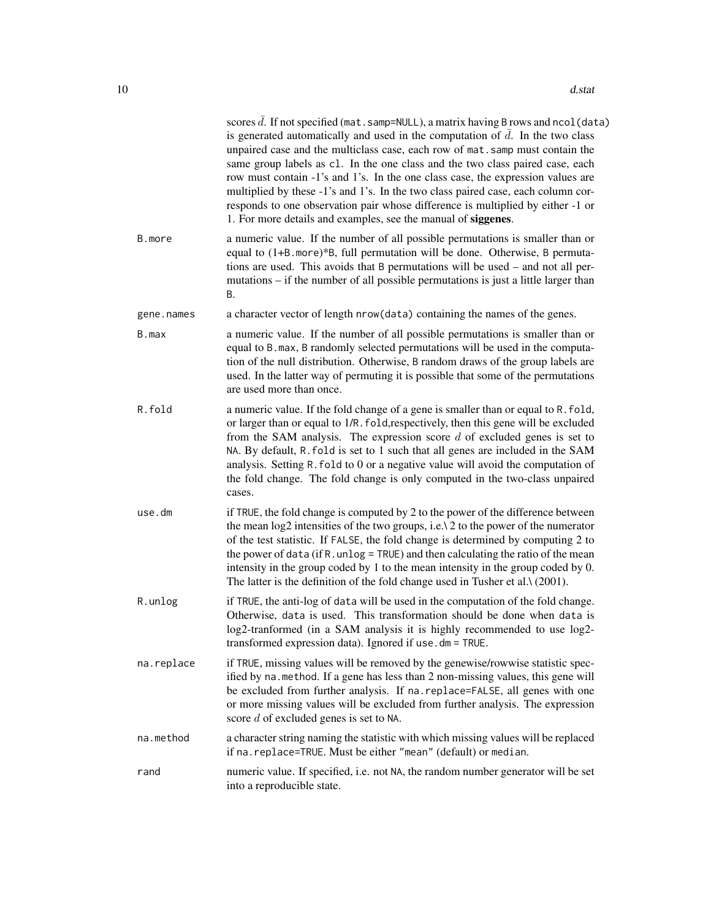|            | scores $\bar{d}$ . If not specified (mat. samp=NULL), a matrix having B rows and ncol (data)<br>is generated automatically and used in the computation of $\overline{d}$ . In the two class<br>unpaired case and the multiclass case, each row of mat. samp must contain the<br>same group labels as c1. In the one class and the two class paired case, each<br>row must contain -1's and 1's. In the one class case, the expression values are<br>multiplied by these -1's and 1's. In the two class paired case, each column cor-<br>responds to one observation pair whose difference is multiplied by either -1 or<br>1. For more details and examples, see the manual of siggenes. |
|------------|------------------------------------------------------------------------------------------------------------------------------------------------------------------------------------------------------------------------------------------------------------------------------------------------------------------------------------------------------------------------------------------------------------------------------------------------------------------------------------------------------------------------------------------------------------------------------------------------------------------------------------------------------------------------------------------|
| B.more     | a numeric value. If the number of all possible permutations is smaller than or<br>equal to (1+B. more)*B, full permutation will be done. Otherwise, B permuta-<br>tions are used. This avoids that B permutations will be used – and not all per-<br>mutations – if the number of all possible permutations is just a little larger than<br>В.                                                                                                                                                                                                                                                                                                                                           |
| gene.names | a character vector of length nrow(data) containing the names of the genes.                                                                                                                                                                                                                                                                                                                                                                                                                                                                                                                                                                                                               |
| B.max      | a numeric value. If the number of all possible permutations is smaller than or<br>equal to B. max, B randomly selected permutations will be used in the computa-<br>tion of the null distribution. Otherwise, B random draws of the group labels are<br>used. In the latter way of permuting it is possible that some of the permutations<br>are used more than once.                                                                                                                                                                                                                                                                                                                    |
| R.fold     | a numeric value. If the fold change of a gene is smaller than or equal to R. fold,<br>or larger than or equal to 1/R. fold, respectively, then this gene will be excluded<br>from the SAM analysis. The expression score $d$ of excluded genes is set to<br>NA. By default, R. fold is set to 1 such that all genes are included in the SAM<br>analysis. Setting R. fold to 0 or a negative value will avoid the computation of<br>the fold change. The fold change is only computed in the two-class unpaired<br>cases.                                                                                                                                                                 |
| use.dm     | if TRUE, the fold change is computed by 2 to the power of the difference between<br>the mean $log2$ intensities of the two groups, i.e. $\lambda$ 2 to the power of the numerator<br>of the test statistic. If FALSE, the fold change is determined by computing 2 to<br>the power of data (if R. unlog = TRUE) and then calculating the ratio of the mean<br>intensity in the group coded by 1 to the mean intensity in the group coded by 0.<br>The latter is the definition of the fold change used in Tusher et al. $\lambda$ (2001).                                                                                                                                                |
| R.unlog    | if TRUE, the anti-log of data will be used in the computation of the fold change.<br>Otherwise, data is used. This transformation should be done when data is<br>log2-tranformed (in a SAM analysis it is highly recommended to use log2-<br>transformed expression data). Ignored if use . dm = TRUE.                                                                                                                                                                                                                                                                                                                                                                                   |
| na.replace | if TRUE, missing values will be removed by the genewise/rowwise statistic spec-<br>ified by na. method. If a gene has less than 2 non-missing values, this gene will<br>be excluded from further analysis. If na. replace=FALSE, all genes with one<br>or more missing values will be excluded from further analysis. The expression<br>score $d$ of excluded genes is set to NA.                                                                                                                                                                                                                                                                                                        |
| na.method  | a character string naming the statistic with which missing values will be replaced<br>if na. replace=TRUE. Must be either "mean" (default) or median.                                                                                                                                                                                                                                                                                                                                                                                                                                                                                                                                    |
| rand       | numeric value. If specified, i.e. not NA, the random number generator will be set<br>into a reproducible state.                                                                                                                                                                                                                                                                                                                                                                                                                                                                                                                                                                          |
|            |                                                                                                                                                                                                                                                                                                                                                                                                                                                                                                                                                                                                                                                                                          |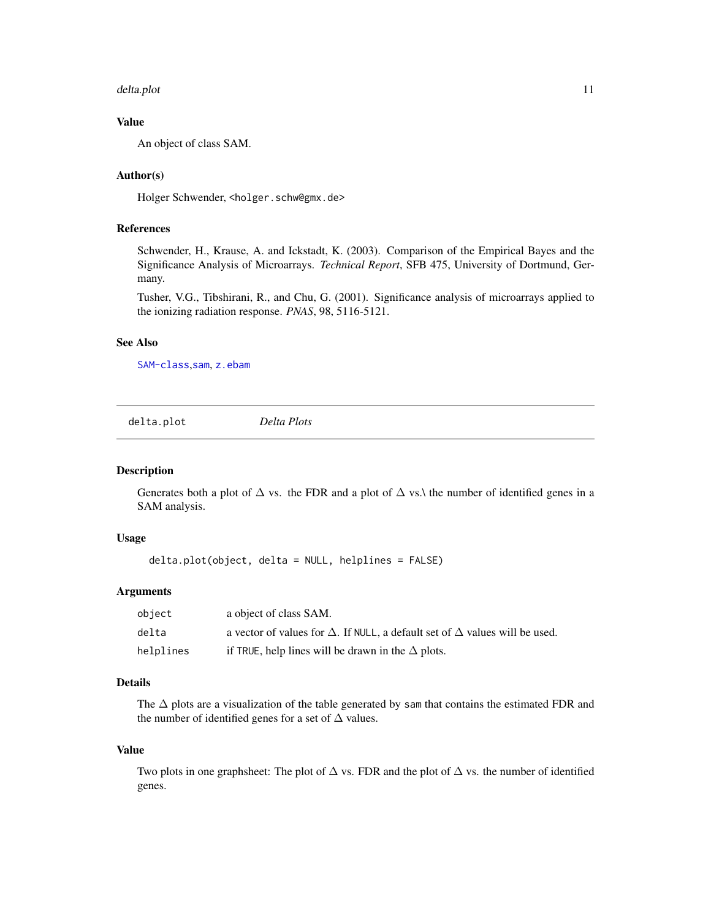#### <span id="page-10-0"></span>delta.plot the contract of the contract of the contract of the contract of the contract of the contract of the contract of the contract of the contract of the contract of the contract of the contract of the contract of the

## Value

An object of class SAM.

## Author(s)

Holger Schwender, <holger.schw@gmx.de>

## References

Schwender, H., Krause, A. and Ickstadt, K. (2003). Comparison of the Empirical Bayes and the Significance Analysis of Microarrays. *Technical Report*, SFB 475, University of Dortmund, Germany.

Tusher, V.G., Tibshirani, R., and Chu, G. (2001). Significance analysis of microarrays applied to the ionizing radiation response. *PNAS*, 98, 5116-5121.

#### See Also

[SAM-class](#page-50-1),[sam](#page-47-1), [z.ebam](#page-71-1)

delta.plot *Delta Plots*

#### Description

Generates both a plot of  $\Delta$  vs. the FDR and a plot of  $\Delta$  vs.\ the number of identified genes in a SAM analysis.

## Usage

delta.plot(object, delta = NULL, helplines = FALSE)

#### Arguments

| object    | a object of class SAM.                                                                    |
|-----------|-------------------------------------------------------------------------------------------|
| delta     | a vector of values for $\Delta$ . If NULL, a default set of $\Delta$ values will be used. |
| helplines | if TRUE, help lines will be drawn in the $\Delta$ plots.                                  |

## Details

The  $\Delta$  plots are a visualization of the table generated by sam that contains the estimated FDR and the number of identified genes for a set of  $\Delta$  values.

#### Value

Two plots in one graphsheet: The plot of  $\Delta$  vs. FDR and the plot of  $\Delta$  vs. the number of identified genes.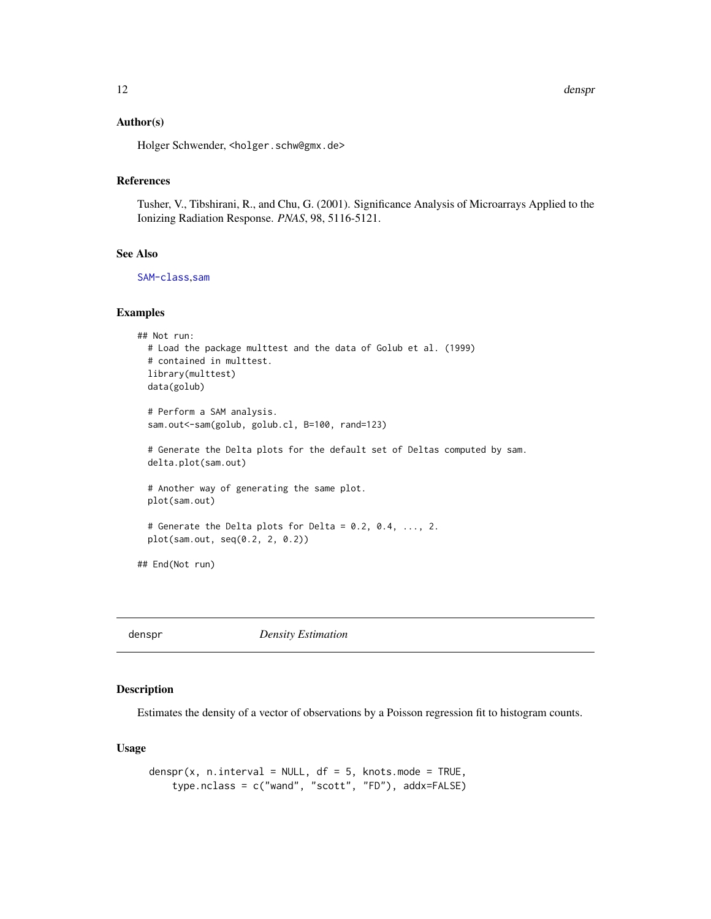<span id="page-11-0"></span>12 denspr

#### Author(s)

Holger Schwender, <holger.schw@gmx.de>

#### References

Tusher, V., Tibshirani, R., and Chu, G. (2001). Significance Analysis of Microarrays Applied to the Ionizing Radiation Response. *PNAS*, 98, 5116-5121.

#### See Also

[SAM-class](#page-50-1),[sam](#page-47-1)

## Examples

```
## Not run:
 # Load the package multtest and the data of Golub et al. (1999)
 # contained in multtest.
 library(multtest)
 data(golub)
 # Perform a SAM analysis.
 sam.out<-sam(golub, golub.cl, B=100, rand=123)
 # Generate the Delta plots for the default set of Deltas computed by sam.
 delta.plot(sam.out)
 # Another way of generating the same plot.
 plot(sam.out)
 # Generate the Delta plots for Delta = 0.2, 0.4, ..., 2.
 plot(sam.out, seq(0.2, 2, 0.2))
## End(Not run)
```
<span id="page-11-1"></span>denspr *Density Estimation*

## Description

Estimates the density of a vector of observations by a Poisson regression fit to histogram counts.

## Usage

```
denspr(x, n.interval = NULL, df = 5, knots.mode = TRUE,
   type.nclass = c("wand", "scott", "FD"), addx=FALSE)
```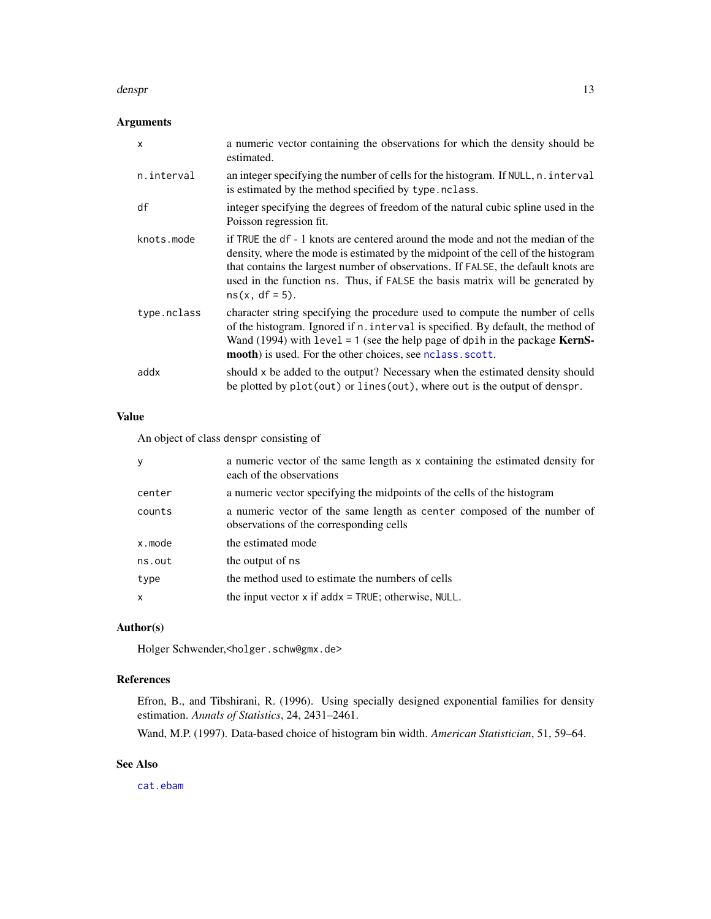#### denspr

## Arguments

| X           | a numeric vector containing the observations for which the density should be<br>estimated.                                                                                                                                                                                                                                                                      |
|-------------|-----------------------------------------------------------------------------------------------------------------------------------------------------------------------------------------------------------------------------------------------------------------------------------------------------------------------------------------------------------------|
| n.interval  | an integer specifying the number of cells for the histogram. If NULL, n. interval<br>is estimated by the method specified by type. nclass.                                                                                                                                                                                                                      |
| df          | integer specifying the degrees of freedom of the natural cubic spline used in the<br>Poisson regression fit.                                                                                                                                                                                                                                                    |
| knots.mode  | if TRUE the df - 1 knots are centered around the mode and not the median of the<br>density, where the mode is estimated by the midpoint of the cell of the histogram<br>that contains the largest number of observations. If FALSE, the default knots are<br>used in the function ns. Thus, if FALSE the basis matrix will be generated by<br>$ns(x, df = 5)$ . |
| type.nclass | character string specifying the procedure used to compute the number of cells<br>of the histogram. Ignored if n. interval is specified. By default, the method of<br>Wand (1994) with $level = 1$ (see the help page of dpih in the package <b>KernS</b> -<br>mooth) is used. For the other choices, see nclass. scott.                                         |
| addx        | should x be added to the output? Necessary when the estimated density should<br>be plotted by plot(out) or lines(out), where out is the output of denspr.                                                                                                                                                                                                       |

## Value

An object of class denspr consisting of

| y            | a numeric vector of the same length as x containing the estimated density for<br>each of the observations          |
|--------------|--------------------------------------------------------------------------------------------------------------------|
| center       | a numeric vector specifying the midpoints of the cells of the histogram                                            |
| counts       | a numeric vector of the same length as center composed of the number of<br>observations of the corresponding cells |
| x.mode       | the estimated mode                                                                                                 |
| ns.out       | the output of ns                                                                                                   |
| type         | the method used to estimate the numbers of cells                                                                   |
| $\mathsf{x}$ | the input vector $x$ if add $x = TRUE$ ; otherwise, NULL.                                                          |
|              |                                                                                                                    |

## Author(s)

Holger Schwender,<holger.schw@gmx.de>

## References

Efron, B., and Tibshirani, R. (1996). Using specially designed exponential families for density estimation. *Annals of Statistics*, 24, 2431–2461.

Wand, M.P. (1997). Data-based choice of histogram bin width. *American Statistician*, 51, 59–64.

## See Also

[cat.ebam](#page-1-2)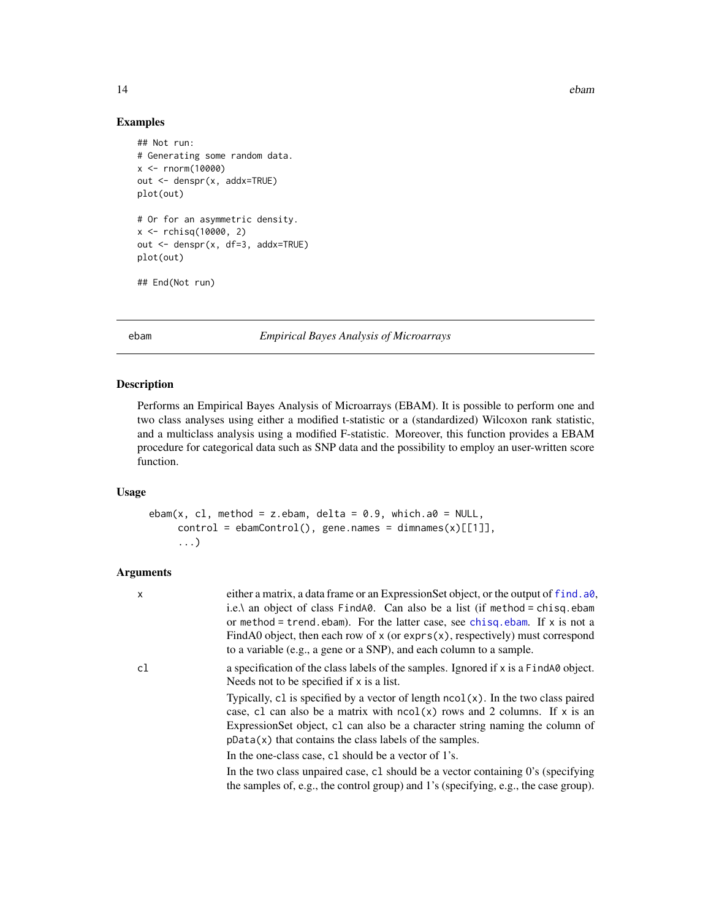<span id="page-13-0"></span>14 ebam

#### Examples

```
## Not run:
# Generating some random data.
x < - rnorm(10000)
out <- denspr(x, addx=TRUE)
plot(out)
# Or for an asymmetric density.
x <- rchisq(10000, 2)
out <- denspr(x, df=3, addx=TRUE)
plot(out)
## End(Not run)
```
<span id="page-13-1"></span>ebam *Empirical Bayes Analysis of Microarrays*

## Description

Performs an Empirical Bayes Analysis of Microarrays (EBAM). It is possible to perform one and two class analyses using either a modified t-statistic or a (standardized) Wilcoxon rank statistic, and a multiclass analysis using a modified F-statistic. Moreover, this function provides a EBAM procedure for categorical data such as SNP data and the possibility to employ an user-written score function.

#### Usage

```
ebam(x, cl, method = z.ebam, delta = 0.9, which.a0 = NULL,
    control = ebamControl(), gene.names = dimnames(x)[[1]],
     ...)
```

| X  | either a matrix, a data frame or an ExpressionSet object, or the output of f ind. a0,<br>i.e.\ an object of class $FindA0$ . Can also be a list (if method = chisq.ebam<br>or method = trend, ebam). For the latter case, see chisq, ebam. If $x$ is not a<br>FindA0 object, then each row of $x$ (or exprs $(x)$ , respectively) must correspond<br>to a variable (e.g., a gene or a SNP), and each column to a sample. |
|----|--------------------------------------------------------------------------------------------------------------------------------------------------------------------------------------------------------------------------------------------------------------------------------------------------------------------------------------------------------------------------------------------------------------------------|
| cl | a specification of the class labels of the samples. Ignored if x is a FindA0 object.<br>Needs not to be specified if x is a list.                                                                                                                                                                                                                                                                                        |
|    | Typically, c1 is specified by a vector of length $ncol(x)$ . In the two class paired<br>case, c1 can also be a matrix with $ncol(x)$ rows and 2 columns. If x is an<br>Expression Set object, c1 can also be a character string naming the column of<br>$pData(x)$ that contains the class labels of the samples.                                                                                                        |
|    | In the one-class case, c1 should be a vector of 1's.                                                                                                                                                                                                                                                                                                                                                                     |
|    | In the two class unpaired case, c1 should be a vector containing 0's (specifying<br>the samples of, e.g., the control group) and 1's (specifying, e.g., the case group).                                                                                                                                                                                                                                                 |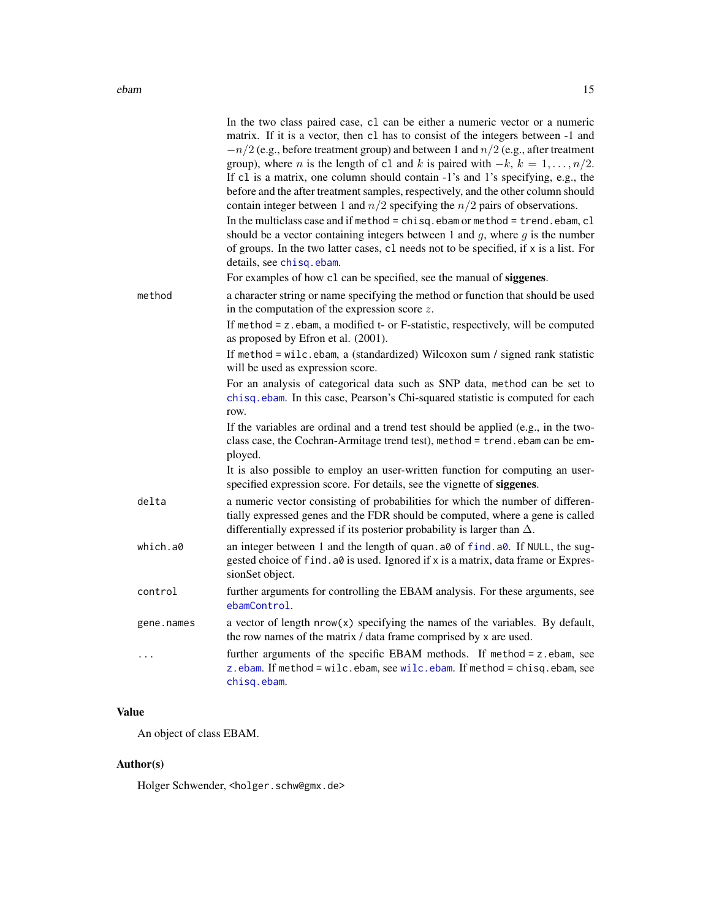| method     | In the two class paired case, c1 can be either a numeric vector or a numeric<br>matrix. If it is a vector, then c1 has to consist of the integers between -1 and<br>$-n/2$ (e.g., before treatment group) and between 1 and $n/2$ (e.g., after treatment<br>group), where <i>n</i> is the length of c1 and <i>k</i> is paired with $-k$ , $k = 1, , n/2$ .<br>If c1 is a matrix, one column should contain -1's and 1's specifying, e.g., the<br>before and the after treatment samples, respectively, and the other column should<br>contain integer between 1 and $n/2$ specifying the $n/2$ pairs of observations.<br>In the multiclass case and if method = $chisq.ebam$ or method = $trend.ebam, c1$<br>should be a vector containing integers between 1 and $q$ , where $q$ is the number<br>of groups. In the two latter cases, c1 needs not to be specified, if x is a list. For<br>details, see chisq.ebam.<br>For examples of how c1 can be specified, see the manual of siggenes.<br>a character string or name specifying the method or function that should be used<br>in the computation of the expression score $z$ .<br>If method = z.ebam, a modified t- or F-statistic, respectively, will be computed<br>as proposed by Efron et al. (2001).<br>If method = wilc.ebam, a (standardized) Wilcoxon sum / signed rank statistic<br>will be used as expression score.<br>For an analysis of categorical data such as SNP data, method can be set to<br>chisq.ebam. In this case, Pearson's Chi-squared statistic is computed for each<br>row. |
|------------|--------------------------------------------------------------------------------------------------------------------------------------------------------------------------------------------------------------------------------------------------------------------------------------------------------------------------------------------------------------------------------------------------------------------------------------------------------------------------------------------------------------------------------------------------------------------------------------------------------------------------------------------------------------------------------------------------------------------------------------------------------------------------------------------------------------------------------------------------------------------------------------------------------------------------------------------------------------------------------------------------------------------------------------------------------------------------------------------------------------------------------------------------------------------------------------------------------------------------------------------------------------------------------------------------------------------------------------------------------------------------------------------------------------------------------------------------------------------------------------------------------------------------------------------------------------|
|            | If the variables are ordinal and a trend test should be applied (e.g., in the two-<br>class case, the Cochran-Armitage trend test), method = trend. ebam can be em-<br>ployed.                                                                                                                                                                                                                                                                                                                                                                                                                                                                                                                                                                                                                                                                                                                                                                                                                                                                                                                                                                                                                                                                                                                                                                                                                                                                                                                                                                               |
|            | It is also possible to employ an user-written function for computing an user-<br>specified expression score. For details, see the vignette of siggenes.                                                                                                                                                                                                                                                                                                                                                                                                                                                                                                                                                                                                                                                                                                                                                                                                                                                                                                                                                                                                                                                                                                                                                                                                                                                                                                                                                                                                      |
| delta      | a numeric vector consisting of probabilities for which the number of differen-<br>tially expressed genes and the FDR should be computed, where a gene is called<br>differentially expressed if its posterior probability is larger than $\Delta$ .                                                                                                                                                                                                                                                                                                                                                                                                                                                                                                                                                                                                                                                                                                                                                                                                                                                                                                                                                                                                                                                                                                                                                                                                                                                                                                           |
| which.a0   | an integer between 1 and the length of quan. a0 of find. a0. If NULL, the sug-<br>gested choice of find. a0 is used. Ignored if x is a matrix, data frame or Expres-<br>sionSet object.                                                                                                                                                                                                                                                                                                                                                                                                                                                                                                                                                                                                                                                                                                                                                                                                                                                                                                                                                                                                                                                                                                                                                                                                                                                                                                                                                                      |
| control    | further arguments for controlling the EBAM analysis. For these arguments, see<br>ebamControl.                                                                                                                                                                                                                                                                                                                                                                                                                                                                                                                                                                                                                                                                                                                                                                                                                                                                                                                                                                                                                                                                                                                                                                                                                                                                                                                                                                                                                                                                |
| gene.names | a vector of length $nrow(x)$ specifying the names of the variables. By default,<br>the row names of the matrix / data frame comprised by x are used.                                                                                                                                                                                                                                                                                                                                                                                                                                                                                                                                                                                                                                                                                                                                                                                                                                                                                                                                                                                                                                                                                                                                                                                                                                                                                                                                                                                                         |
| .          | further arguments of the specific EBAM methods. If method = z.ebam, see<br>z.ebam. If method = wilc.ebam, see wilc.ebam. If method = chisq.ebam, see<br>chisq.ebam.                                                                                                                                                                                                                                                                                                                                                                                                                                                                                                                                                                                                                                                                                                                                                                                                                                                                                                                                                                                                                                                                                                                                                                                                                                                                                                                                                                                          |

## Value

An object of class EBAM.

## Author(s)

Holger Schwender, <holger.schw@gmx.de>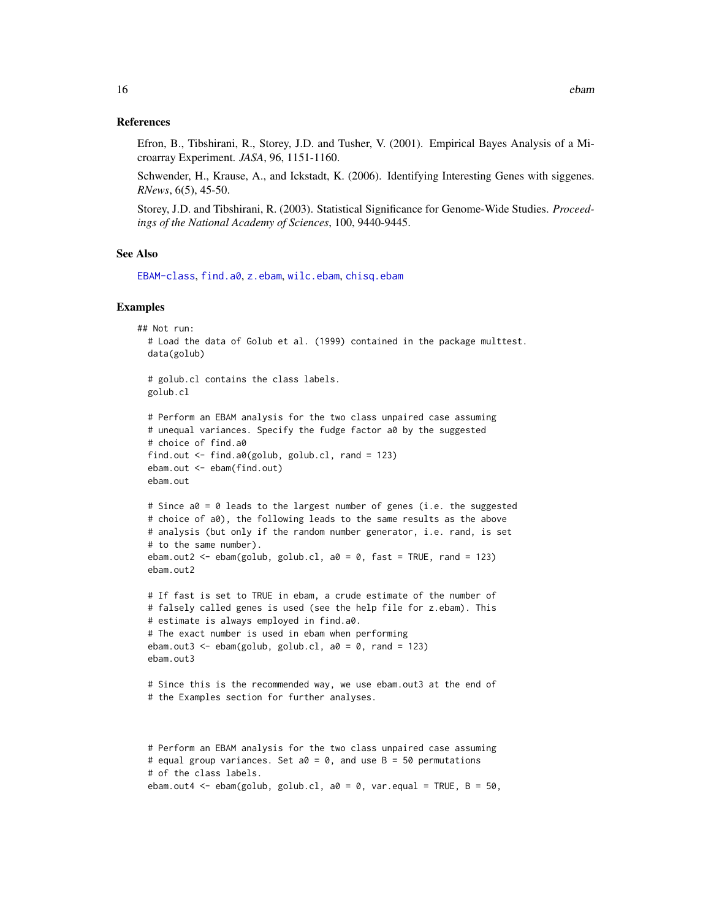#### References

Efron, B., Tibshirani, R., Storey, J.D. and Tusher, V. (2001). Empirical Bayes Analysis of a Microarray Experiment. *JASA*, 96, 1151-1160.

Schwender, H., Krause, A., and Ickstadt, K. (2006). Identifying Interesting Genes with siggenes. *RNews*, 6(5), 45-50.

Storey, J.D. and Tibshirani, R. (2003). Statistical Significance for Genome-Wide Studies. *Proceedings of the National Academy of Sciences*, 100, 9440-9445.

#### See Also

[EBAM-class](#page-16-1), [find.a0](#page-20-1), [z.ebam](#page-71-1), [wilc.ebam](#page-67-1), [chisq.ebam](#page-1-1)

#### Examples

```
## Not run:
 # Load the data of Golub et al. (1999) contained in the package multtest.
 data(golub)
 # golub.cl contains the class labels.
 golub.cl
 # Perform an EBAM analysis for the two class unpaired case assuming
 # unequal variances. Specify the fudge factor a0 by the suggested
 # choice of find.a0
 find.out <- find.a0(golub, golub.cl, rand = 123)
 ebam.out <- ebam(find.out)
 ebam.out
 # Since a0 = 0 leads to the largest number of genes (i.e. the suggested
 # choice of a0), the following leads to the same results as the above
 # analysis (but only if the random number generator, i.e. rand, is set
 # to the same number).
 ebam.out2 \leq ebam(golub, golub.cl, a0 = 0, fast = TRUE, rand = 123)
 ebam.out2
 # If fast is set to TRUE in ebam, a crude estimate of the number of
 # falsely called genes is used (see the help file for z.ebam). This
 # estimate is always employed in find.a0.
 # The exact number is used in ebam when performing
 ebam.out3 <- ebam(golub, golub.cl, a0 = 0, rand = 123)
 ebam.out3
 # Since this is the recommended way, we use ebam.out3 at the end of
 # the Examples section for further analyses.
 # Perform an EBAM analysis for the two class unpaired case assuming
 # equal group variances. Set a0 = 0, and use B = 50 permutations
```

```
# of the class labels.
```
ebam.out4 <- ebam(golub, golub.cl,  $a0 = 0$ , var.equal = TRUE,  $B = 50$ ,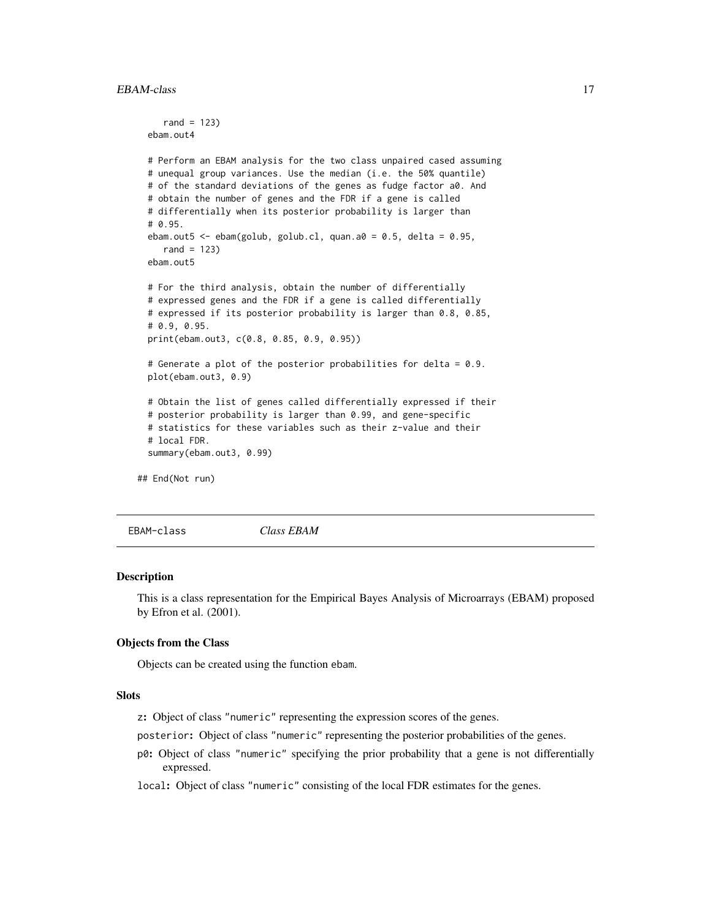```
rand = 123)
 ebam.out4
 # Perform an EBAM analysis for the two class unpaired cased assuming
 # unequal group variances. Use the median (i.e. the 50% quantile)
 # of the standard deviations of the genes as fudge factor a0. And
 # obtain the number of genes and the FDR if a gene is called
 # differentially when its posterior probability is larger than
 # 0.95.
 ebam.out5 <- ebam(golub, golub.cl, quan.a0 = 0.5, delta = 0.95,
    rand = 123)
 ebam.out5
 # For the third analysis, obtain the number of differentially
 # expressed genes and the FDR if a gene is called differentially
 # expressed if its posterior probability is larger than 0.8, 0.85,
 # 0.9, 0.95.
 print(ebam.out3, c(0.8, 0.85, 0.9, 0.95))
 # Generate a plot of the posterior probabilities for delta = 0.9.
 plot(ebam.out3, 0.9)
 # Obtain the list of genes called differentially expressed if their
 # posterior probability is larger than 0.99, and gene-specific
 # statistics for these variables such as their z-value and their
 # local FDR.
 summary(ebam.out3, 0.99)
## End(Not run)
```
<span id="page-16-1"></span>EBAM-class *Class EBAM*

#### **Description**

This is a class representation for the Empirical Bayes Analysis of Microarrays (EBAM) proposed by Efron et al. (2001).

#### Objects from the Class

Objects can be created using the function ebam.

## **Slots**

z: Object of class "numeric" representing the expression scores of the genes.

posterior: Object of class "numeric" representing the posterior probabilities of the genes.

p0: Object of class "numeric" specifying the prior probability that a gene is not differentially expressed.

local: Object of class "numeric" consisting of the local FDR estimates for the genes.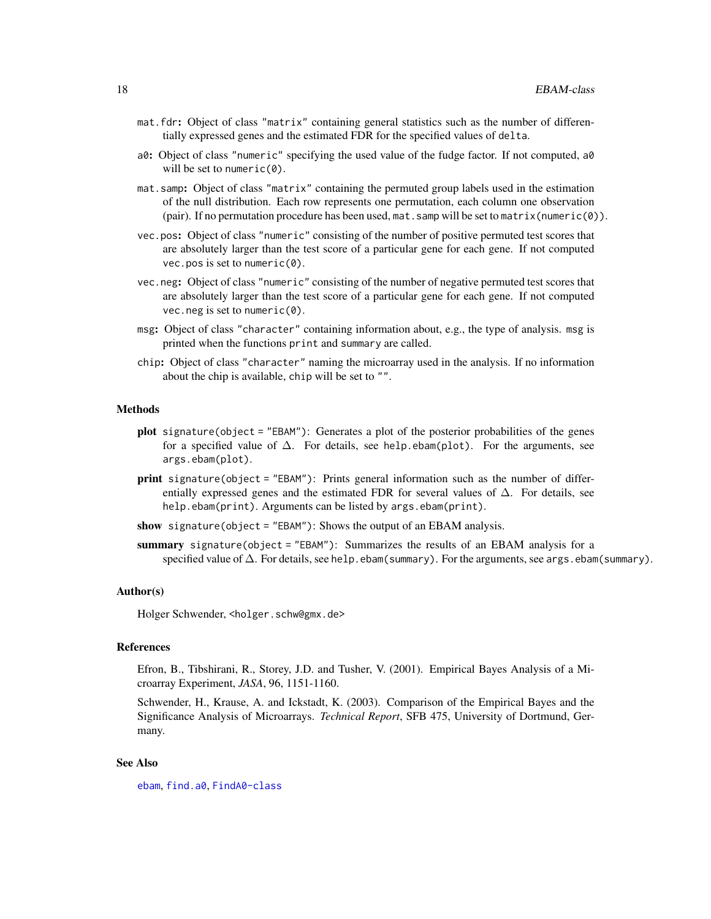- mat.fdr: Object of class "matrix" containing general statistics such as the number of differentially expressed genes and the estimated FDR for the specified values of delta.
- a0: Object of class "numeric" specifying the used value of the fudge factor. If not computed, a0 will be set to numeric(0).
- mat.samp: Object of class "matrix" containing the permuted group labels used in the estimation of the null distribution. Each row represents one permutation, each column one observation (pair). If no permutation procedure has been used, mat. samp will be set to matrix (numeric( $\emptyset$ )).
- vec.pos: Object of class "numeric" consisting of the number of positive permuted test scores that are absolutely larger than the test score of a particular gene for each gene. If not computed vec.pos is set to numeric(0).
- vec.neg: Object of class "numeric" consisting of the number of negative permuted test scores that are absolutely larger than the test score of a particular gene for each gene. If not computed vec.neg is set to numeric(0).
- msg: Object of class "character" containing information about, e.g., the type of analysis. msg is printed when the functions print and summary are called.
- chip: Object of class "character" naming the microarray used in the analysis. If no information about the chip is available, chip will be set to "".

#### Methods

- **plot** signature(object = "EBAM"): Generates a plot of the posterior probabilities of the genes for a specified value of  $\Delta$ . For details, see help.ebam(plot). For the arguments, see args.ebam(plot).
- print signature(object = "EBAM"): Prints general information such as the number of differentially expressed genes and the estimated FDR for several values of  $\Delta$ . For details, see help.ebam(print). Arguments can be listed by args.ebam(print).
- show signature(object = "EBAM"): Shows the output of an EBAM analysis.
- summary signature(object = "EBAM"): Summarizes the results of an EBAM analysis for a specified value of  $\Delta$ . For details, see help.ebam(summary). For the arguments, see args.ebam(summary).

## Author(s)

Holger Schwender, <holger.schw@gmx.de>

#### References

Efron, B., Tibshirani, R., Storey, J.D. and Tusher, V. (2001). Empirical Bayes Analysis of a Microarray Experiment, *JASA*, 96, 1151-1160.

Schwender, H., Krause, A. and Ickstadt, K. (2003). Comparison of the Empirical Bayes and the Significance Analysis of Microarrays. *Technical Report*, SFB 475, University of Dortmund, Germany.

#### See Also

[ebam](#page-13-1), [find.a0](#page-20-1), [FindA0-class](#page-22-1)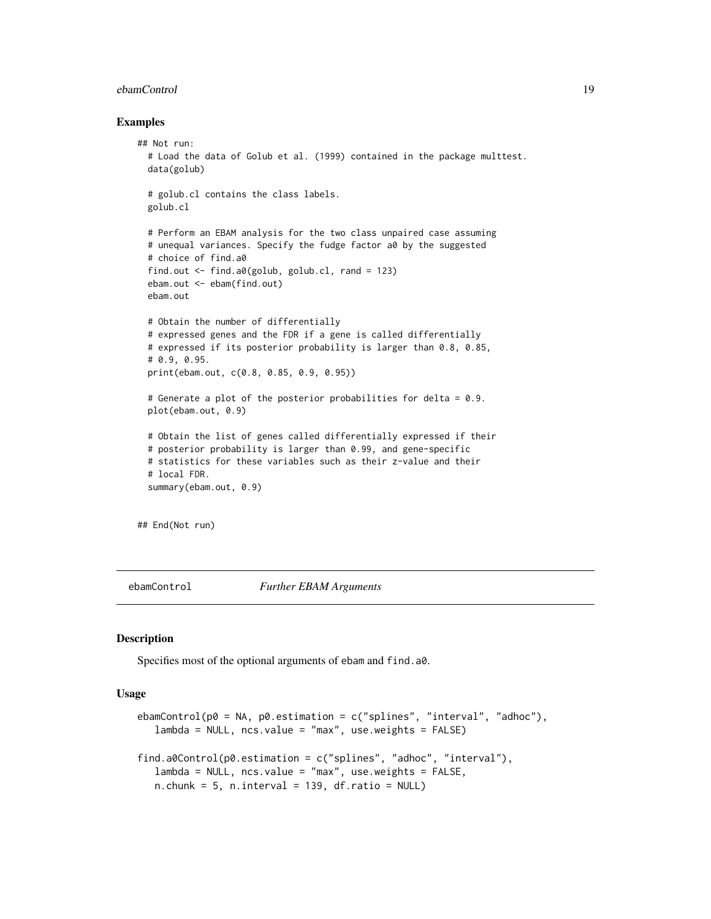#### <span id="page-18-0"></span>ebamControl 19

#### Examples

```
## Not run:
 # Load the data of Golub et al. (1999) contained in the package multtest.
 data(golub)
 # golub.cl contains the class labels.
 golub.cl
 # Perform an EBAM analysis for the two class unpaired case assuming
 # unequal variances. Specify the fudge factor a0 by the suggested
 # choice of find.a0
 find.out <- find.a0(golub, golub.cl, rand = 123)
 ebam.out <- ebam(find.out)
 ebam.out
 # Obtain the number of differentially
 # expressed genes and the FDR if a gene is called differentially
 # expressed if its posterior probability is larger than 0.8, 0.85,
 # 0.9, 0.95.
 print(ebam.out, c(0.8, 0.85, 0.9, 0.95))
 # Generate a plot of the posterior probabilities for delta = 0.9.
 plot(ebam.out, 0.9)
 # Obtain the list of genes called differentially expressed if their
 # posterior probability is larger than 0.99, and gene-specific
 # statistics for these variables such as their z-value and their
 # local FDR.
 summary(ebam.out, 0.9)
```
## End(Not run)

<span id="page-18-1"></span>

ebamControl *Further EBAM Arguments*

## <span id="page-18-2"></span>**Description**

Specifies most of the optional arguments of ebam and find.a0.

## Usage

```
ebamControl(p0 = NA, p0. estimation = c("splines", "interval", "adhoc"),
   lambda = NULL, ncs.value = "max", use.weights = FALSE)
find.a0Control(p0.estimation = c("splines", "adhoc", "interval"),
   lambda = NULL, ncs.value = "max", use.weights = FALSE,
   n.chunk = 5, n.interval = 139, df.ratio = NULL)
```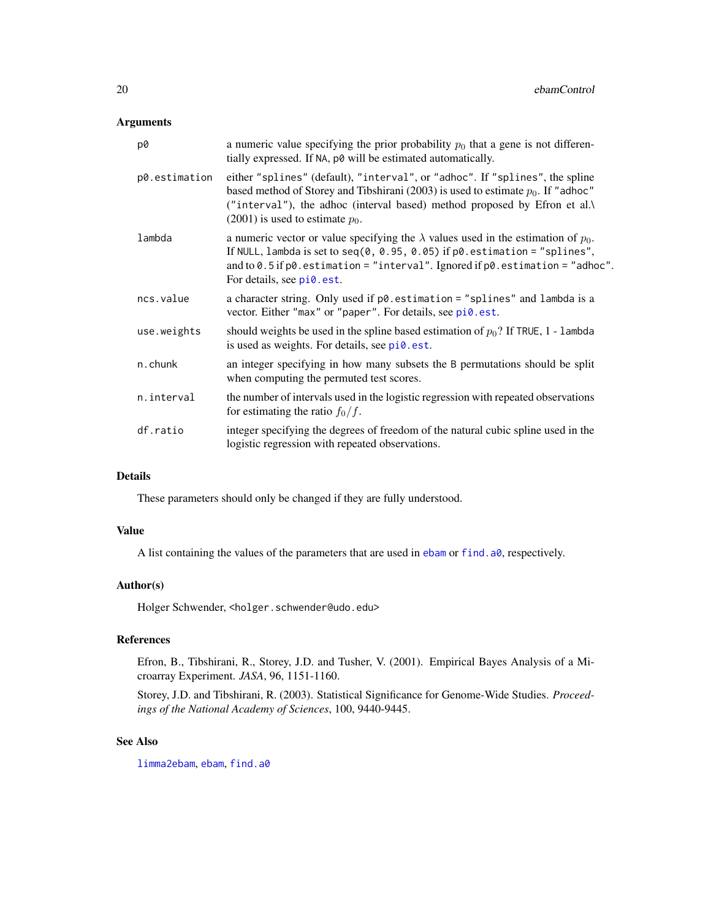## Arguments

| p0            | a numeric value specifying the prior probability $p_0$ that a gene is not differen-<br>tially expressed. If NA, p0 will be estimated automatically.                                                                                                                                                   |
|---------------|-------------------------------------------------------------------------------------------------------------------------------------------------------------------------------------------------------------------------------------------------------------------------------------------------------|
| p0.estimation | either "splines" (default), "interval", or "adhoc". If "splines", the spline<br>based method of Storey and Tibshirani (2003) is used to estimate $p_0$ . If "adhoc"<br>("interval"), the adhoc (interval based) method proposed by Efron et al.\<br>$(2001)$ is used to estimate $p_0$ .              |
| lambda        | a numeric vector or value specifying the $\lambda$ values used in the estimation of $p_0$ .<br>If NULL, lambda is set to seq(0, 0.95, 0.05) if $p0$ . estimation = "splines",<br>and to $0.5$ if $p0$ . estimation = "interval". Ignored if $p0$ . estimation = "adhoc".<br>For details, see pi0.est. |
| ncs.value     | a character string. Only used if $p\emptyset$ estimation = "splines" and lambda is a<br>vector. Either "max" or "paper". For details, see pi0.est.                                                                                                                                                    |
| use.weights   | should weights be used in the spline based estimation of $p_0$ ? If TRUE, 1 - lambda<br>is used as weights. For details, see pi0.est.                                                                                                                                                                 |
| n.chunk       | an integer specifying in how many subsets the B permutations should be split<br>when computing the permuted test scores.                                                                                                                                                                              |
| n.interval    | the number of intervals used in the logistic regression with repeated observations<br>for estimating the ratio $f_0/f$ .                                                                                                                                                                              |
| df.ratio      | integer specifying the degrees of freedom of the natural cubic spline used in the<br>logistic regression with repeated observations.                                                                                                                                                                  |
|               |                                                                                                                                                                                                                                                                                                       |

## Details

These parameters should only be changed if they are fully understood.

#### Value

A list containing the values of the parameters that are used in [ebam](#page-13-1) or [find.a0](#page-20-1), respectively.

#### Author(s)

Holger Schwender, <holger.schwender@udo.edu>

## References

Efron, B., Tibshirani, R., Storey, J.D. and Tusher, V. (2001). Empirical Bayes Analysis of a Microarray Experiment. *JASA*, 96, 1151-1160.

Storey, J.D. and Tibshirani, R. (2003). Statistical Significance for Genome-Wide Studies. *Proceedings of the National Academy of Sciences*, 100, 9440-9445.

## See Also

[limma2ebam](#page-32-1), [ebam](#page-13-1), [find.a0](#page-20-1)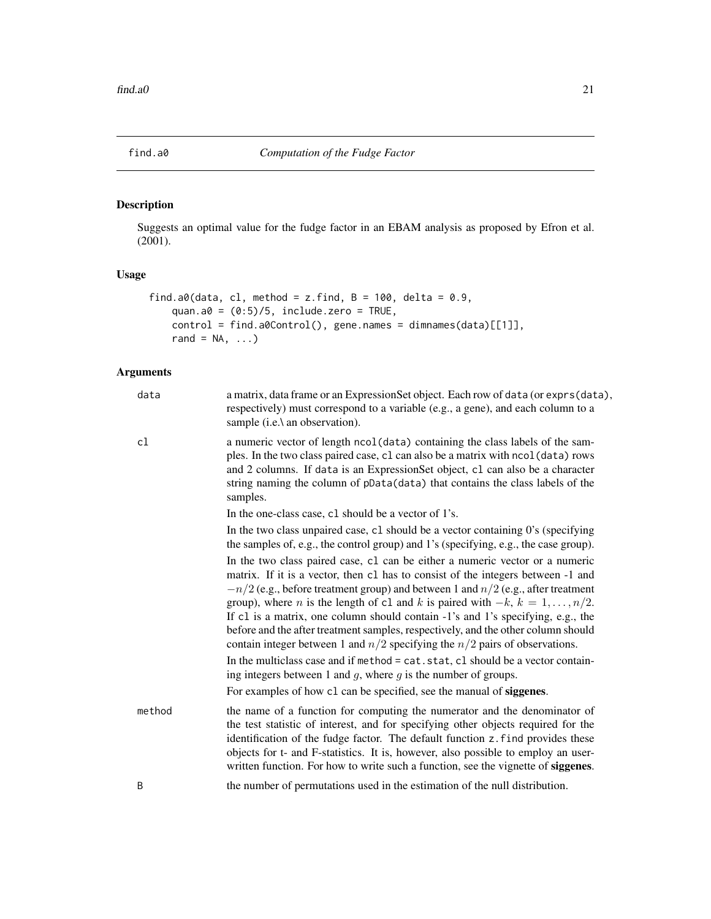<span id="page-20-1"></span><span id="page-20-0"></span>

Suggests an optimal value for the fudge factor in an EBAM analysis as proposed by Efron et al. (2001).

## Usage

```
find.a0(data, cl, method = z.find, B = 100, delta = 0.9,
   quan.a0 = (0:5)/5, include.zero = TRUE,
   control = find.a0Control(), gene.names = dimnames(data)[[1]],
   rand = NA, ...
```

| data   | a matrix, data frame or an ExpressionSet object. Each row of data (or exprs(data),<br>respectively) must correspond to a variable (e.g., a gene), and each column to a<br>sample (i.e.\ an observation).                                                                                                                                                                                                                                                                                                                                                                                                              |
|--------|-----------------------------------------------------------------------------------------------------------------------------------------------------------------------------------------------------------------------------------------------------------------------------------------------------------------------------------------------------------------------------------------------------------------------------------------------------------------------------------------------------------------------------------------------------------------------------------------------------------------------|
| cl     | a numeric vector of length ncol (data) containing the class labels of the sam-<br>ples. In the two class paired case, c1 can also be a matrix with ncol (data) rows<br>and 2 columns. If data is an ExpressionSet object, c1 can also be a character<br>string naming the column of pData(data) that contains the class labels of the<br>samples.                                                                                                                                                                                                                                                                     |
|        | In the one-class case, c1 should be a vector of 1's.                                                                                                                                                                                                                                                                                                                                                                                                                                                                                                                                                                  |
|        | In the two class unpaired case, c1 should be a vector containing $0$ 's (specifying<br>the samples of, e.g., the control group) and 1's (specifying, e.g., the case group).                                                                                                                                                                                                                                                                                                                                                                                                                                           |
|        | In the two class paired case, c1 can be either a numeric vector or a numeric<br>matrix. If it is a vector, then c1 has to consist of the integers between -1 and<br>$-n/2$ (e.g., before treatment group) and between 1 and $n/2$ (e.g., after treatment<br>group), where <i>n</i> is the length of c1 and <i>k</i> is paired with $-k$ , $k = 1, , n/2$ .<br>If c1 is a matrix, one column should contain -1's and 1's specifying, e.g., the<br>before and the after treatment samples, respectively, and the other column should<br>contain integer between 1 and $n/2$ specifying the $n/2$ pairs of observations. |
|        | In the multiclass case and if method = cat.stat, cl should be a vector contain-<br>ing integers between 1 and $g$ , where $g$ is the number of groups.                                                                                                                                                                                                                                                                                                                                                                                                                                                                |
|        | For examples of how c1 can be specified, see the manual of siggenes.                                                                                                                                                                                                                                                                                                                                                                                                                                                                                                                                                  |
| method | the name of a function for computing the numerator and the denominator of<br>the test statistic of interest, and for specifying other objects required for the<br>identification of the fudge factor. The default function z.find provides these<br>objects for t- and F-statistics. It is, however, also possible to employ an user-<br>written function. For how to write such a function, see the vignette of siggenes.                                                                                                                                                                                            |
| B      | the number of permutations used in the estimation of the null distribution.                                                                                                                                                                                                                                                                                                                                                                                                                                                                                                                                           |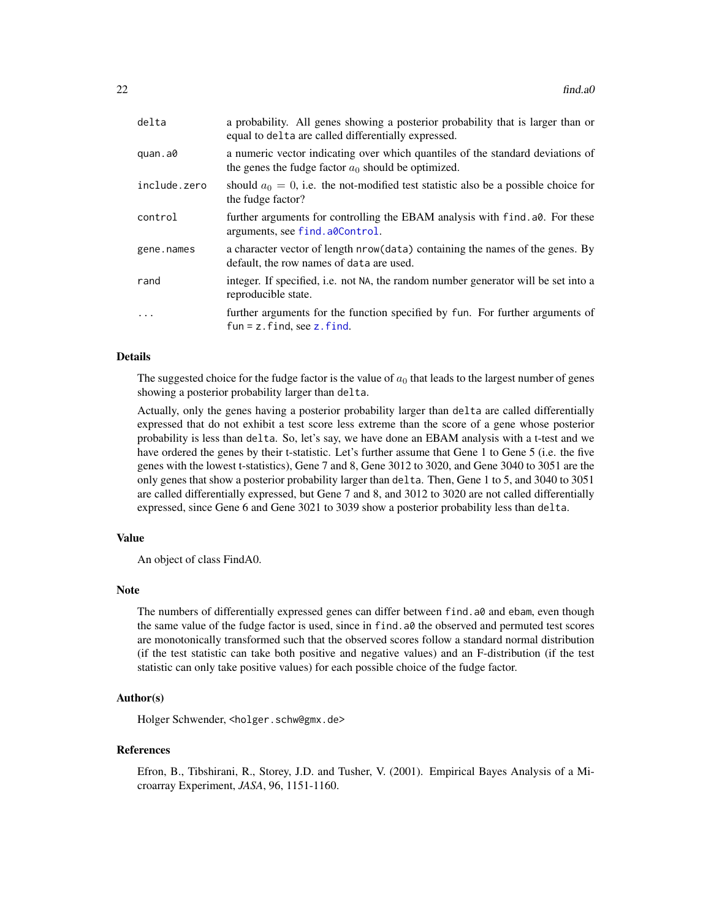| delta        | a probability. All genes showing a posterior probability that is larger than or<br>equal to delta are called differentially expressed.  |
|--------------|-----------------------------------------------------------------------------------------------------------------------------------------|
| quan.a0      | a numeric vector indicating over which quantiles of the standard deviations of<br>the genes the fudge factor $a_0$ should be optimized. |
| include.zero | should $a_0 = 0$ , i.e. the not-modified test statistic also be a possible choice for<br>the fudge factor?                              |
| control      | further arguments for controlling the EBAM analysis with find. a0. For these<br>arguments, see find. a0Control.                         |
| gene.names   | a character vector of length nrow (data) containing the names of the genes. By<br>default, the row names of data are used.              |
| rand         | integer. If specified, i.e. not NA, the random number generator will be set into a<br>reproducible state.                               |
| $\cdot$      | further arguments for the function specified by fun. For further arguments of<br>$fun = z$ . find, see z. find.                         |

## Details

The suggested choice for the fudge factor is the value of  $a_0$  that leads to the largest number of genes showing a posterior probability larger than delta.

Actually, only the genes having a posterior probability larger than delta are called differentially expressed that do not exhibit a test score less extreme than the score of a gene whose posterior probability is less than delta. So, let's say, we have done an EBAM analysis with a t-test and we have ordered the genes by their t-statistic. Let's further assume that Gene 1 to Gene 5 (i.e. the five genes with the lowest t-statistics), Gene 7 and 8, Gene 3012 to 3020, and Gene 3040 to 3051 are the only genes that show a posterior probability larger than delta. Then, Gene 1 to 5, and 3040 to 3051 are called differentially expressed, but Gene 7 and 8, and 3012 to 3020 are not called differentially expressed, since Gene 6 and Gene 3021 to 3039 show a posterior probability less than delta.

#### Value

An object of class FindA0.

#### Note

The numbers of differentially expressed genes can differ between find. a0 and ebam, even though the same value of the fudge factor is used, since in find.a0 the observed and permuted test scores are monotonically transformed such that the observed scores follow a standard normal distribution (if the test statistic can take both positive and negative values) and an F-distribution (if the test statistic can only take positive values) for each possible choice of the fudge factor.

#### Author(s)

Holger Schwender, <holger.schw@gmx.de>

#### References

Efron, B., Tibshirani, R., Storey, J.D. and Tusher, V. (2001). Empirical Bayes Analysis of a Microarray Experiment, *JASA*, 96, 1151-1160.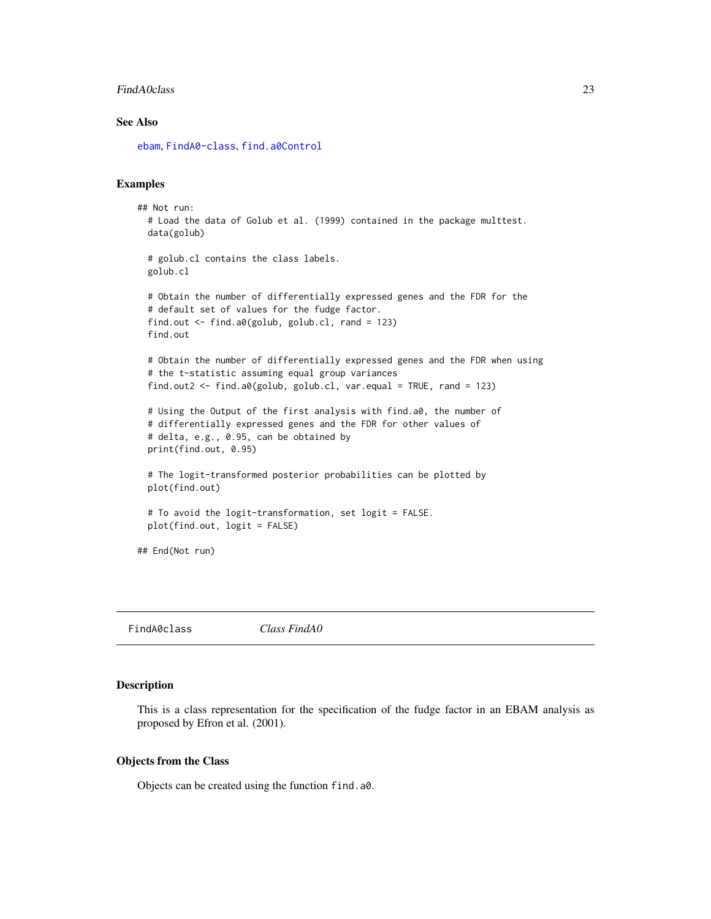#### <span id="page-22-0"></span>FindA0class 23

## See Also

[ebam](#page-13-1), [FindA0-class](#page-22-1), [find.a0Control](#page-18-2)

## Examples

```
## Not run:
 # Load the data of Golub et al. (1999) contained in the package multtest.
 data(golub)
 # golub.cl contains the class labels.
 golub.cl
 # Obtain the number of differentially expressed genes and the FDR for the
 # default set of values for the fudge factor.
 find.out <- find.a0(golub, golub.cl, rand = 123)
 find.out
 # Obtain the number of differentially expressed genes and the FDR when using
 # the t-statistic assuming equal group variances
 find.out2 \le find.a0(golub, golub.cl, var.equal = TRUE, rand = 123)
 # Using the Output of the first analysis with find.a0, the number of
 # differentially expressed genes and the FDR for other values of
 # delta, e.g., 0.95, can be obtained by
 print(find.out, 0.95)
 # The logit-transformed posterior probabilities can be plotted by
 plot(find.out)
 # To avoid the logit-transformation, set logit = FALSE.
 plot(find.out, logit = FALSE)
## End(Not run)
```
FindA0class *Class FindA0*

#### <span id="page-22-1"></span>Description

This is a class representation for the specification of the fudge factor in an EBAM analysis as proposed by Efron et al. (2001).

#### Objects from the Class

Objects can be created using the function find.a0.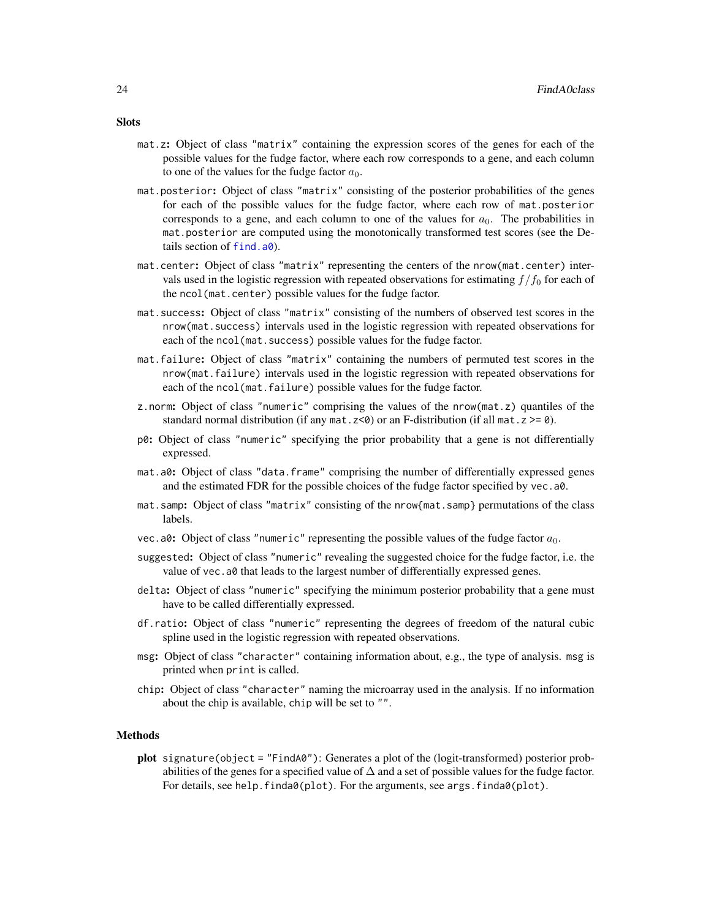- mat.z: Object of class "matrix" containing the expression scores of the genes for each of the possible values for the fudge factor, where each row corresponds to a gene, and each column to one of the values for the fudge factor  $a_0$ .
- mat.posterior: Object of class "matrix" consisting of the posterior probabilities of the genes for each of the possible values for the fudge factor, where each row of mat.posterior corresponds to a gene, and each column to one of the values for  $a_0$ . The probabilities in mat.posterior are computed using the monotonically transformed test scores (see the Details section of [find.a0](#page-20-1)).
- mat.center: Object of class "matrix" representing the centers of the nrow(mat.center) intervals used in the logistic regression with repeated observations for estimating  $f/f_0$  for each of the ncol(mat.center) possible values for the fudge factor.
- mat.success: Object of class "matrix" consisting of the numbers of observed test scores in the nrow(mat.success) intervals used in the logistic regression with repeated observations for each of the ncol (mat. success) possible values for the fudge factor.
- mat.failure: Object of class "matrix" containing the numbers of permuted test scores in the nrow(mat.failure) intervals used in the logistic regression with repeated observations for each of the ncol(mat.failure) possible values for the fudge factor.
- z.norm: Object of class "numeric" comprising the values of the nrow(mat.z) quantiles of the standard normal distribution (if any mat.  $z \le 0$ ) or an F-distribution (if all mat.  $z \ge 0$ ).
- p0: Object of class "numeric" specifying the prior probability that a gene is not differentially expressed.
- mat.a0: Object of class "data.frame" comprising the number of differentially expressed genes and the estimated FDR for the possible choices of the fudge factor specified by vec.a0.
- mat.samp: Object of class "matrix" consisting of the nrow{mat.samp} permutations of the class labels.
- vec.a0: Object of class "numeric" representing the possible values of the fudge factor  $a_0$ .
- suggested: Object of class "numeric" revealing the suggested choice for the fudge factor, i.e. the value of vec. a0 that leads to the largest number of differentially expressed genes.
- delta: Object of class "numeric" specifying the minimum posterior probability that a gene must have to be called differentially expressed.
- df.ratio: Object of class "numeric" representing the degrees of freedom of the natural cubic spline used in the logistic regression with repeated observations.
- msg: Object of class "character" containing information about, e.g., the type of analysis. msg is printed when print is called.
- chip: Object of class "character" naming the microarray used in the analysis. If no information about the chip is available, chip will be set to "".

#### Methods

plot signature(object = "FindA0"): Generates a plot of the (logit-transformed) posterior probabilities of the genes for a specified value of  $\Delta$  and a set of possible values for the fudge factor. For details, see help.finda0(plot). For the arguments, see args.finda0(plot).

## **Slots**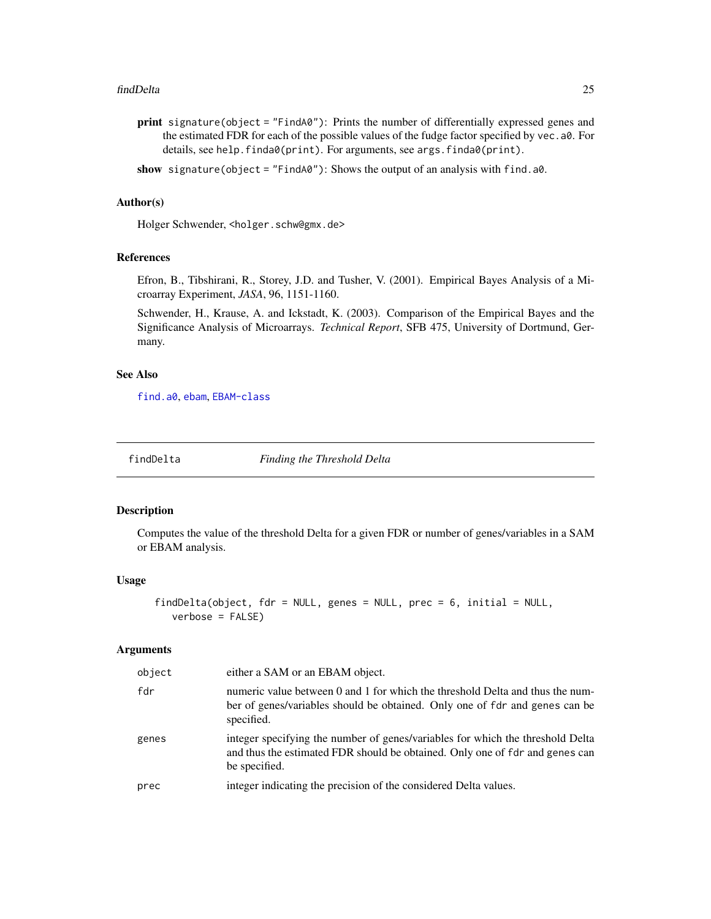#### <span id="page-24-0"></span>findDelta 25

print signature(object = "FindA0"): Prints the number of differentially expressed genes and the estimated FDR for each of the possible values of the fudge factor specified by vec.a0. For details, see help.finda0(print). For arguments, see args.finda0(print).

show signature(object = "FindA0"): Shows the output of an analysis with find.a0.

#### Author(s)

Holger Schwender, <holger.schw@gmx.de>

## References

Efron, B., Tibshirani, R., Storey, J.D. and Tusher, V. (2001). Empirical Bayes Analysis of a Microarray Experiment, *JASA*, 96, 1151-1160.

Schwender, H., Krause, A. and Ickstadt, K. (2003). Comparison of the Empirical Bayes and the Significance Analysis of Microarrays. *Technical Report*, SFB 475, University of Dortmund, Germany.

#### See Also

[find.a0](#page-20-1), [ebam](#page-13-1), [EBAM-class](#page-16-1)

findDelta *Finding the Threshold Delta*

#### **Description**

Computes the value of the threshold Delta for a given FDR or number of genes/variables in a SAM or EBAM analysis.

## Usage

```
findDelta(object, fdr = NULL, genes = NULL, prec = 6, initial = NULL,
  verbose = FALSE)
```

| object | either a SAM or an EBAM object.                                                                                                                                                 |
|--------|---------------------------------------------------------------------------------------------------------------------------------------------------------------------------------|
| fdr    | numeric value between 0 and 1 for which the threshold Delta and thus the num-<br>ber of genes/variables should be obtained. Only one of fdr and genes can be<br>specified.      |
| genes  | integer specifying the number of genes/variables for which the threshold Delta<br>and thus the estimated FDR should be obtained. Only one of fdr and genes can<br>be specified. |
| prec   | integer indicating the precision of the considered Delta values.                                                                                                                |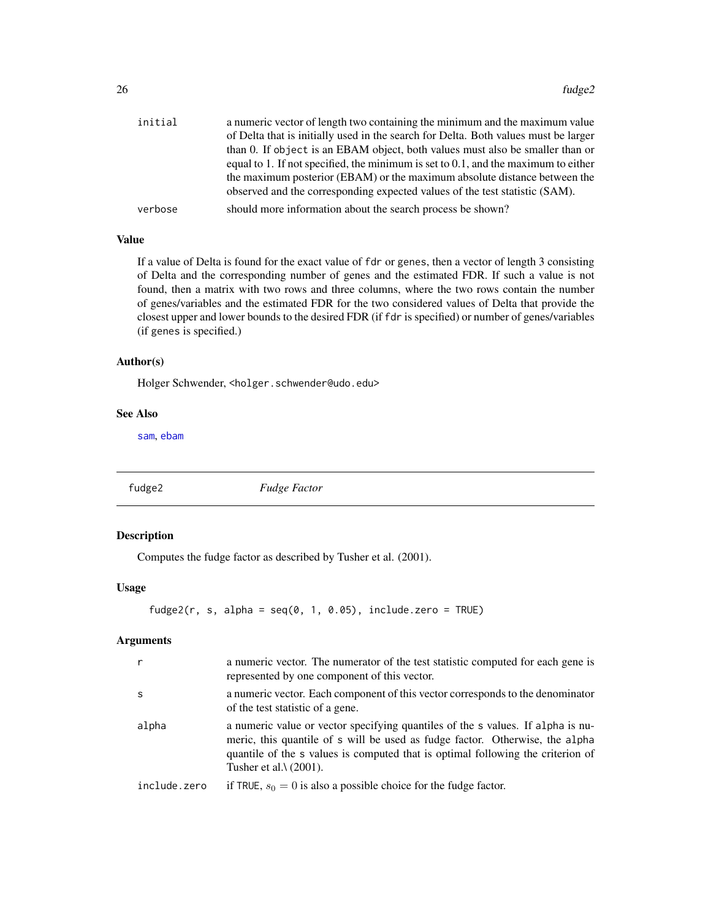<span id="page-25-0"></span>

| of Delta that is initially used in the search for Delta. Both values must be larger<br>than 0. If object is an EBAM object, both values must also be smaller than or<br>equal to 1. If not specified, the minimum is set to $0.1$ , and the maximum to either<br>the maximum posterior (EBAM) or the maximum absolute distance between the<br>observed and the corresponding expected values of the test statistic (SAM). | a numeric vector of length two containing the minimum and the maximum value |
|---------------------------------------------------------------------------------------------------------------------------------------------------------------------------------------------------------------------------------------------------------------------------------------------------------------------------------------------------------------------------------------------------------------------------|-----------------------------------------------------------------------------|
|                                                                                                                                                                                                                                                                                                                                                                                                                           |                                                                             |
|                                                                                                                                                                                                                                                                                                                                                                                                                           |                                                                             |
|                                                                                                                                                                                                                                                                                                                                                                                                                           |                                                                             |
|                                                                                                                                                                                                                                                                                                                                                                                                                           |                                                                             |
|                                                                                                                                                                                                                                                                                                                                                                                                                           |                                                                             |
| should more information about the search process be shown?<br>verbose                                                                                                                                                                                                                                                                                                                                                     |                                                                             |

## Value

If a value of Delta is found for the exact value of fdr or genes, then a vector of length 3 consisting of Delta and the corresponding number of genes and the estimated FDR. If such a value is not found, then a matrix with two rows and three columns, where the two rows contain the number of genes/variables and the estimated FDR for the two considered values of Delta that provide the closest upper and lower bounds to the desired FDR (if fdr is specified) or number of genes/variables (if genes is specified.)

#### Author(s)

Holger Schwender, <holger.schwender@udo.edu>

## See Also

[sam](#page-47-1), [ebam](#page-13-1)

fudge2 *Fudge Factor*

## Description

Computes the fudge factor as described by Tusher et al. (2001).

## Usage

```
fudge2(r, s, alpha = seq(0, 1, 0.05), include.zero = TRUE)
```

| $\mathsf{r}$ | a numeric vector. The numerator of the test statistic computed for each gene is<br>represented by one component of this vector.                                                                                                                                                       |
|--------------|---------------------------------------------------------------------------------------------------------------------------------------------------------------------------------------------------------------------------------------------------------------------------------------|
| <sub>S</sub> | a numeric vector. Each component of this vector corresponds to the denominator<br>of the test statistic of a gene.                                                                                                                                                                    |
| alpha        | a numeric value or vector specifying quantiles of the s values. If alpha is nu-<br>meric, this quantile of s will be used as fudge factor. Otherwise, the alpha<br>quantile of the s values is computed that is optimal following the criterion of<br>Tusher et al. $\lambda$ (2001). |
| include.zero | if TRUE, $s_0 = 0$ is also a possible choice for the fudge factor.                                                                                                                                                                                                                    |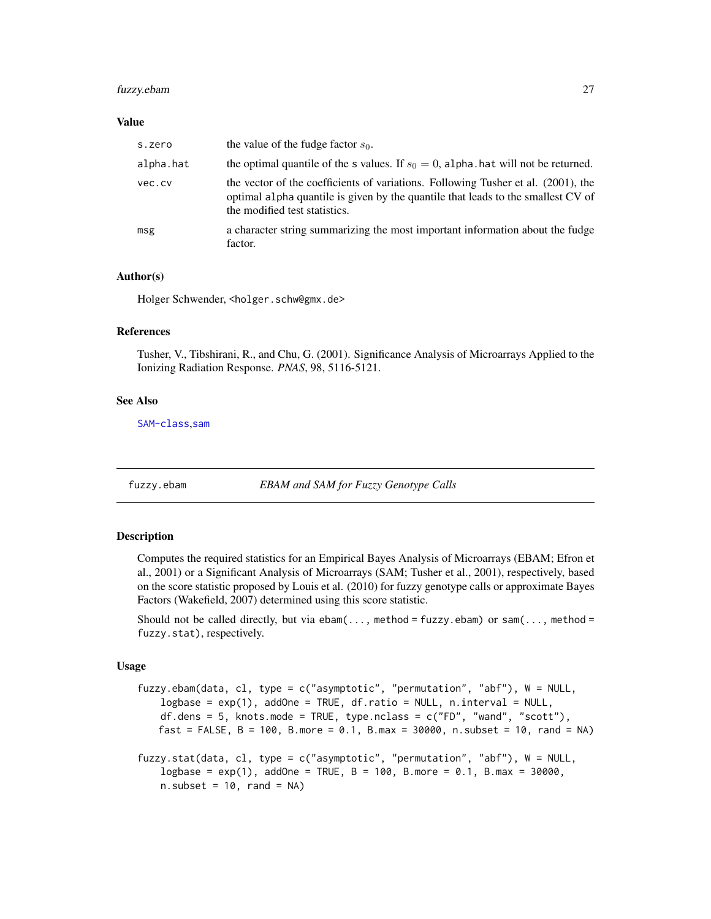## <span id="page-26-0"></span>fuzzy.ebam 27

#### Value

| s.zero    | the value of the fudge factor $s_0$ .                                                                                                                                                                  |
|-----------|--------------------------------------------------------------------------------------------------------------------------------------------------------------------------------------------------------|
| alpha.hat | the optimal quantile of the s values. If $s_0 = 0$ , alpha. hat will not be returned.                                                                                                                  |
| vec.cv    | the vector of the coefficients of variations. Following Tusher et al. (2001), the<br>optimal alpha quantile is given by the quantile that leads to the smallest CV of<br>the modified test statistics. |
| msg       | a character string summarizing the most important information about the fudge<br>factor.                                                                                                               |

## Author(s)

Holger Schwender, <holger.schw@gmx.de>

## References

Tusher, V., Tibshirani, R., and Chu, G. (2001). Significance Analysis of Microarrays Applied to the Ionizing Radiation Response. *PNAS*, 98, 5116-5121.

#### See Also

[SAM-class](#page-50-1),[sam](#page-47-1)

fuzzy.ebam *EBAM and SAM for Fuzzy Genotype Calls*

#### **Description**

Computes the required statistics for an Empirical Bayes Analysis of Microarrays (EBAM; Efron et al., 2001) or a Significant Analysis of Microarrays (SAM; Tusher et al., 2001), respectively, based on the score statistic proposed by Louis et al. (2010) for fuzzy genotype calls or approximate Bayes Factors (Wakefield, 2007) determined using this score statistic.

Should not be called directly, but via  $ebam(..., method = fuzzy.ebam)$  or  $sam(..., method =)$ fuzzy.stat), respectively.

#### Usage

```
fuzzy.ebam(data, cl, type = c("asymptotic", "permutation", "abf"), W = NULL,
   logbase = exp(1), addOne = TRUE, df.ratio = NULL, n.interval = NULL,
   df.dens = 5, knots.mode = TRUE, type.nclass = c("FD", "wand", "scott"),fast = FALSE, B = 100, B.more = 0.1, B.max = 30000, n.subset = 10, rand = NA)
fuzzy.stat(data, cl, type = c("asymptotic", "permutation", "abf"), W = NULL,
   logbase = exp(1), addOne = TRUE, B = 100, B.more = 0.1, B.max = 30000,
   n.subset = 10, rand = NA)
```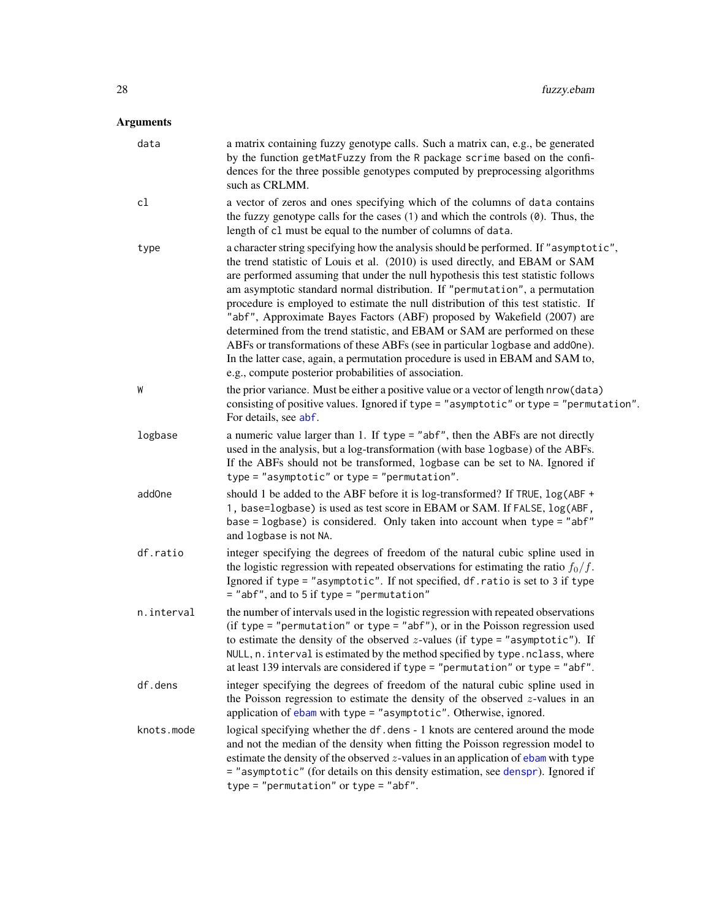| data               | a matrix containing fuzzy genotype calls. Such a matrix can, e.g., be generated<br>by the function getMatFuzzy from the R package scrime based on the confi-<br>dences for the three possible genotypes computed by preprocessing algorithms<br>such as CRLMM.                                                                                                                                                                                                                                                                                                                                                                                                                                                                                                                                                       |
|--------------------|----------------------------------------------------------------------------------------------------------------------------------------------------------------------------------------------------------------------------------------------------------------------------------------------------------------------------------------------------------------------------------------------------------------------------------------------------------------------------------------------------------------------------------------------------------------------------------------------------------------------------------------------------------------------------------------------------------------------------------------------------------------------------------------------------------------------|
| cl                 | a vector of zeros and ones specifying which of the columns of data contains<br>the fuzzy genotype calls for the cases $(1)$ and which the controls $(0)$ . Thus, the<br>length of c1 must be equal to the number of columns of data.                                                                                                                                                                                                                                                                                                                                                                                                                                                                                                                                                                                 |
| type               | a character string specifying how the analysis should be performed. If "asymptotic",<br>the trend statistic of Louis et al. (2010) is used directly, and EBAM or SAM<br>are performed assuming that under the null hypothesis this test statistic follows<br>am asymptotic standard normal distribution. If "permutation", a permutation<br>procedure is employed to estimate the null distribution of this test statistic. If<br>"abf", Approximate Bayes Factors (ABF) proposed by Wakefield (2007) are<br>determined from the trend statistic, and EBAM or SAM are performed on these<br>ABFs or transformations of these ABFs (see in particular logbase and addOne).<br>In the latter case, again, a permutation procedure is used in EBAM and SAM to,<br>e.g., compute posterior probabilities of association. |
| W                  | the prior variance. Must be either a positive value or a vector of length nrow (data)<br>consisting of positive values. Ignored if type = "asymptotic" or type = "permutation".<br>For details, see abf.                                                                                                                                                                                                                                                                                                                                                                                                                                                                                                                                                                                                             |
| logbase            | a numeric value larger than 1. If type = "abf", then the ABFs are not directly<br>used in the analysis, but a log-transformation (with base logbase) of the ABFs.<br>If the ABFs should not be transformed, logbase can be set to NA. Ignored if<br>$type = "asymptotic"$ or $type = "permutation".$                                                                                                                                                                                                                                                                                                                                                                                                                                                                                                                 |
| add <sub>One</sub> | should 1 be added to the ABF before it is log-transformed? If TRUE, log(ABF +<br>1, base=logbase) is used as test score in EBAM or SAM. If FALSE, log(ABF,<br>base = logbase) is considered. Only taken into account when type = "abf"<br>and logbase is not NA.                                                                                                                                                                                                                                                                                                                                                                                                                                                                                                                                                     |
| df.ratio           | integer specifying the degrees of freedom of the natural cubic spline used in<br>the logistic regression with repeated observations for estimating the ratio $f_0/f$ .<br>Ignored if type = "asymptotic". If not specified, df. ratio is set to 3 if type<br>= "abf", and to 5 if type = "permutation"                                                                                                                                                                                                                                                                                                                                                                                                                                                                                                               |
| n.interval         | the number of intervals used in the logistic regression with repeated observations<br>(if type = "permutation" or type = "abf"), or in the Poisson regression used<br>to estimate the density of the observed $z$ -values (if type = "asymptotic"). If<br>NULL, n. interval is estimated by the method specified by type. nclass, where<br>at least 139 intervals are considered if type = "permutation" or type = "abf".                                                                                                                                                                                                                                                                                                                                                                                            |
| df.dens            | integer specifying the degrees of freedom of the natural cubic spline used in<br>the Poisson regression to estimate the density of the observed $z$ -values in an<br>application of ebam with type = "asymptotic". Otherwise, ignored.                                                                                                                                                                                                                                                                                                                                                                                                                                                                                                                                                                               |
| knots.mode         | logical specifying whether the df.dens - 1 knots are centered around the mode<br>and not the median of the density when fitting the Poisson regression model to<br>estimate the density of the observed $z$ -values in an application of ebam with type<br>= "asymptotic" (for details on this density estimation, see denspr). Ignored if<br>$type = "permutation" or type = "abf".$                                                                                                                                                                                                                                                                                                                                                                                                                                |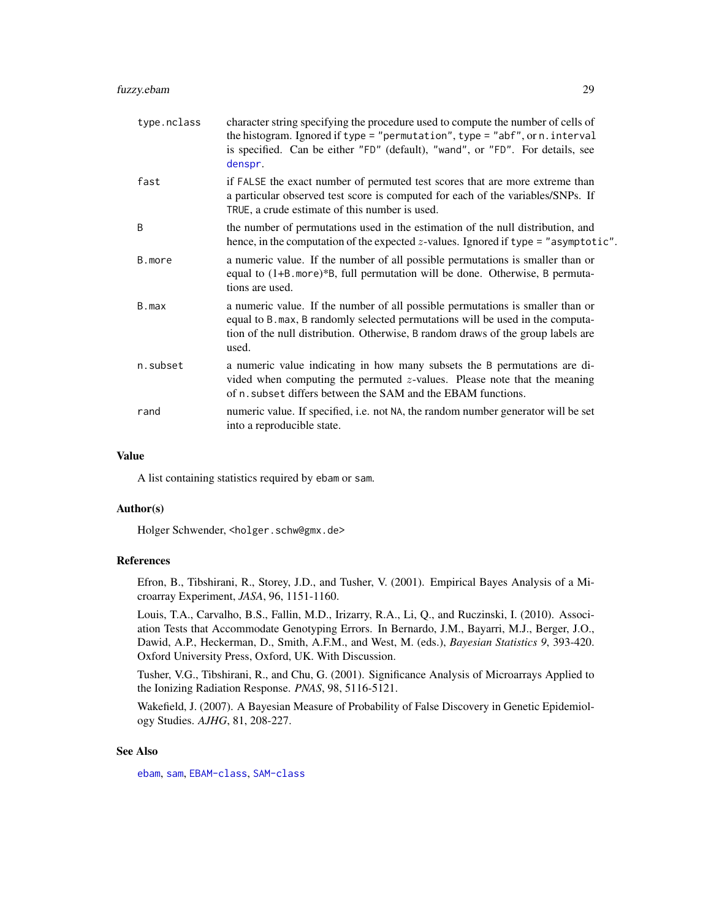| type.nclass | character string specifying the procedure used to compute the number of cells of<br>the histogram. Ignored if type = "permutation", type = "abf", or n. interval<br>is specified. Can be either "FD" (default), "wand", or "FD". For details, see<br>denspr.  |
|-------------|---------------------------------------------------------------------------------------------------------------------------------------------------------------------------------------------------------------------------------------------------------------|
| fast        | if FALSE the exact number of permuted test scores that are more extreme than<br>a particular observed test score is computed for each of the variables/SNPs. If<br>TRUE, a crude estimate of this number is used.                                             |
| B           | the number of permutations used in the estimation of the null distribution, and<br>hence, in the computation of the expected z-values. Ignored if type = "asymptotic".                                                                                        |
| B.more      | a numeric value. If the number of all possible permutations is smaller than or<br>equal to (1+B.more)*B, full permutation will be done. Otherwise, B permuta-<br>tions are used.                                                                              |
| B.max       | a numeric value. If the number of all possible permutations is smaller than or<br>equal to B. max, B randomly selected permutations will be used in the computa-<br>tion of the null distribution. Otherwise, B random draws of the group labels are<br>used. |
| n.subset    | a numeric value indicating in how many subsets the B permutations are di-<br>vided when computing the permuted $z$ -values. Please note that the meaning<br>of n. subset differs between the SAM and the EBAM functions.                                      |
| rand        | numeric value. If specified, i.e. not NA, the random number generator will be set<br>into a reproducible state.                                                                                                                                               |

#### Value

A list containing statistics required by ebam or sam.

#### Author(s)

Holger Schwender, <holger.schw@gmx.de>

## References

Efron, B., Tibshirani, R., Storey, J.D., and Tusher, V. (2001). Empirical Bayes Analysis of a Microarray Experiment, *JASA*, 96, 1151-1160.

Louis, T.A., Carvalho, B.S., Fallin, M.D., Irizarry, R.A., Li, Q., and Ruczinski, I. (2010). Association Tests that Accommodate Genotyping Errors. In Bernardo, J.M., Bayarri, M.J., Berger, J.O., Dawid, A.P., Heckerman, D., Smith, A.F.M., and West, M. (eds.), *Bayesian Statistics 9*, 393-420. Oxford University Press, Oxford, UK. With Discussion.

Tusher, V.G., Tibshirani, R., and Chu, G. (2001). Significance Analysis of Microarrays Applied to the Ionizing Radiation Response. *PNAS*, 98, 5116-5121.

Wakefield, J. (2007). A Bayesian Measure of Probability of False Discovery in Genetic Epidemiology Studies. *AJHG*, 81, 208-227.

## See Also

[ebam](#page-13-1), [sam](#page-47-1), [EBAM-class](#page-16-1), [SAM-class](#page-50-1)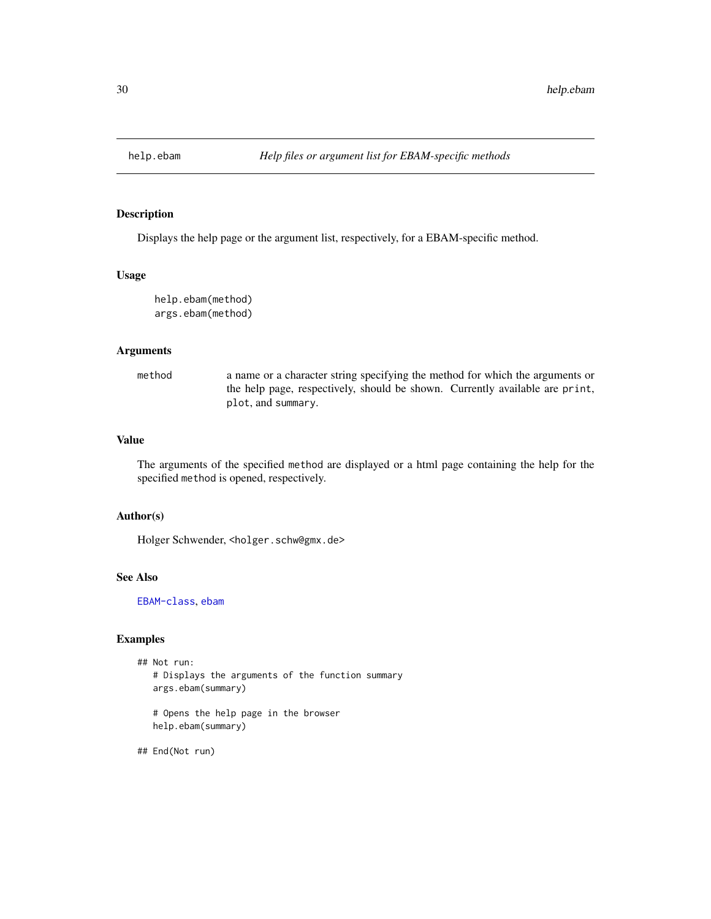<span id="page-29-0"></span>

Displays the help page or the argument list, respectively, for a EBAM-specific method.

## Usage

help.ebam(method) args.ebam(method)

## Arguments

method a name or a character string specifying the method for which the arguments or the help page, respectively, should be shown. Currently available are print, plot, and summary.

## Value

The arguments of the specified method are displayed or a html page containing the help for the specified method is opened, respectively.

## Author(s)

Holger Schwender, <holger.schw@gmx.de>

#### See Also

[EBAM-class](#page-16-1), [ebam](#page-13-1)

## Examples

```
## Not run:
  # Displays the arguments of the function summary
  args.ebam(summary)
```
# Opens the help page in the browser help.ebam(summary)

## End(Not run)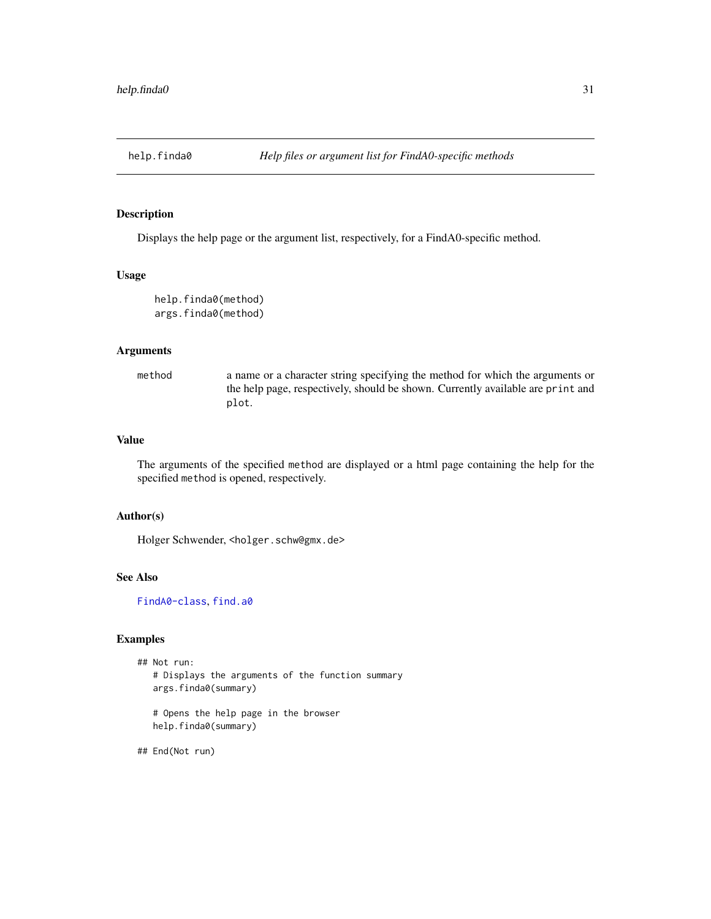<span id="page-30-0"></span>

Displays the help page or the argument list, respectively, for a FindA0-specific method.

## Usage

help.finda0(method) args.finda0(method)

## Arguments

method a name or a character string specifying the method for which the arguments or the help page, respectively, should be shown. Currently available are print and plot.

## Value

The arguments of the specified method are displayed or a html page containing the help for the specified method is opened, respectively.

## Author(s)

Holger Schwender, <holger.schw@gmx.de>

## See Also

[FindA0-class](#page-22-1), [find.a0](#page-20-1)

## Examples

```
## Not run:
  # Displays the arguments of the function summary
  args.finda0(summary)
  # Opens the help page in the browser
  help.finda0(summary)
```
## End(Not run)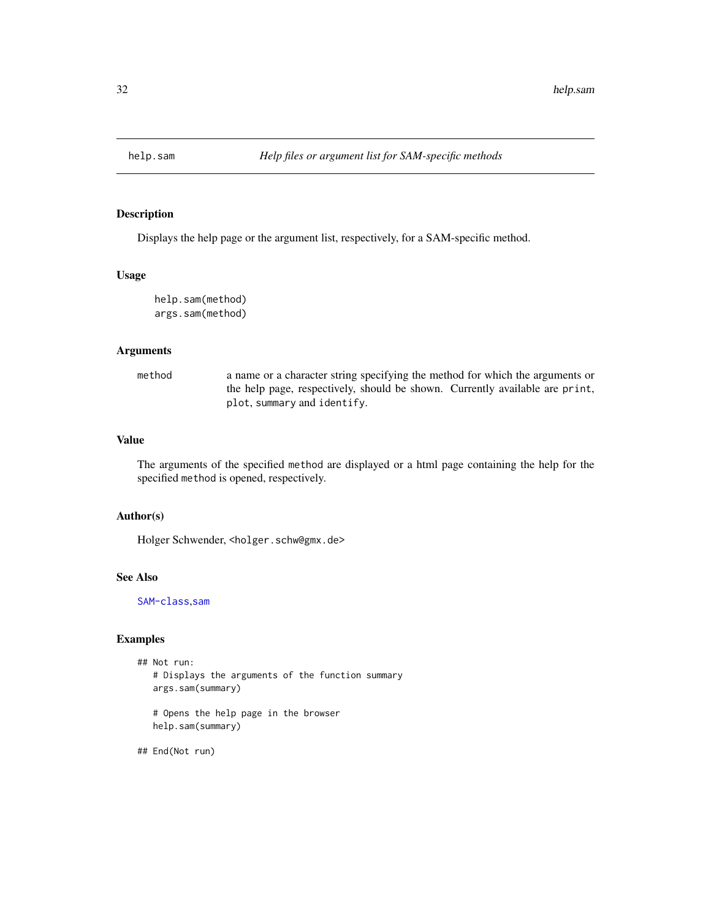<span id="page-31-0"></span>

Displays the help page or the argument list, respectively, for a SAM-specific method.

## Usage

help.sam(method) args.sam(method)

## Arguments

method a name or a character string specifying the method for which the arguments or the help page, respectively, should be shown. Currently available are print, plot, summary and identify.

## Value

The arguments of the specified method are displayed or a html page containing the help for the specified method is opened, respectively.

## Author(s)

Holger Schwender, <holger.schw@gmx.de>

#### See Also

[SAM-class](#page-50-1),[sam](#page-47-1)

## Examples

```
## Not run:
  # Displays the arguments of the function summary
  args.sam(summary)
```
# Opens the help page in the browser help.sam(summary)

## End(Not run)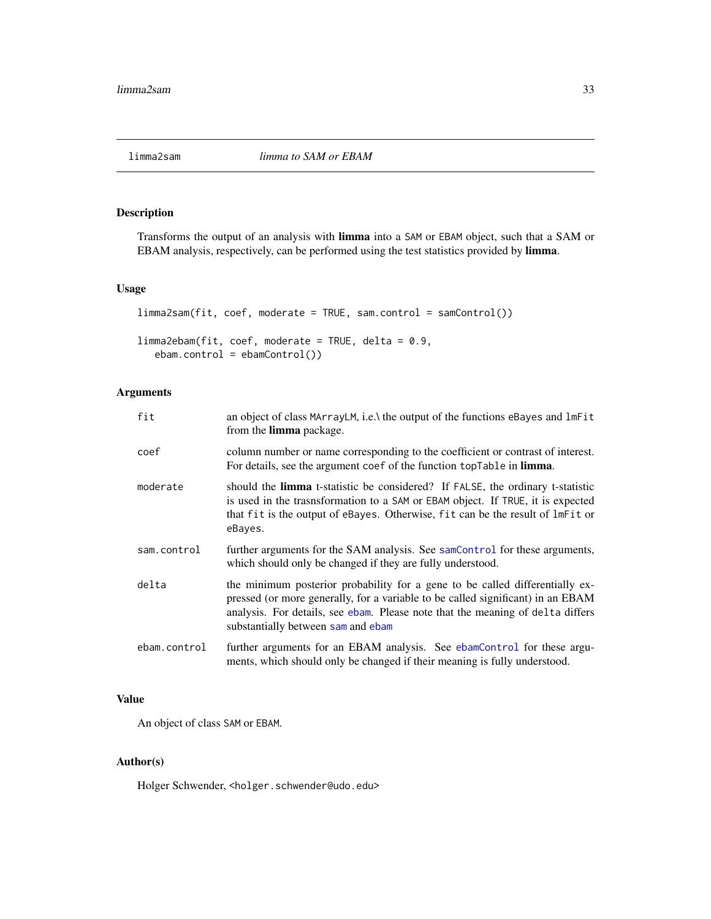<span id="page-32-1"></span><span id="page-32-0"></span>

Transforms the output of an analysis with limma into a SAM or EBAM object, such that a SAM or EBAM analysis, respectively, can be performed using the test statistics provided by limma.

## Usage

```
limma2sam(fit, coef, moderate = TRUE, sam.control = samControl())
limma2ebam(fit, coef, moderate = TRUE, delta = 0.9,
   ebam.control = ebamControl()
```
## Arguments

| fit          | an object of class MArrayLM, i.e.\ the output of the functions eBayes and lmFit<br>from the limma package.                                                                                                                                                                              |
|--------------|-----------------------------------------------------------------------------------------------------------------------------------------------------------------------------------------------------------------------------------------------------------------------------------------|
| coef         | column number or name corresponding to the coefficient or contrast of interest.<br>For details, see the argument coef of the function topTable in limma.                                                                                                                                |
| moderate     | should the limma t-statistic be considered? If FALSE, the ordinary t-statistic<br>is used in the trasnsformation to a SAM or EBAM object. If TRUE, it is expected<br>that fit is the output of eBayes. Otherwise, fit can be the result of lmFit or<br>eBayes.                          |
| sam.control  | further arguments for the SAM analysis. See samControl for these arguments,<br>which should only be changed if they are fully understood.                                                                                                                                               |
| delta        | the minimum posterior probability for a gene to be called differentially ex-<br>pressed (or more generally, for a variable to be called significant) in an EBAM<br>analysis. For details, see ebam. Please note that the meaning of delta differs<br>substantially between sam and ebam |
| ebam.control | further arguments for an EBAM analysis. See ebamControl for these argu-<br>ments, which should only be changed if their meaning is fully understood.                                                                                                                                    |

## Value

An object of class SAM or EBAM.

## Author(s)

Holger Schwender, <holger.schwender@udo.edu>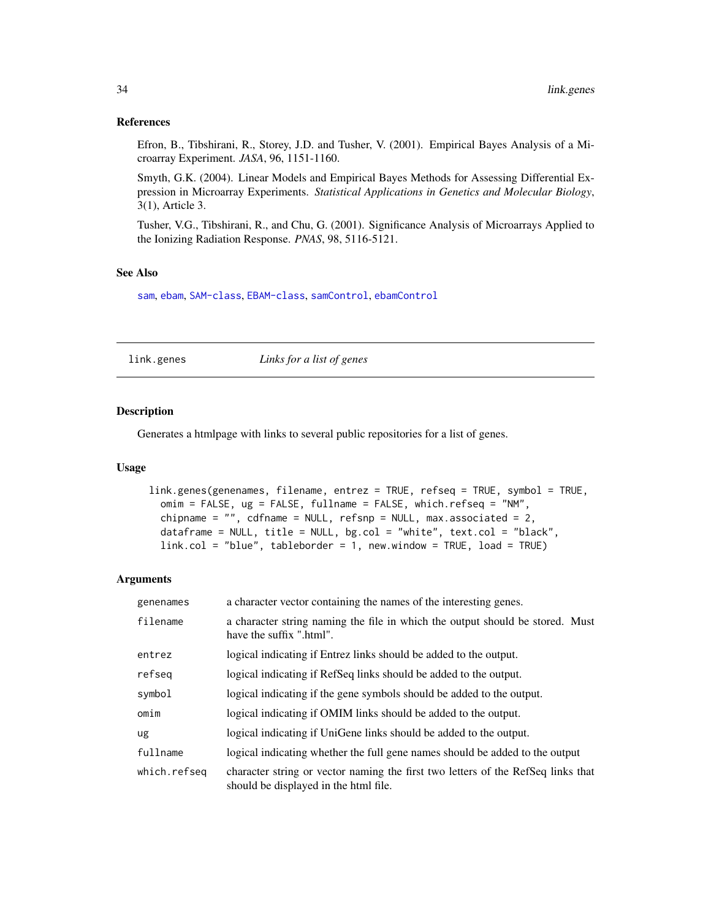#### <span id="page-33-0"></span>References

Efron, B., Tibshirani, R., Storey, J.D. and Tusher, V. (2001). Empirical Bayes Analysis of a Microarray Experiment. *JASA*, 96, 1151-1160.

Smyth, G.K. (2004). Linear Models and Empirical Bayes Methods for Assessing Differential Expression in Microarray Experiments. *Statistical Applications in Genetics and Molecular Biology*, 3(1), Article 3.

Tusher, V.G., Tibshirani, R., and Chu, G. (2001). Significance Analysis of Microarrays Applied to the Ionizing Radiation Response. *PNAS*, 98, 5116-5121.

#### See Also

[sam](#page-47-1), [ebam](#page-13-1), [SAM-class](#page-50-1), [EBAM-class](#page-16-1), [samControl](#page-55-1), [ebamControl](#page-18-1)

link.genes *Links for a list of genes*

## Description

Generates a htmlpage with links to several public repositories for a list of genes.

#### Usage

```
link.genes(genenames, filename, entrez = TRUE, refseq = TRUE, symbol = TRUE,
 omim = FALSE, ug = FALSE, fullname = FALSE, which.refseq = "NM",
 chipname = ", cdfname = NULL, refsnp = NULL, max.associated = 2,
 dataframe = NULL, title = NULL, bg,col = "white", text,col = "black",link.col = "blue", tableborder = 1, new.window = TRUE, load = TRUE)
```

| genenames    | a character vector containing the names of the interesting genes.                                                         |
|--------------|---------------------------------------------------------------------------------------------------------------------------|
| filename     | a character string naming the file in which the output should be stored. Must<br>have the suffix ".html".                 |
| entrez       | logical indicating if Entrez links should be added to the output.                                                         |
| refseg       | logical indicating if RefSeq links should be added to the output.                                                         |
| symbol       | logical indicating if the gene symbols should be added to the output.                                                     |
| omim         | logical indicating if OMIM links should be added to the output.                                                           |
| ug           | logical indicating if UniGene links should be added to the output.                                                        |
| fullname     | logical indicating whether the full gene names should be added to the output                                              |
| which.refseq | character string or vector naming the first two letters of the RefSeq links that<br>should be displayed in the html file. |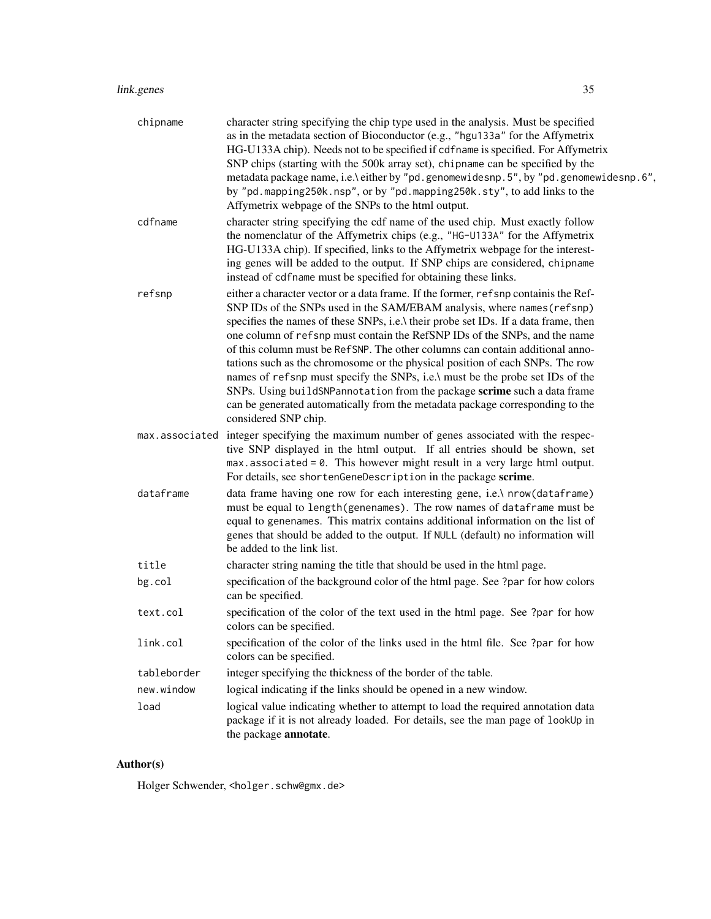## link.genes 35

| chipname       | character string specifying the chip type used in the analysis. Must be specified                                                                                                                                                                                                                                                                                                                                                                                                                                                                                                                                                                                                                                                                                            |
|----------------|------------------------------------------------------------------------------------------------------------------------------------------------------------------------------------------------------------------------------------------------------------------------------------------------------------------------------------------------------------------------------------------------------------------------------------------------------------------------------------------------------------------------------------------------------------------------------------------------------------------------------------------------------------------------------------------------------------------------------------------------------------------------------|
|                | as in the metadata section of Bioconductor (e.g., "hgu133a" for the Affymetrix<br>HG-U133A chip). Needs not to be specified if cdfname is specified. For Affymetrix<br>SNP chips (starting with the 500k array set), chipname can be specified by the<br>metadata package name, i.e.\ either by "pd.genomewidesnp.5", by "pd.genomewidesnp.6",<br>by "pd.mapping250k.nsp", or by "pd.mapping250k.sty", to add links to the<br>Affymetrix webpage of the SNPs to the html output.                                                                                                                                                                                                                                                                                             |
| cdfname        | character string specifying the cdf name of the used chip. Must exactly follow<br>the nomenclatur of the Affymetrix chips (e.g., "HG-U133A" for the Affymetrix<br>HG-U133A chip). If specified, links to the Affymetrix webpage for the interest-<br>ing genes will be added to the output. If SNP chips are considered, chipname<br>instead of cdfname must be specified for obtaining these links.                                                                                                                                                                                                                                                                                                                                                                         |
| refsnp         | either a character vector or a data frame. If the former, refsnp containis the Ref-<br>SNP IDs of the SNPs used in the SAM/EBAM analysis, where names (refsnp)<br>specifies the names of these SNPs, i.e.\ their probe set IDs. If a data frame, then<br>one column of refsnp must contain the RefSNP IDs of the SNPs, and the name<br>of this column must be RefSNP. The other columns can contain additional anno-<br>tations such as the chromosome or the physical position of each SNPs. The row<br>names of refsnp must specify the SNPs, i.e.\ must be the probe set IDs of the<br>SNPs. Using buildSNP annotation from the package scrime such a data frame<br>can be generated automatically from the metadata package corresponding to the<br>considered SNP chip. |
| max.associated | integer specifying the maximum number of genes associated with the respec-<br>tive SNP displayed in the html output. If all entries should be shown, set<br>$max. associated = 0$ . This however might result in a very large html output.<br>For details, see shortenGeneDescription in the package scrime.                                                                                                                                                                                                                                                                                                                                                                                                                                                                 |
| dataframe      | data frame having one row for each interesting gene, i.e.\ nrow(dataframe)<br>must be equal to length(genenames). The row names of dataframe must be<br>equal to genenames. This matrix contains additional information on the list of<br>genes that should be added to the output. If NULL (default) no information will<br>be added to the link list.                                                                                                                                                                                                                                                                                                                                                                                                                      |
| title          | character string naming the title that should be used in the html page.                                                                                                                                                                                                                                                                                                                                                                                                                                                                                                                                                                                                                                                                                                      |
| bg.col         | specification of the background color of the html page. See ?par for how colors<br>can be specified.                                                                                                                                                                                                                                                                                                                                                                                                                                                                                                                                                                                                                                                                         |
| text.col       | specification of the color of the text used in the html page. See ?par for how<br>colors can be specified.                                                                                                                                                                                                                                                                                                                                                                                                                                                                                                                                                                                                                                                                   |
| link.col       | specification of the color of the links used in the html file. See ?par for how<br>colors can be specified.                                                                                                                                                                                                                                                                                                                                                                                                                                                                                                                                                                                                                                                                  |
| tableborder    | integer specifying the thickness of the border of the table.                                                                                                                                                                                                                                                                                                                                                                                                                                                                                                                                                                                                                                                                                                                 |
| new.window     | logical indicating if the links should be opened in a new window.                                                                                                                                                                                                                                                                                                                                                                                                                                                                                                                                                                                                                                                                                                            |
| load           | logical value indicating whether to attempt to load the required annotation data<br>package if it is not already loaded. For details, see the man page of lookUp in<br>the package annotate.                                                                                                                                                                                                                                                                                                                                                                                                                                                                                                                                                                                 |

## Author(s)

Holger Schwender, <holger.schw@gmx.de>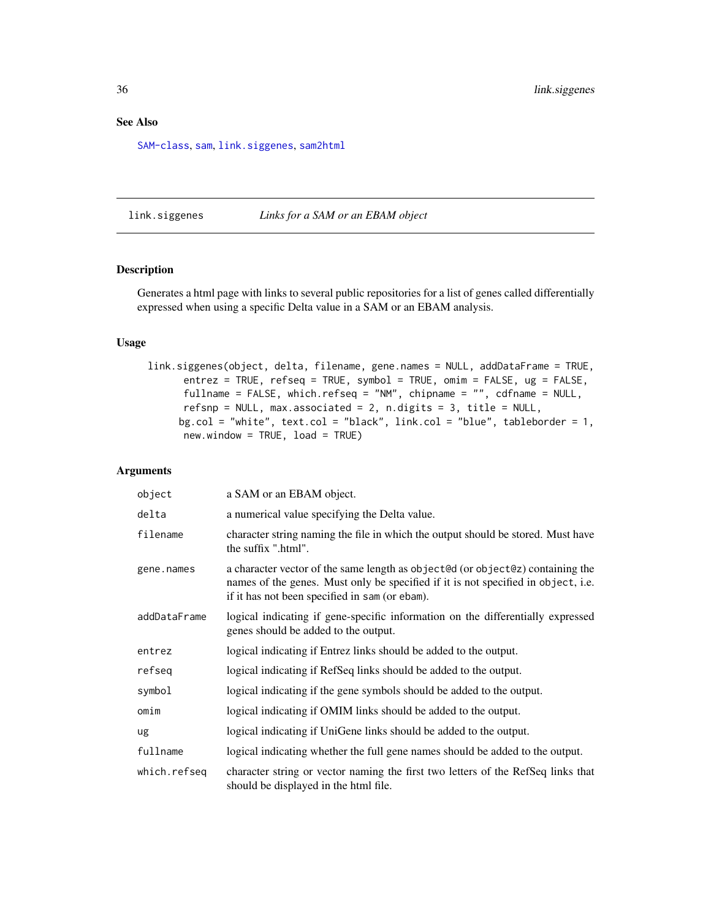## <span id="page-35-0"></span>See Also

[SAM-class](#page-50-1), [sam](#page-47-1), [link.siggenes](#page-35-1), [sam2html](#page-58-1)

<span id="page-35-1"></span>link.siggenes *Links for a SAM or an EBAM object*

## Description

Generates a html page with links to several public repositories for a list of genes called differentially expressed when using a specific Delta value in a SAM or an EBAM analysis.

#### Usage

link.siggenes(object, delta, filename, gene.names = NULL, addDataFrame = TRUE, entrez = TRUE, refseq = TRUE, symbol = TRUE, omim = FALSE, ug = FALSE, fullname = FALSE, which.refseq = "NM", chipname = "", cdfname = NULL, refsnp = NULL, max.associated = 2, n.digits = 3, title = NULL, bg.col = "white", text.col = "black", link.col = "blue", tableborder = 1, new.window = TRUE, load = TRUE)

| object       | a SAM or an EBAM object.                                                                                                                                                                                              |
|--------------|-----------------------------------------------------------------------------------------------------------------------------------------------------------------------------------------------------------------------|
| delta        | a numerical value specifying the Delta value.                                                                                                                                                                         |
| filename     | character string naming the file in which the output should be stored. Must have<br>the suffix ".html".                                                                                                               |
| gene.names   | a character vector of the same length as object@d (or object@z) containing the<br>names of the genes. Must only be specified if it is not specified in object, i.e.<br>if it has not been specified in sam (or ebam). |
| addDataFrame | logical indicating if gene-specific information on the differentially expressed<br>genes should be added to the output.                                                                                               |
| entrez       | logical indicating if Entrez links should be added to the output.                                                                                                                                                     |
| refseg       | logical indicating if RefSeq links should be added to the output.                                                                                                                                                     |
| symbol       | logical indicating if the gene symbols should be added to the output.                                                                                                                                                 |
| omim         | logical indicating if OMIM links should be added to the output.                                                                                                                                                       |
| ug           | logical indicating if UniGene links should be added to the output.                                                                                                                                                    |
| fullname     | logical indicating whether the full gene names should be added to the output.                                                                                                                                         |
| which.refseq | character string or vector naming the first two letters of the RefSeq links that<br>should be displayed in the html file.                                                                                             |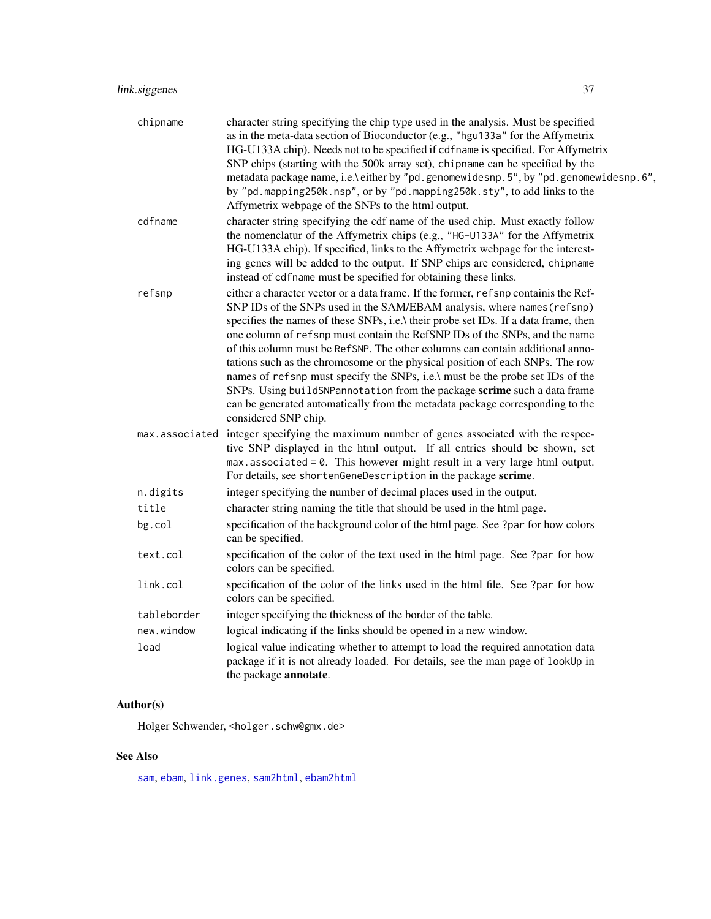| chipname       | character string specifying the chip type used in the analysis. Must be specified<br>as in the meta-data section of Bioconductor (e.g., "hgu133a" for the Affymetrix<br>HG-U133A chip). Needs not to be specified if cdfname is specified. For Affymetrix<br>SNP chips (starting with the 500k array set), chipname can be specified by the<br>metadata package name, i.e.\ either by "pd.genomewidesnp.5", by "pd.genomewidesnp.6",<br>by "pd.mapping250k.nsp", or by "pd.mapping250k.sty", to add links to the<br>Affymetrix webpage of the SNPs to the html output.                                                                                                                                                                                                       |
|----------------|------------------------------------------------------------------------------------------------------------------------------------------------------------------------------------------------------------------------------------------------------------------------------------------------------------------------------------------------------------------------------------------------------------------------------------------------------------------------------------------------------------------------------------------------------------------------------------------------------------------------------------------------------------------------------------------------------------------------------------------------------------------------------|
| cdfname        | character string specifying the cdf name of the used chip. Must exactly follow<br>the nomenclatur of the Affymetrix chips (e.g., "HG-U133A" for the Affymetrix<br>HG-U133A chip). If specified, links to the Affymetrix webpage for the interest-<br>ing genes will be added to the output. If SNP chips are considered, chipname<br>instead of cdfname must be specified for obtaining these links.                                                                                                                                                                                                                                                                                                                                                                         |
| refsnp         | either a character vector or a data frame. If the former, refsnp containis the Ref-<br>SNP IDs of the SNPs used in the SAM/EBAM analysis, where names (refsnp)<br>specifies the names of these SNPs, i.e.\ their probe set IDs. If a data frame, then<br>one column of refsnp must contain the RefSNP IDs of the SNPs, and the name<br>of this column must be RefSNP. The other columns can contain additional anno-<br>tations such as the chromosome or the physical position of each SNPs. The row<br>names of refsnp must specify the SNPs, i.e.\ must be the probe set IDs of the<br>SNPs. Using buildSNP annotation from the package scrime such a data frame<br>can be generated automatically from the metadata package corresponding to the<br>considered SNP chip. |
| max.associated | integer specifying the maximum number of genes associated with the respec-<br>tive SNP displayed in the html output. If all entries should be shown, set<br>$max. associated = 0$ . This however might result in a very large html output.<br>For details, see shortenGeneDescription in the package scrime.                                                                                                                                                                                                                                                                                                                                                                                                                                                                 |
| n.digits       | integer specifying the number of decimal places used in the output.                                                                                                                                                                                                                                                                                                                                                                                                                                                                                                                                                                                                                                                                                                          |
| title          | character string naming the title that should be used in the html page.                                                                                                                                                                                                                                                                                                                                                                                                                                                                                                                                                                                                                                                                                                      |
| bg.col         | specification of the background color of the html page. See ?par for how colors<br>can be specified.                                                                                                                                                                                                                                                                                                                                                                                                                                                                                                                                                                                                                                                                         |
| text.col       | specification of the color of the text used in the html page. See ?par for how<br>colors can be specified.                                                                                                                                                                                                                                                                                                                                                                                                                                                                                                                                                                                                                                                                   |
| link.col       | specification of the color of the links used in the html file. See ?par for how<br>colors can be specified.                                                                                                                                                                                                                                                                                                                                                                                                                                                                                                                                                                                                                                                                  |
| tableborder    | integer specifying the thickness of the border of the table.                                                                                                                                                                                                                                                                                                                                                                                                                                                                                                                                                                                                                                                                                                                 |
| new.window     | logical indicating if the links should be opened in a new window.                                                                                                                                                                                                                                                                                                                                                                                                                                                                                                                                                                                                                                                                                                            |
| load           | logical value indicating whether to attempt to load the required annotation data<br>package if it is not already loaded. For details, see the man page of lookUp in<br>the package annotate.                                                                                                                                                                                                                                                                                                                                                                                                                                                                                                                                                                                 |

# Author(s)

Holger Schwender, <holger.schw@gmx.de>

# See Also

[sam](#page-47-0), [ebam](#page-13-0), [link.genes](#page-33-0), [sam2html](#page-58-0), [ebam2html](#page-58-0)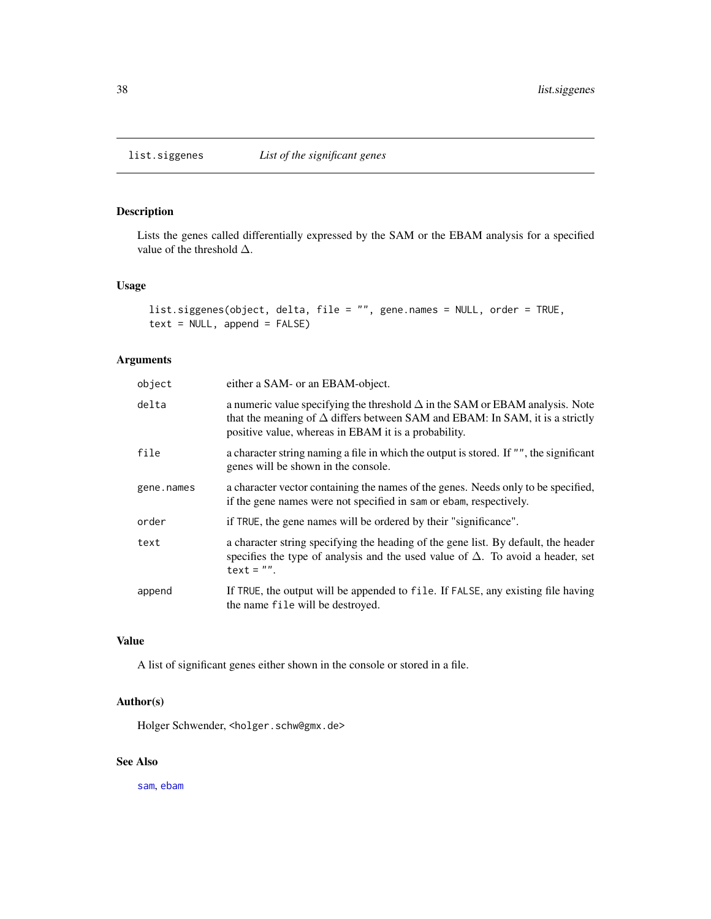## Description

Lists the genes called differentially expressed by the SAM or the EBAM analysis for a specified value of the threshold ∆.

## Usage

```
list.siggenes(object, delta, file = "", gene.names = NULL, order = TRUE,
text = NULL, append = FALSE)
```
## Arguments

| object     | either a SAM- or an EBAM-object.                                                                                                                                                                                                   |
|------------|------------------------------------------------------------------------------------------------------------------------------------------------------------------------------------------------------------------------------------|
| delta      | a numeric value specifying the threshold $\Delta$ in the SAM or EBAM analysis. Note<br>that the meaning of $\Delta$ differs between SAM and EBAM: In SAM, it is a strictly<br>positive value, whereas in EBAM it is a probability. |
| file       | a character string naming a file in which the output is stored. If "", the significant<br>genes will be shown in the console.                                                                                                      |
| gene.names | a character vector containing the names of the genes. Needs only to be specified,<br>if the gene names were not specified in sam or ebam, respectively.                                                                            |
| order      | if TRUE, the gene names will be ordered by their "significance".                                                                                                                                                                   |
| text       | a character string specifying the heading of the gene list. By default, the header<br>specifies the type of analysis and the used value of $\Delta$ . To avoid a header, set<br>$text = "".$                                       |
| append     | If TRUE, the output will be appended to file. If FALSE, any existing file having<br>the name file will be destroyed.                                                                                                               |

## Value

A list of significant genes either shown in the console or stored in a file.

## Author(s)

Holger Schwender, <holger.schw@gmx.de>

## See Also

[sam](#page-47-0), [ebam](#page-13-0)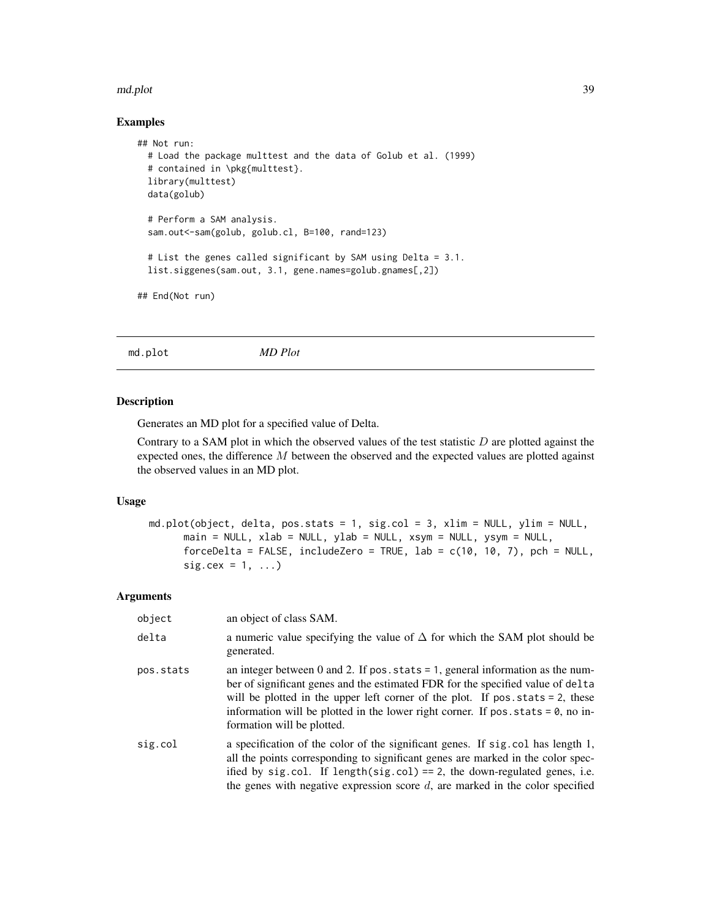#### md.plot 39

## Examples

```
## Not run:
 # Load the package multtest and the data of Golub et al. (1999)
 # contained in \pkg{multtest}.
 library(multtest)
 data(golub)
 # Perform a SAM analysis.
 sam.out<-sam(golub, golub.cl, B=100, rand=123)
 # List the genes called significant by SAM using Delta = 3.1.
 list.siggenes(sam.out, 3.1, gene.names=golub.gnames[,2])
## End(Not run)
```
<span id="page-38-0"></span>md.plot *MD Plot*

#### Description

Generates an MD plot for a specified value of Delta.

Contrary to a SAM plot in which the observed values of the test statistic  $D$  are plotted against the expected ones, the difference  $M$  between the observed and the expected values are plotted against the observed values in an MD plot.

## Usage

```
md.plot(object, delta, pos.stats = 1, sig.col = 3, xlim = NULL, ylim = NULL,
      main = NULL, xlab = NULL, ylab = NULL, xsym = NULL, ysym = NULL,
      forceDelta = FALSE, includeZero = TRUE, lab = c(10, 10, 7), pch = NULL,
      sig. cex = 1, ...
```

| object    | an object of class SAM.                                                                                                                                                                                                                                                                                                                                                        |
|-----------|--------------------------------------------------------------------------------------------------------------------------------------------------------------------------------------------------------------------------------------------------------------------------------------------------------------------------------------------------------------------------------|
| delta     | a numeric value specifying the value of $\Delta$ for which the SAM plot should be<br>generated.                                                                                                                                                                                                                                                                                |
| pos.stats | an integer between 0 and 2. If pos. stats $= 1$ , general information as the num-<br>ber of significant genes and the estimated FDR for the specified value of delta<br>will be plotted in the upper left corner of the plot. If $pos. stats = 2$ , these<br>information will be plotted in the lower right corner. If pos. stats $= 0$ , no in-<br>formation will be plotted. |
| sig.col   | a specification of the color of the significant genes. If sig. col has length 1,<br>all the points corresponding to significant genes are marked in the color spec-<br>ified by sig.col. If length(sig.col) == 2, the down-regulated genes, i.e.<br>the genes with negative expression score $d$ , are marked in the color specified                                           |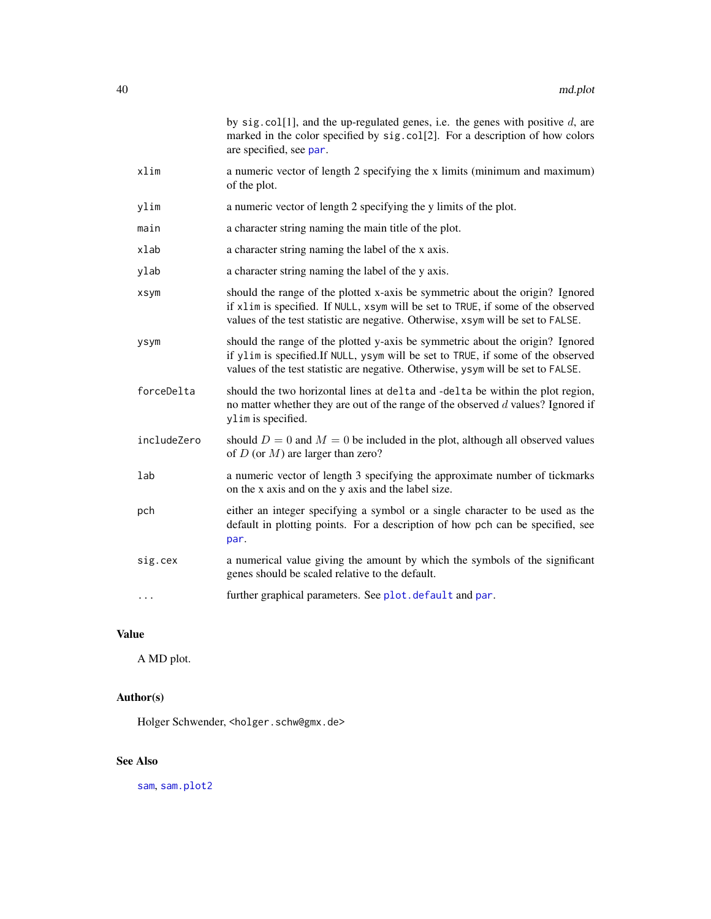|             | by sig. col[1], and the up-regulated genes, i.e. the genes with positive $d$ , are<br>marked in the color specified by sig. col[2]. For a description of how colors<br>are specified, see par.                                                        |
|-------------|-------------------------------------------------------------------------------------------------------------------------------------------------------------------------------------------------------------------------------------------------------|
| xlim        | a numeric vector of length 2 specifying the x limits (minimum and maximum)<br>of the plot.                                                                                                                                                            |
| ylim        | a numeric vector of length 2 specifying the y limits of the plot.                                                                                                                                                                                     |
| main        | a character string naming the main title of the plot.                                                                                                                                                                                                 |
| xlab        | a character string naming the label of the x axis.                                                                                                                                                                                                    |
| ylab        | a character string naming the label of the y axis.                                                                                                                                                                                                    |
| xsym        | should the range of the plotted x-axis be symmetric about the origin? Ignored<br>if xlim is specified. If NULL, xsym will be set to TRUE, if some of the observed<br>values of the test statistic are negative. Otherwise, xsym will be set to FALSE. |
| ysym        | should the range of the plotted y-axis be symmetric about the origin? Ignored<br>if ylim is specified. If NULL, ysym will be set to TRUE, if some of the observed<br>values of the test statistic are negative. Otherwise, ysym will be set to FALSE. |
| forceDelta  | should the two horizontal lines at delta and -delta be within the plot region,<br>no matter whether they are out of the range of the observed $d$ values? Ignored if<br>ylim is specified.                                                            |
| includeZero | should $D = 0$ and $M = 0$ be included in the plot, although all observed values<br>of $D$ (or $M$ ) are larger than zero?                                                                                                                            |
| lab         | a numeric vector of length 3 specifying the approximate number of tickmarks<br>on the x axis and on the y axis and the label size.                                                                                                                    |
| pch         | either an integer specifying a symbol or a single character to be used as the<br>default in plotting points. For a description of how pch can be specified, see<br>par.                                                                               |
| sig.cex     | a numerical value giving the amount by which the symbols of the significant<br>genes should be scaled relative to the default.                                                                                                                        |
| $\cdots$    | further graphical parameters. See plot. default and par.                                                                                                                                                                                              |

# Value

A MD plot.

# Author(s)

Holger Schwender, <holger.schw@gmx.de>

# See Also

[sam](#page-47-0), [sam.plot2](#page-53-0)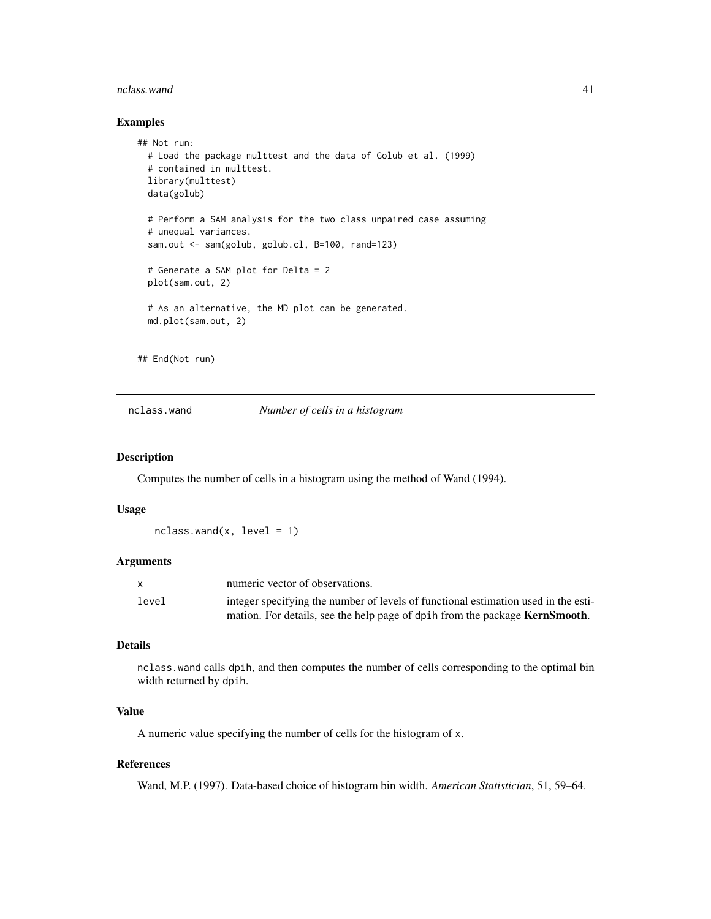#### nclass.wand 41

## Examples

```
## Not run:
 # Load the package multtest and the data of Golub et al. (1999)
 # contained in multtest.
 library(multtest)
 data(golub)
 # Perform a SAM analysis for the two class unpaired case assuming
 # unequal variances.
 sam.out <- sam(golub, golub.cl, B=100, rand=123)
 # Generate a SAM plot for Delta = 2
 plot(sam.out, 2)
 # As an alternative, the MD plot can be generated.
 md.plot(sam.out, 2)
```
## End(Not run)

nclass.wand *Number of cells in a histogram*

#### Description

Computes the number of cells in a histogram using the method of Wand (1994).

#### Usage

 $nclass.wand(x, level = 1)$ 

## Arguments

|       | numeric vector of observations.                                                     |
|-------|-------------------------------------------------------------------------------------|
| level | integer specifying the number of levels of functional estimation used in the esti-  |
|       | mation. For details, see the help page of dpih from the package <b>KernSmooth</b> . |

## Details

nclass.wand calls dpih, and then computes the number of cells corresponding to the optimal bin width returned by dpih.

## Value

A numeric value specifying the number of cells for the histogram of x.

## References

Wand, M.P. (1997). Data-based choice of histogram bin width. *American Statistician*, 51, 59–64.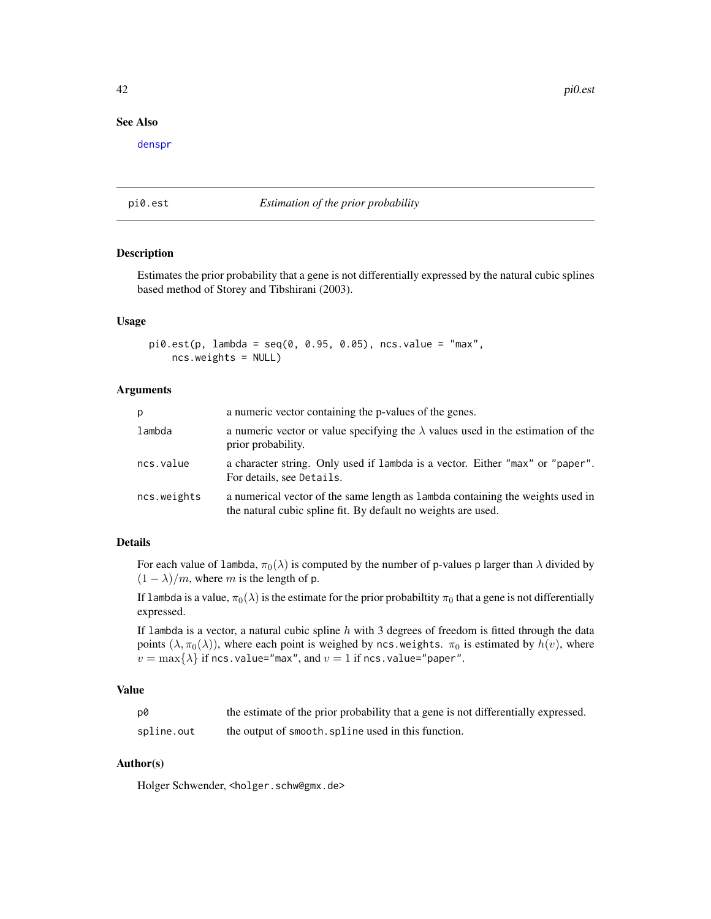42 pi0.est

## See Also

[denspr](#page-11-0)

## <span id="page-41-0"></span>pi0.est *Estimation of the prior probability*

## Description

Estimates the prior probability that a gene is not differentially expressed by the natural cubic splines based method of Storey and Tibshirani (2003).

## Usage

```
pi0.est(p, lambda = seq(0, 0.95, 0.05), ncs.value = "max",
    ncs.weights = NULL)
```
## Arguments

| p           | a numeric vector containing the p-values of the genes.                                                                                          |
|-------------|-------------------------------------------------------------------------------------------------------------------------------------------------|
| lambda      | a numeric vector or value specifying the $\lambda$ values used in the estimation of the<br>prior probability.                                   |
| ncs.value   | a character string. Only used if lambda is a vector. Either "max" or "paper".<br>For details, see Details.                                      |
| ncs.weights | a numerical vector of the same length as lambda containing the weights used in<br>the natural cubic spline fit. By default no weights are used. |

## Details

For each value of lambda,  $\pi_0(\lambda)$  is computed by the number of p-values p larger than  $\lambda$  divided by  $(1 - \lambda)/m$ , where m is the length of p.

If lambda is a value,  $\pi_0(\lambda)$  is the estimate for the prior probabiltity  $\pi_0$  that a gene is not differentially expressed.

If lambda is a vector, a natural cubic spline  $h$  with 3 degrees of freedom is fitted through the data points  $(\lambda, \pi_0(\lambda))$ , where each point is weighed by ncs.weights.  $\pi_0$  is estimated by  $h(v)$ , where  $v = \max\{\lambda\}$  if ncs.value="max", and  $v = 1$  if ncs.value="paper".

## Value

| p0         | the estimate of the prior probability that a gene is not differentially expressed. |
|------------|------------------------------------------------------------------------------------|
| spline.out | the output of smooth. spline used in this function.                                |

## Author(s)

Holger Schwender, <holger.schw@gmx.de>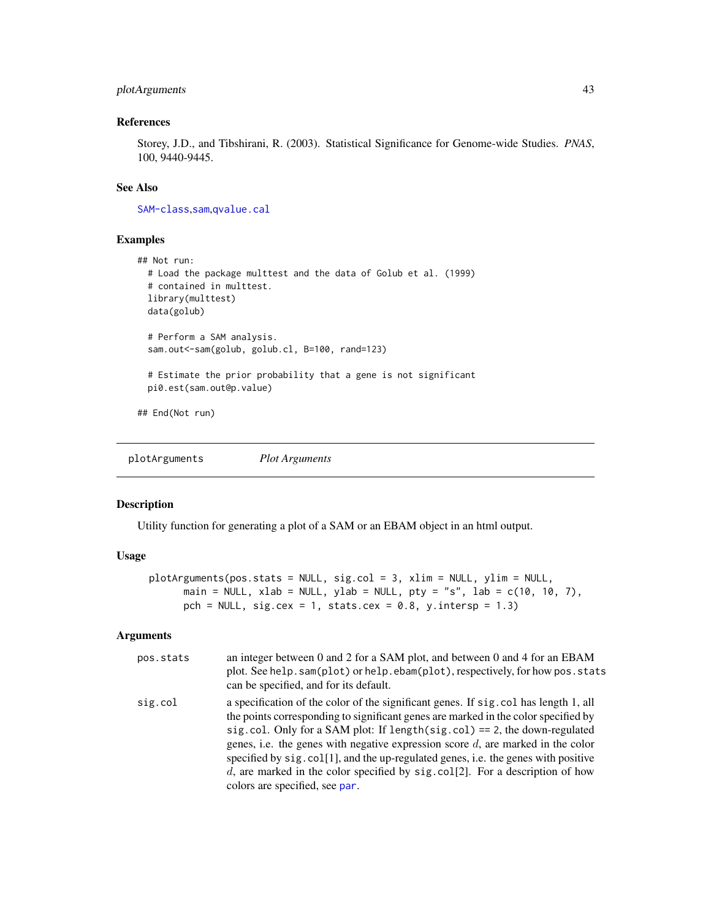## plotArguments 43

## References

Storey, J.D., and Tibshirani, R. (2003). Statistical Significance for Genome-wide Studies. *PNAS*, 100, 9440-9445.

## See Also

[SAM-class](#page-50-0),[sam](#page-47-0),[qvalue.cal](#page-44-0)

#### Examples

```
## Not run:
 # Load the package multtest and the data of Golub et al. (1999)
 # contained in multtest.
 library(multtest)
 data(golub)
 # Perform a SAM analysis.
 sam.out<-sam(golub, golub.cl, B=100, rand=123)
 # Estimate the prior probability that a gene is not significant
 pi0.est(sam.out@p.value)
## End(Not run)
```
<span id="page-42-0"></span>plotArguments *Plot Arguments*

## Description

Utility function for generating a plot of a SAM or an EBAM object in an html output.

## Usage

```
plotArguments(pos.stats = NULL, sig.col = 3, xlim = NULL, ylim = NULL,
      main = NULL, xlab = NULL, ylab = NULL, pty = "s", lab = c(10, 10, 7),
      pch = NULL, sig.cex = 1, stats.cex = 0.8, y.intersp = 1.3)
```

| pos.stats | an integer between 0 and 2 for a SAM plot, and between 0 and 4 for an EBAM<br>plot. See help. sam(plot) or help. ebam(plot), respectively, for how pos. stats<br>can be specified, and for its default.                                                                                                                                                                                                                                                                                                                                                   |
|-----------|-----------------------------------------------------------------------------------------------------------------------------------------------------------------------------------------------------------------------------------------------------------------------------------------------------------------------------------------------------------------------------------------------------------------------------------------------------------------------------------------------------------------------------------------------------------|
| sig.col   | a specification of the color of the significant genes. If sig. col has length 1, all<br>the points corresponding to significant genes are marked in the color specified by<br>sig.col. Only for a SAM plot: If length(sig.col) == 2, the down-regulated<br>genes, i.e. the genes with negative expression score $d$ , are marked in the color<br>specified by sig. col[1], and the up-regulated genes, i.e. the genes with positive<br>d, are marked in the color specified by sig. $col[2]$ . For a description of how<br>colors are specified, see par. |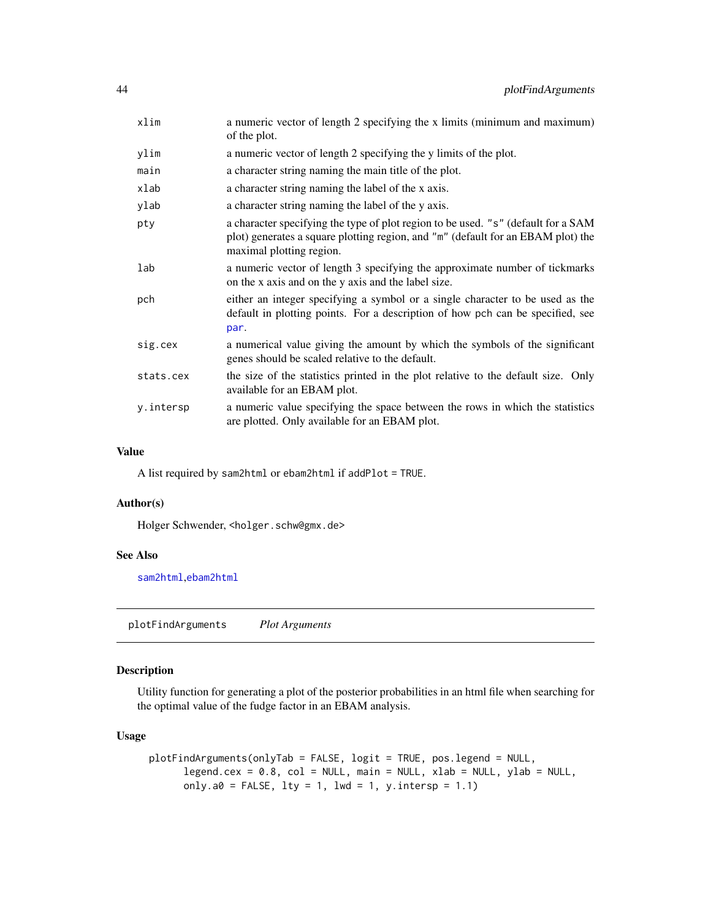| xlim      | a numeric vector of length 2 specifying the x limits (minimum and maximum)<br>of the plot.                                                                                                        |
|-----------|---------------------------------------------------------------------------------------------------------------------------------------------------------------------------------------------------|
| ylim      | a numeric vector of length 2 specifying the y limits of the plot.                                                                                                                                 |
| main      | a character string naming the main title of the plot.                                                                                                                                             |
| xlab      | a character string naming the label of the x axis.                                                                                                                                                |
| ylab      | a character string naming the label of the y axis.                                                                                                                                                |
| pty       | a character specifying the type of plot region to be used. "s" (default for a SAM<br>plot) generates a square plotting region, and "m" (default for an EBAM plot) the<br>maximal plotting region. |
| lab       | a numeric vector of length 3 specifying the approximate number of tickmarks<br>on the x axis and on the y axis and the label size.                                                                |
| pch       | either an integer specifying a symbol or a single character to be used as the<br>default in plotting points. For a description of how pch can be specified, see<br>par.                           |
| sig.cex   | a numerical value giving the amount by which the symbols of the significant<br>genes should be scaled relative to the default.                                                                    |
| stats.cex | the size of the statistics printed in the plot relative to the default size. Only<br>available for an EBAM plot.                                                                                  |
| y.intersp | a numeric value specifying the space between the rows in which the statistics<br>are plotted. Only available for an EBAM plot.                                                                    |

#### Value

A list required by sam2html or ebam2html if addPlot = TRUE.

## Author(s)

Holger Schwender, <holger.schw@gmx.de>

#### See Also

[sam2html](#page-58-0),[ebam2html](#page-58-0)

<span id="page-43-0"></span>plotFindArguments *Plot Arguments*

## Description

Utility function for generating a plot of the posterior probabilities in an html file when searching for the optimal value of the fudge factor in an EBAM analysis.

## Usage

```
plotFindArguments(onlyTab = FALSE, logit = TRUE, pos.legend = NULL,
      legend.cex = 0.8, col = NULL, main = NULL, xlab = NULL, ylab = NULL,
      only.a0 = FALSE, lty = 1, lwd = 1, y.intersp = 1.1)
```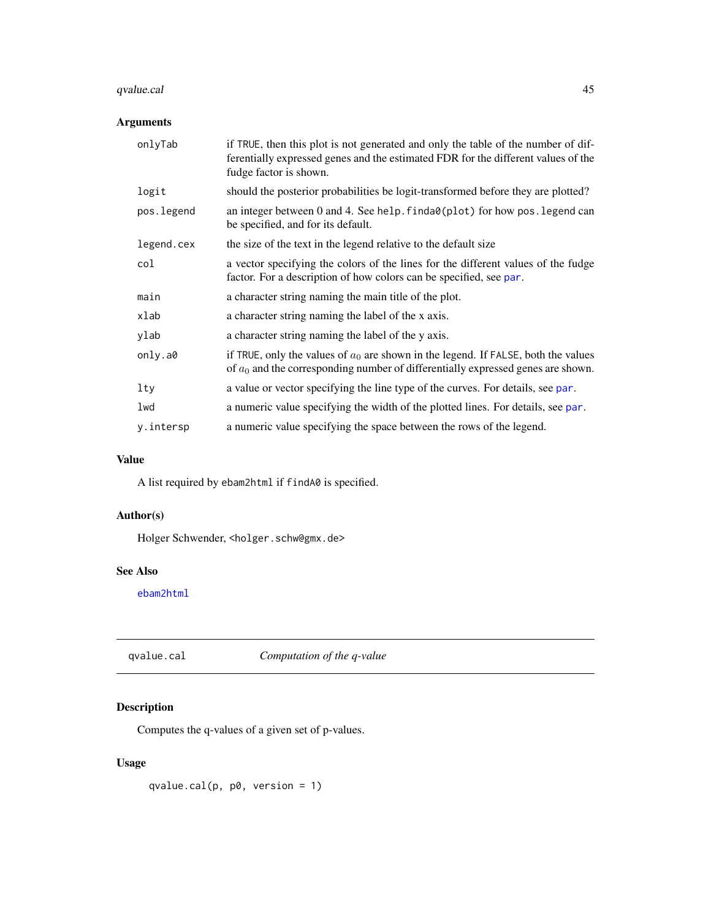# qvalue.cal 45

## Arguments

| onlyTab    | if TRUE, then this plot is not generated and only the table of the number of dif-<br>ferentially expressed genes and the estimated FDR for the different values of the<br>fudge factor is shown. |
|------------|--------------------------------------------------------------------------------------------------------------------------------------------------------------------------------------------------|
| logit      | should the posterior probabilities be logit-transformed before they are plotted?                                                                                                                 |
| pos.legend | an integer between 0 and 4. See help. finda0(plot) for how pos. legend can<br>be specified, and for its default.                                                                                 |
| legend.cex | the size of the text in the legend relative to the default size                                                                                                                                  |
| col        | a vector specifying the colors of the lines for the different values of the fudge<br>factor. For a description of how colors can be specified, see par.                                          |
| main       | a character string naming the main title of the plot.                                                                                                                                            |
| xlab       | a character string naming the label of the x axis.                                                                                                                                               |
| ylab       | a character string naming the label of the y axis.                                                                                                                                               |
| only.a0    | if TRUE, only the values of $a_0$ are shown in the legend. If FALSE, both the values<br>of $a_0$ and the corresponding number of differentially expressed genes are shown.                       |
| lty        | a value or vector specifying the line type of the curves. For details, see par.                                                                                                                  |
| lwd        | a numeric value specifying the width of the plotted lines. For details, see par.                                                                                                                 |
| y.intersp  | a numeric value specifying the space between the rows of the legend.                                                                                                                             |

## Value

A list required by ebam2html if findA0 is specified.

## Author(s)

Holger Schwender, <holger.schw@gmx.de>

## See Also

[ebam2html](#page-58-0)

<span id="page-44-0"></span>qvalue.cal *Computation of the q-value*

# Description

Computes the q-values of a given set of p-values.

## Usage

qvalue.cal(p, p0, version = 1)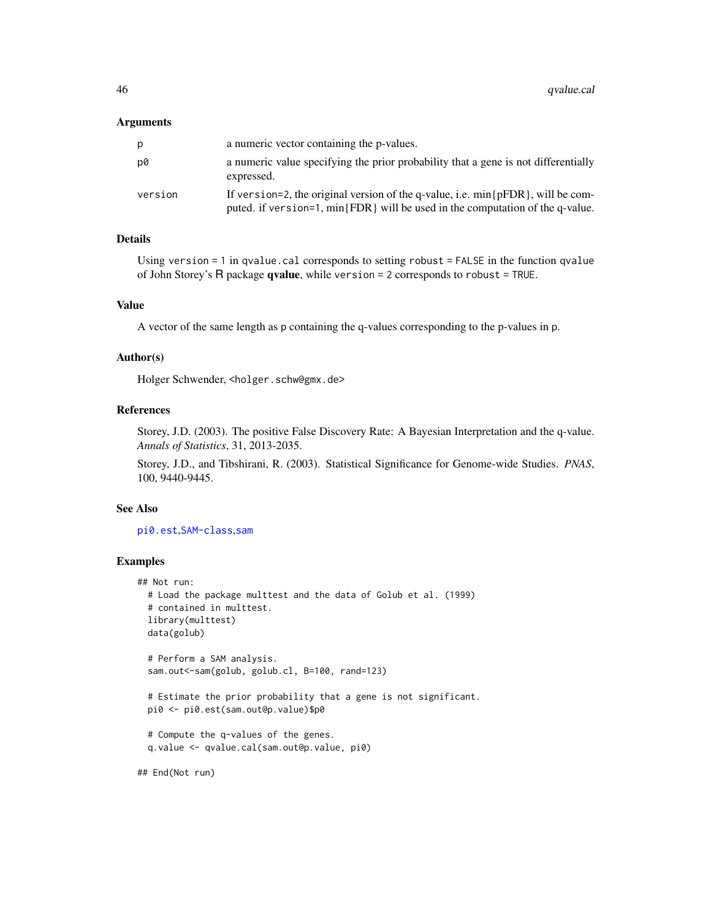#### Arguments

| p       | a numeric vector containing the p-values.                                                                                                                             |
|---------|-----------------------------------------------------------------------------------------------------------------------------------------------------------------------|
| D0      | a numeric value specifying the prior probability that a gene is not differentially<br>expressed.                                                                      |
| version | If version=2, the original version of the q-value, i.e. $min\{pFDR\}$ , will be com-<br>puted. if version=1, min{FDR} will be used in the computation of the q-value. |

#### Details

Using version = 1 in qvalue.cal corresponds to setting robust = FALSE in the function qvalue of John Storey's R package qvalue, while version = 2 corresponds to robust = TRUE.

## Value

A vector of the same length as p containing the q-values corresponding to the p-values in p.

#### Author(s)

Holger Schwender, <holger.schw@gmx.de>

#### References

Storey, J.D. (2003). The positive False Discovery Rate: A Bayesian Interpretation and the q-value. *Annals of Statistics*, 31, 2013-2035.

Storey, J.D., and Tibshirani, R. (2003). Statistical Significance for Genome-wide Studies. *PNAS*, 100, 9440-9445.

#### See Also

[pi0.est](#page-41-0),[SAM-class](#page-50-0),[sam](#page-47-0)

## Examples

```
## Not run:
 # Load the package multtest and the data of Golub et al. (1999)
 # contained in multtest.
 library(multtest)
 data(golub)
 # Perform a SAM analysis.
 sam.out<-sam(golub, golub.cl, B=100, rand=123)
 # Estimate the prior probability that a gene is not significant.
 pi0 <- pi0.est(sam.out@p.value)$p0
 # Compute the q-values of the genes.
 q.value <- qvalue.cal(sam.out@p.value, pi0)
```
## End(Not run)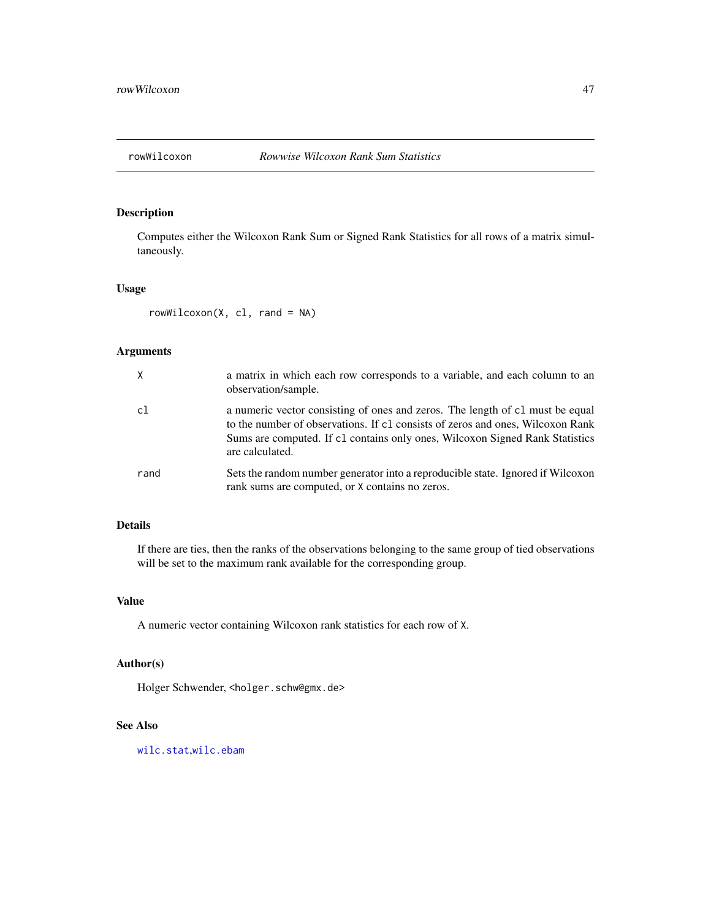<span id="page-46-0"></span>

## Description

Computes either the Wilcoxon Rank Sum or Signed Rank Statistics for all rows of a matrix simultaneously.

#### Usage

 $rowWilcoxon(X, cl, rand = NA)$ 

# Arguments

| X    | a matrix in which each row corresponds to a variable, and each column to an<br>observation/sample.                                                                                                                                                                 |
|------|--------------------------------------------------------------------------------------------------------------------------------------------------------------------------------------------------------------------------------------------------------------------|
| c1   | a numeric vector consisting of ones and zeros. The length of c1 must be equal<br>to the number of observations. If c1 consists of zeros and ones, Wilcoxon Rank<br>Sums are computed. If c1 contains only ones, Wilcoxon Signed Rank Statistics<br>are calculated. |
| rand | Sets the random number generator into a reproducible state. Ignored if Wilcoxon<br>rank sums are computed, or X contains no zeros.                                                                                                                                 |

## Details

If there are ties, then the ranks of the observations belonging to the same group of tied observations will be set to the maximum rank available for the corresponding group.

### Value

A numeric vector containing Wilcoxon rank statistics for each row of X.

## Author(s)

Holger Schwender, <holger.schw@gmx.de>

#### See Also

[wilc.stat](#page-69-0),[wilc.ebam](#page-67-0)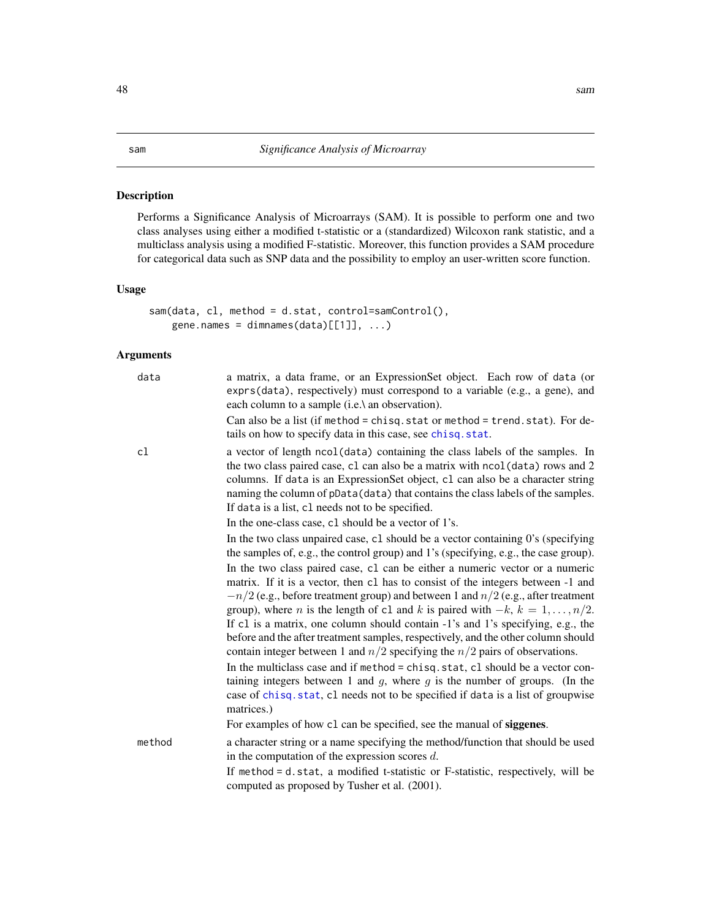#### <span id="page-47-0"></span>Description

Performs a Significance Analysis of Microarrays (SAM). It is possible to perform one and two class analyses using either a modified t-statistic or a (standardized) Wilcoxon rank statistic, and a multiclass analysis using a modified F-statistic. Moreover, this function provides a SAM procedure for categorical data such as SNP data and the possibility to employ an user-written score function.

#### Usage

```
sam(data, cl, method = d.stat, control=samControl(),
   gene.names = dimnames(data)[[1]], ...)
```

| data   | a matrix, a data frame, or an ExpressionSet object. Each row of data (or<br>exprs(data), respectively) must correspond to a variable (e.g., a gene), and<br>each column to a sample (i.e.\ an observation).                                                                                                                                                                                                                                   |
|--------|-----------------------------------------------------------------------------------------------------------------------------------------------------------------------------------------------------------------------------------------------------------------------------------------------------------------------------------------------------------------------------------------------------------------------------------------------|
|        | Can also be a list (if method = chisq.stat or method = trend.stat). For de-<br>tails on how to specify data in this case, see chisq. stat.                                                                                                                                                                                                                                                                                                    |
| cl     | a vector of length ncol(data) containing the class labels of the samples. In<br>the two class paired case, c1 can also be a matrix with nco1(data) rows and 2<br>columns. If data is an ExpressionSet object, c1 can also be a character string<br>naming the column of pData(data) that contains the class labels of the samples.<br>If data is a list, c1 needs not to be specified.                                                        |
|        | In the one-class case, c1 should be a vector of 1's.                                                                                                                                                                                                                                                                                                                                                                                          |
|        | In the two class unpaired case, c1 should be a vector containing 0's (specifying<br>the samples of, e.g., the control group) and 1's (specifying, e.g., the case group).                                                                                                                                                                                                                                                                      |
|        | In the two class paired case, c1 can be either a numeric vector or a numeric<br>matrix. If it is a vector, then c1 has to consist of the integers between -1 and<br>$-n/2$ (e.g., before treatment group) and between 1 and $n/2$ (e.g., after treatment<br>group), where <i>n</i> is the length of c1 and <i>k</i> is paired with $-k$ , $k = 1, , n/2$ .<br>If c1 is a matrix, one column should contain -1's and 1's specifying, e.g., the |
|        | before and the after treatment samples, respectively, and the other column should<br>contain integer between 1 and $n/2$ specifying the $n/2$ pairs of observations.                                                                                                                                                                                                                                                                          |
|        | In the multiclass case and if method = chisq.stat, cl should be a vector con-<br>taining integers between 1 and $g$ , where $g$ is the number of groups. (In the<br>case of chisq.stat, cl needs not to be specified if data is a list of groupwise<br>matrices.)                                                                                                                                                                             |
|        | For examples of how c1 can be specified, see the manual of siggenes.                                                                                                                                                                                                                                                                                                                                                                          |
| method | a character string or a name specifying the method/function that should be used<br>in the computation of the expression scores $d$ .                                                                                                                                                                                                                                                                                                          |
|        | If method = d.stat, a modified t-statistic or F-statistic, respectively, will be<br>computed as proposed by Tusher et al. (2001).                                                                                                                                                                                                                                                                                                             |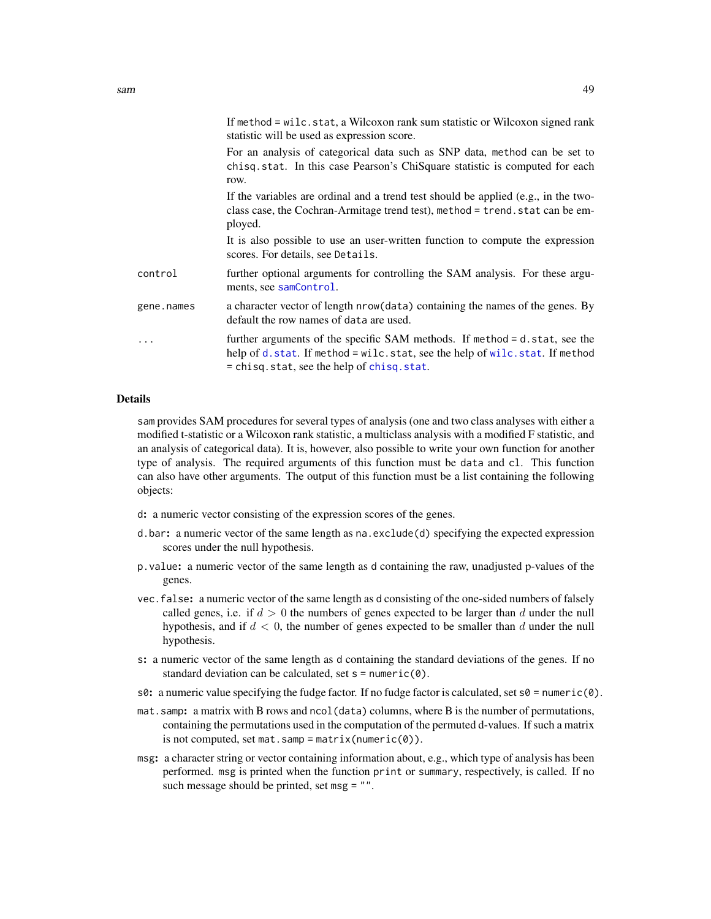|            | If method = wilc.stat, a Wilcoxon rank sum statistic or Wilcoxon signed rank<br>statistic will be used as expression score.                                                                            |
|------------|--------------------------------------------------------------------------------------------------------------------------------------------------------------------------------------------------------|
|            | For an analysis of categorical data such as SNP data, method can be set to<br>chisq.stat. In this case Pearson's ChiSquare statistic is computed for each<br>row.                                      |
|            | If the variables are ordinal and a trend test should be applied (e.g., in the two-<br>class case, the Cochran-Armitage trend test), method = trend. stat can be em-<br>ployed.                         |
|            | It is also possible to use an user-written function to compute the expression<br>scores. For details, see Details.                                                                                     |
| control    | further optional arguments for controlling the SAM analysis. For these argu-<br>ments, see samControl.                                                                                                 |
| gene.names | a character vector of length nrow (data) containing the names of the genes. By<br>default the row names of data are used.                                                                              |
| .          | further arguments of the specific SAM methods. If method = d.stat, see the<br>help of d.stat. If method = wilc.stat, see the help of wilc.stat. If method<br>= chisq.stat, see the help of chisq.stat. |

#### Details

sam provides SAM procedures for several types of analysis (one and two class analyses with either a modified t-statistic or a Wilcoxon rank statistic, a multiclass analysis with a modified F statistic, and an analysis of categorical data). It is, however, also possible to write your own function for another type of analysis. The required arguments of this function must be data and cl. This function can also have other arguments. The output of this function must be a list containing the following objects:

- d: a numeric vector consisting of the expression scores of the genes.
- d.bar: a numeric vector of the same length as na.exclude(d) specifying the expected expression scores under the null hypothesis.
- p.value: a numeric vector of the same length as d containing the raw, unadjusted p-values of the genes.
- vec.false: a numeric vector of the same length as d consisting of the one-sided numbers of falsely called genes, i.e. if  $d > 0$  the numbers of genes expected to be larger than d under the null hypothesis, and if  $d < 0$ , the number of genes expected to be smaller than d under the null hypothesis.
- s: a numeric vector of the same length as d containing the standard deviations of the genes. If no standard deviation can be calculated, set  $s = numeric(0)$ .
- s0: a numeric value specifying the fudge factor. If no fudge factor is calculated, set  $s0 =$  numeric(0).
- mat.samp: a matrix with B rows and ncol(data) columns, where B is the number of permutations, containing the permutations used in the computation of the permuted d-values. If such a matrix is not computed, set mat.samp = matrix(numeric( $\theta$ )).
- msg: a character string or vector containing information about, e.g., which type of analysis has been performed. msg is printed when the function print or summary, respectively, is called. If no such message should be printed, set msg = "".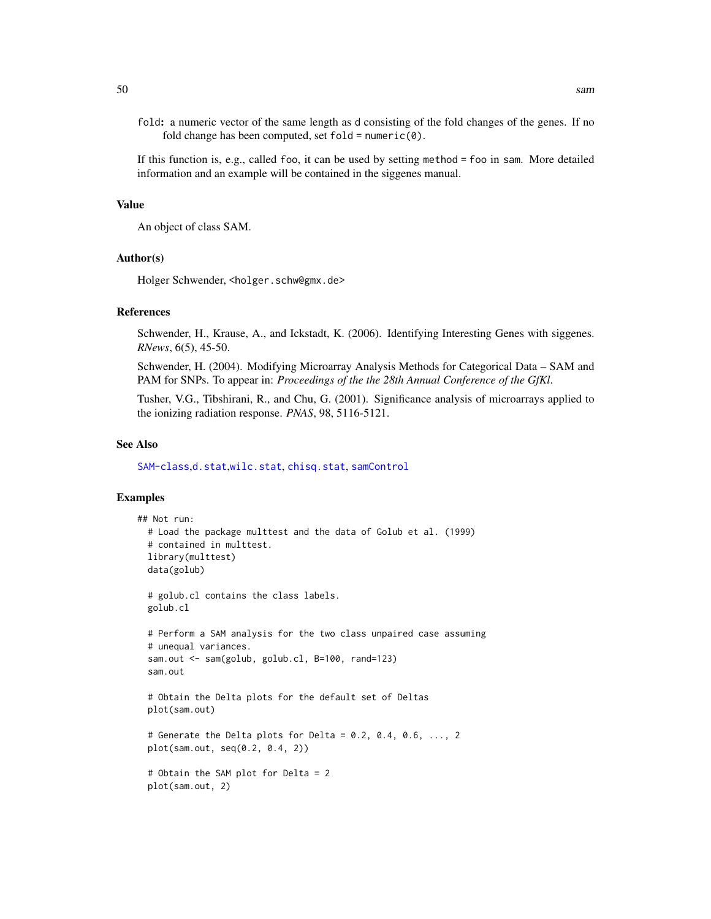fold: a numeric vector of the same length as d consisting of the fold changes of the genes. If no fold change has been computed, set  $fold = numeric(0)$ .

If this function is, e.g., called foo, it can be used by setting method = foo in sam. More detailed information and an example will be contained in the siggenes manual.

#### Value

An object of class SAM.

#### Author(s)

Holger Schwender, <holger.schw@gmx.de>

#### References

Schwender, H., Krause, A., and Ickstadt, K. (2006). Identifying Interesting Genes with siggenes. *RNews*, 6(5), 45-50.

Schwender, H. (2004). Modifying Microarray Analysis Methods for Categorical Data – SAM and PAM for SNPs. To appear in: *Proceedings of the the 28th Annual Conference of the GfKl*.

Tusher, V.G., Tibshirani, R., and Chu, G. (2001). Significance analysis of microarrays applied to the ionizing radiation response. *PNAS*, 98, 5116-5121.

#### See Also

[SAM-class](#page-50-0),[d.stat](#page-7-0),[wilc.stat](#page-69-0), [chisq.stat](#page-5-0), [samControl](#page-55-0)

## Examples

```
## Not run:
 # Load the package multtest and the data of Golub et al. (1999)
 # contained in multtest.
 library(multtest)
 data(golub)
 # golub.cl contains the class labels.
 golub.cl
 # Perform a SAM analysis for the two class unpaired case assuming
 # unequal variances.
 sam.out <- sam(golub, golub.cl, B=100, rand=123)
 sam.out
 # Obtain the Delta plots for the default set of Deltas
 plot(sam.out)
 # Generate the Delta plots for Delta = 0.2, 0.4, 0.6, \ldots, 2plot(sam.out, seq(0.2, 0.4, 2))
 # Obtain the SAM plot for Delta = 2
 plot(sam.out, 2)
```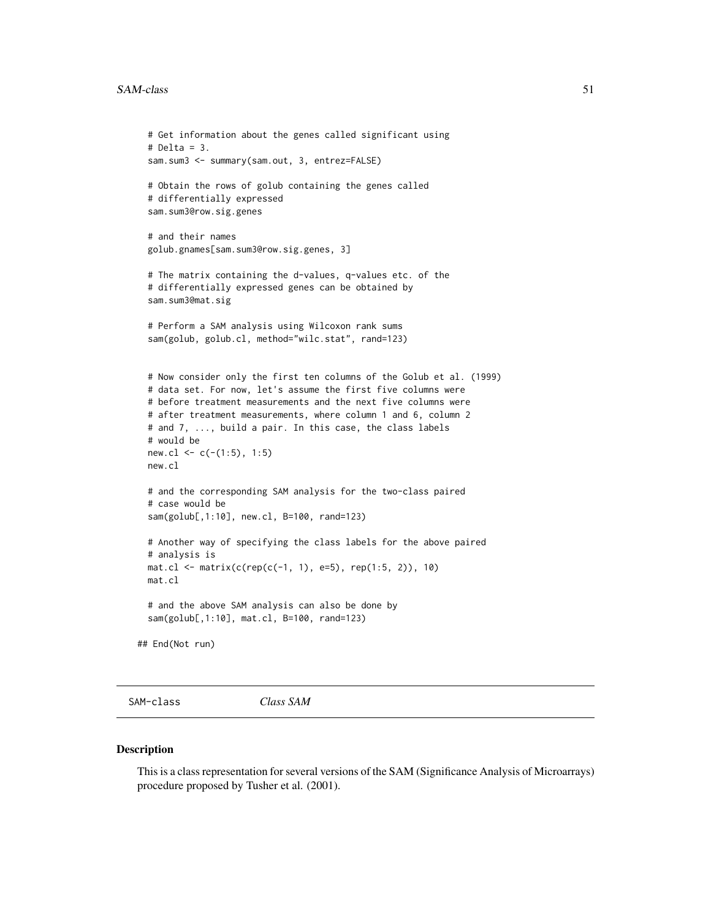#### $SAM-class$  51

```
# Get information about the genes called significant using
 # Delta = 3.
 sam.sum3 <- summary(sam.out, 3, entrez=FALSE)
 # Obtain the rows of golub containing the genes called
 # differentially expressed
 sam.sum3@row.sig.genes
 # and their names
 golub.gnames[sam.sum3@row.sig.genes, 3]
 # The matrix containing the d-values, q-values etc. of the
 # differentially expressed genes can be obtained by
 sam.sum3@mat.sig
 # Perform a SAM analysis using Wilcoxon rank sums
 sam(golub, golub.cl, method="wilc.stat", rand=123)
 # Now consider only the first ten columns of the Golub et al. (1999)
 # data set. For now, let's assume the first five columns were
 # before treatment measurements and the next five columns were
 # after treatment measurements, where column 1 and 6, column 2
 # and 7, ..., build a pair. In this case, the class labels
 # would be
 new.cl <- c(-(1:5), 1:5)new.cl
 # and the corresponding SAM analysis for the two-class paired
 # case would be
 sam(golub[,1:10], new.cl, B=100, rand=123)
 # Another way of specifying the class labels for the above paired
 # analysis is
 mat.cl <- matrix(c(rep(c(-1, 1), e=5), rep(1:5, 2)), 10)
 mat.cl
 # and the above SAM analysis can also be done by
 sam(golub[,1:10], mat.cl, B=100, rand=123)
## End(Not run)
```
<span id="page-50-0"></span>SAM-class *Class SAM*

#### **Description**

This is a class representation for several versions of the SAM (Significance Analysis of Microarrays) procedure proposed by Tusher et al. (2001).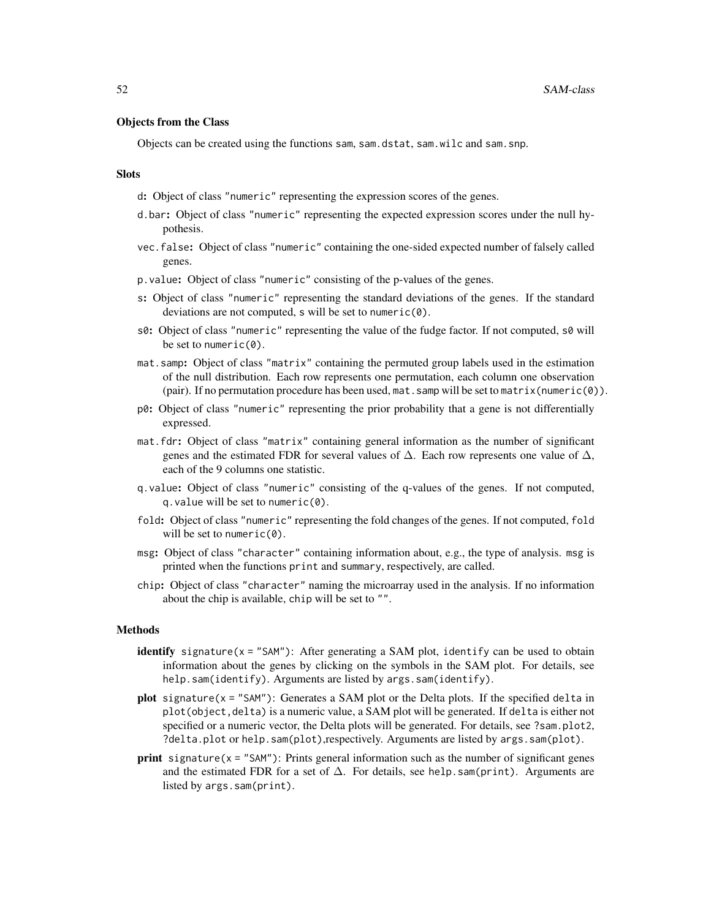## Objects from the Class

Objects can be created using the functions sam, sam.dstat, sam.wilc and sam.snp.

#### **Slots**

- d: Object of class "numeric" representing the expression scores of the genes.
- d.bar: Object of class "numeric" representing the expected expression scores under the null hypothesis.
- vec.false: Object of class "numeric" containing the one-sided expected number of falsely called genes.
- p.value: Object of class "numeric" consisting of the p-values of the genes.
- s: Object of class "numeric" representing the standard deviations of the genes. If the standard deviations are not computed, s will be set to numeric(0).
- s0: Object of class "numeric" representing the value of the fudge factor. If not computed, s0 will be set to numeric $(0)$ .
- mat.samp: Object of class "matrix" containing the permuted group labels used in the estimation of the null distribution. Each row represents one permutation, each column one observation (pair). If no permutation procedure has been used, mat. samp will be set to matrix(numeric( $\emptyset$ )).
- p0: Object of class "numeric" representing the prior probability that a gene is not differentially expressed.
- mat.fdr: Object of class "matrix" containing general information as the number of significant genes and the estimated FDR for several values of  $\Delta$ . Each row represents one value of  $\Delta$ , each of the 9 columns one statistic.
- q.value: Object of class "numeric" consisting of the q-values of the genes. If not computed, q.value will be set to numeric(0).
- fold: Object of class "numeric" representing the fold changes of the genes. If not computed, fold will be set to numeric(0).
- msg: Object of class "character" containing information about, e.g., the type of analysis. msg is printed when the functions print and summary, respectively, are called.
- chip: Object of class "character" naming the microarray used in the analysis. If no information about the chip is available, chip will be set to "".

## Methods

- identify signature( $x =$  "SAM"): After generating a SAM plot, identify can be used to obtain information about the genes by clicking on the symbols in the SAM plot. For details, see help.sam(identify). Arguments are listed by args.sam(identify).
- plot signature( $x =$ "SAM"): Generates a SAM plot or the Delta plots. If the specified delta in plot(object,delta) is a numeric value, a SAM plot will be generated. If delta is either not specified or a numeric vector, the Delta plots will be generated. For details, see ?sam.plot2, ?delta.plot or help.sam(plot),respectively. Arguments are listed by args.sam(plot).
- **print** signature( $x =$  "SAM"): Prints general information such as the number of significant genes and the estimated FDR for a set of  $\Delta$ . For details, see help.sam(print). Arguments are listed by args.sam(print).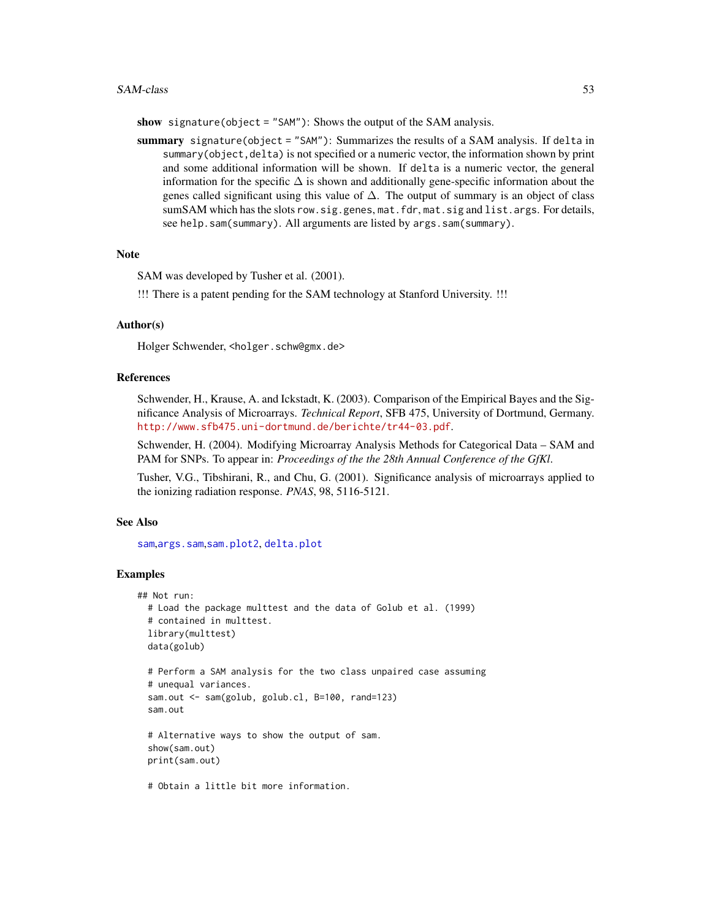#### SAM-class 53

show signature(object = "SAM"): Shows the output of the SAM analysis.

summary signature(object = "SAM"): Summarizes the results of a SAM analysis. If delta in summary(object, delta) is not specified or a numeric vector, the information shown by print and some additional information will be shown. If delta is a numeric vector, the general information for the specific  $\Delta$  is shown and additionally gene-specific information about the genes called significant using this value of  $\Delta$ . The output of summary is an object of class sumSAM which has the slots row.sig.genes, mat.fdr, mat.sig and list.args. For details, see help.sam(summary). All arguments are listed by args.sam(summary).

#### **Note**

SAM was developed by Tusher et al. (2001).

!!! There is a patent pending for the SAM technology at Stanford University. !!!

## Author(s)

Holger Schwender, <holger.schw@gmx.de>

## References

Schwender, H., Krause, A. and Ickstadt, K. (2003). Comparison of the Empirical Bayes and the Significance Analysis of Microarrays. *Technical Report*, SFB 475, University of Dortmund, Germany. <http://www.sfb475.uni-dortmund.de/berichte/tr44-03.pdf>.

Schwender, H. (2004). Modifying Microarray Analysis Methods for Categorical Data – SAM and PAM for SNPs. To appear in: *Proceedings of the the 28th Annual Conference of the GfKl*.

Tusher, V.G., Tibshirani, R., and Chu, G. (2001). Significance analysis of microarrays applied to the ionizing radiation response. *PNAS*, 98, 5116-5121.

#### See Also

[sam](#page-47-0),[args.sam](#page-31-0),[sam.plot2](#page-53-0), [delta.plot](#page-10-0)

#### Examples

```
## Not run:
 # Load the package multtest and the data of Golub et al. (1999)
 # contained in multtest.
 library(multtest)
 data(golub)
 # Perform a SAM analysis for the two class unpaired case assuming
 # unequal variances.
 sam.out <- sam(golub, golub.cl, B=100, rand=123)
 sam.out
 # Alternative ways to show the output of sam.
 show(sam.out)
 print(sam.out)
```
# Obtain a little bit more information.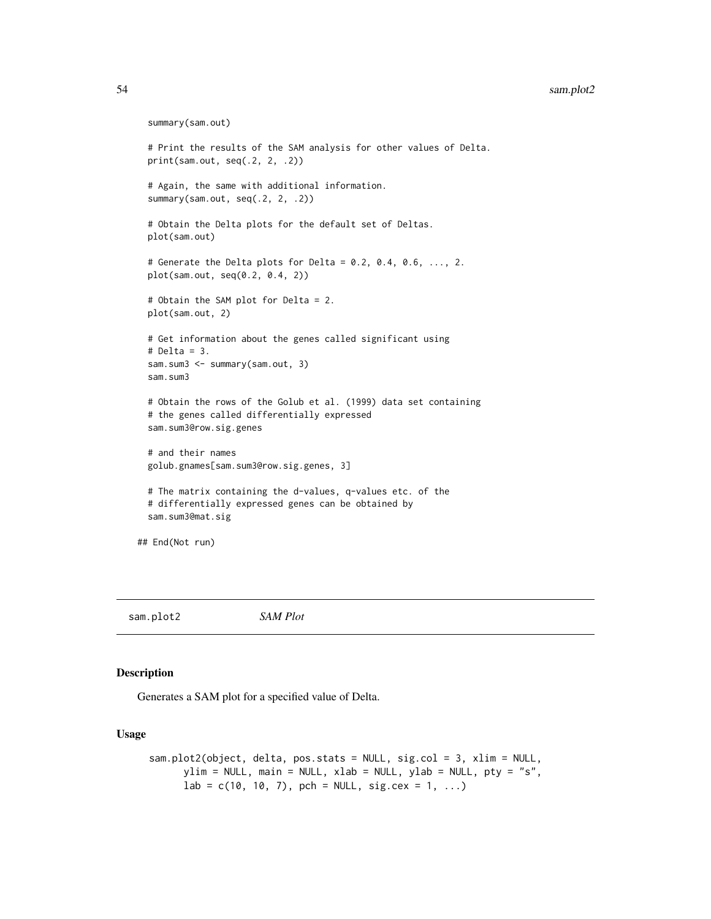```
summary(sam.out)
 # Print the results of the SAM analysis for other values of Delta.
 print(sam.out, seq(.2, 2, .2))
 # Again, the same with additional information.
 summary(sam.out, seq(.2, 2, .2))
 # Obtain the Delta plots for the default set of Deltas.
 plot(sam.out)
 # Generate the Delta plots for Delta = 0.2, 0.4, 0.6, ..., 2.
 plot(sam.out, seq(0.2, 0.4, 2))
 # Obtain the SAM plot for Delta = 2.
 plot(sam.out, 2)
 # Get information about the genes called significant using
 # Delta = 3.
 sam.sum3 <- summary(sam.out, 3)
 sam.sum3
 # Obtain the rows of the Golub et al. (1999) data set containing
 # the genes called differentially expressed
 sam.sum3@row.sig.genes
 # and their names
 golub.gnames[sam.sum3@row.sig.genes, 3]
 # The matrix containing the d-values, q-values etc. of the
 # differentially expressed genes can be obtained by
 sam.sum3@mat.sig
## End(Not run)
```
<span id="page-53-0"></span>sam.plot2 *SAM Plot*

## Description

Generates a SAM plot for a specified value of Delta.

#### Usage

```
sam.plot2(object, delta, pos.stats = NULL, sig.col = 3, xlim = NULL,
     ylim = NULL, main = NULL, xlab = NULL, ylab = NULL, pty = "s",
     lab = c(10, 10, 7), pch = NULL, sig.cex = 1, ...)
```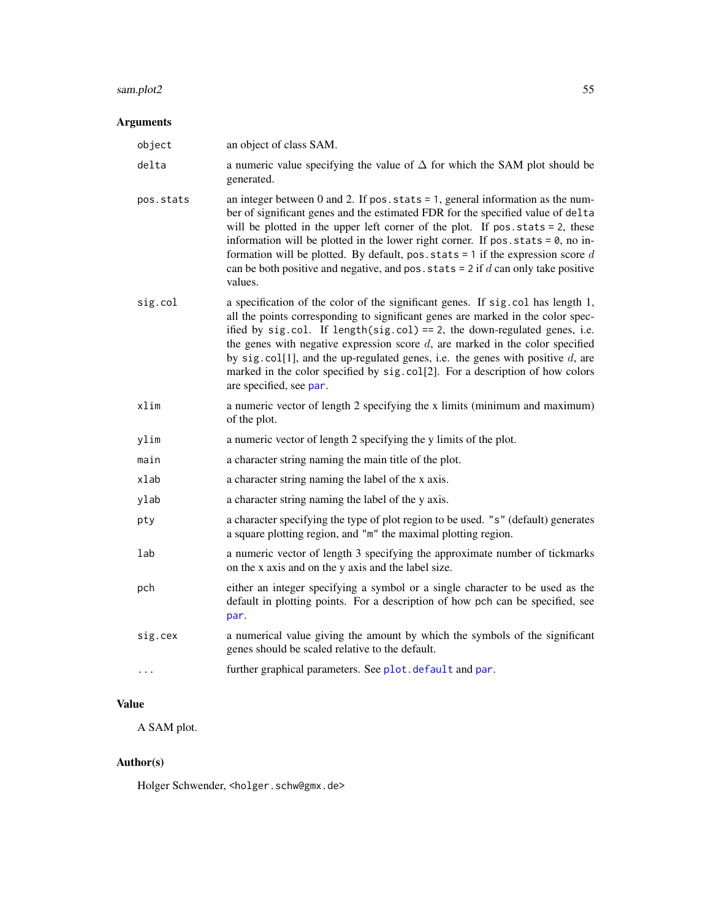#### sam.plot2 55

# Arguments

| object    | an object of class SAM.                                                                                                                                                                                                                                                                                                                                                                                                                                                                                                                  |
|-----------|------------------------------------------------------------------------------------------------------------------------------------------------------------------------------------------------------------------------------------------------------------------------------------------------------------------------------------------------------------------------------------------------------------------------------------------------------------------------------------------------------------------------------------------|
| delta     | a numeric value specifying the value of $\Delta$ for which the SAM plot should be<br>generated.                                                                                                                                                                                                                                                                                                                                                                                                                                          |
| pos.stats | an integer between $0$ and $2$ . If pos. stats = 1, general information as the num-<br>ber of significant genes and the estimated FDR for the specified value of delta<br>will be plotted in the upper left corner of the plot. If pos.stats = 2, these<br>information will be plotted in the lower right corner. If $pos. stats = 0$ , no in-<br>formation will be plotted. By default, pos. stats = 1 if the expression score $d$<br>can be both positive and negative, and pos. stats = $2$ if d can only take positive<br>values.    |
| sig.col   | a specification of the color of the significant genes. If sig. col has length 1,<br>all the points corresponding to significant genes are marked in the color spec-<br>ified by sig.col. If length(sig.col) == 2, the down-regulated genes, i.e.<br>the genes with negative expression score $d$ , are marked in the color specified<br>by sig. $col[1]$ , and the up-regulated genes, i.e. the genes with positive $d$ , are<br>marked in the color specified by sig.col[2]. For a description of how colors<br>are specified, see par. |
| xlim      | a numeric vector of length 2 specifying the x limits (minimum and maximum)<br>of the plot.                                                                                                                                                                                                                                                                                                                                                                                                                                               |
| ylim      | a numeric vector of length 2 specifying the y limits of the plot.                                                                                                                                                                                                                                                                                                                                                                                                                                                                        |
| main      | a character string naming the main title of the plot.                                                                                                                                                                                                                                                                                                                                                                                                                                                                                    |
| xlab      | a character string naming the label of the x axis.                                                                                                                                                                                                                                                                                                                                                                                                                                                                                       |
| ylab      | a character string naming the label of the y axis.                                                                                                                                                                                                                                                                                                                                                                                                                                                                                       |
| pty       | a character specifying the type of plot region to be used. "s" (default) generates<br>a square plotting region, and "m" the maximal plotting region.                                                                                                                                                                                                                                                                                                                                                                                     |
| lab       | a numeric vector of length 3 specifying the approximate number of tickmarks<br>on the x axis and on the y axis and the label size.                                                                                                                                                                                                                                                                                                                                                                                                       |
| pch       | either an integer specifying a symbol or a single character to be used as the<br>default in plotting points. For a description of how pch can be specified, see<br>par.                                                                                                                                                                                                                                                                                                                                                                  |
| sig.cex   | a numerical value giving the amount by which the symbols of the significant<br>genes should be scaled relative to the default.                                                                                                                                                                                                                                                                                                                                                                                                           |
| $\cdots$  | further graphical parameters. See plot.default and par.                                                                                                                                                                                                                                                                                                                                                                                                                                                                                  |
|           |                                                                                                                                                                                                                                                                                                                                                                                                                                                                                                                                          |

## Value

A SAM plot.

# Author(s)

Holger Schwender, <holger.schw@gmx.de>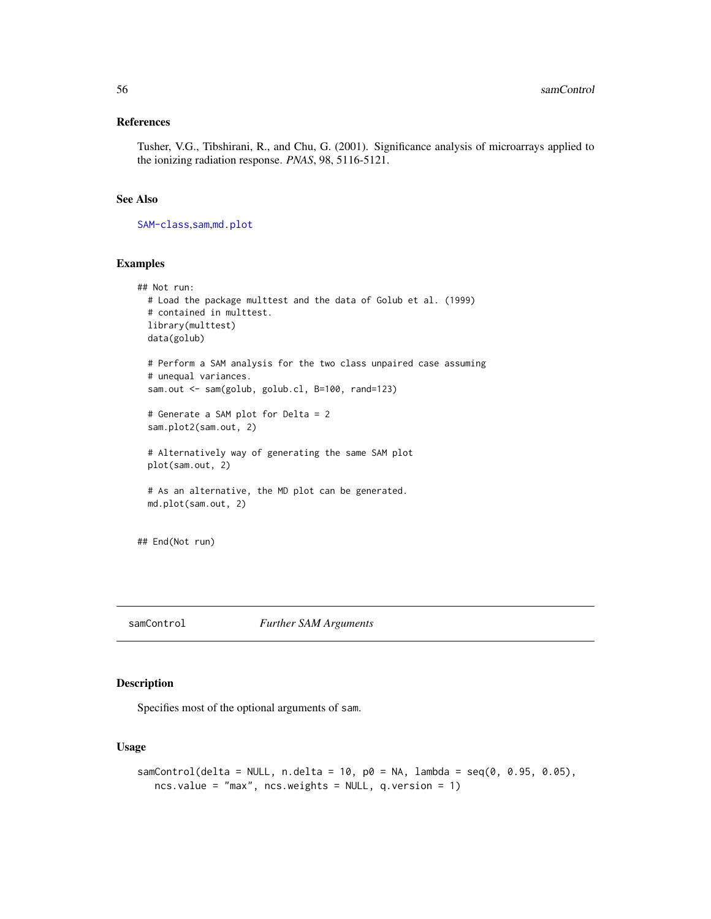#### References

Tusher, V.G., Tibshirani, R., and Chu, G. (2001). Significance analysis of microarrays applied to the ionizing radiation response. *PNAS*, 98, 5116-5121.

## See Also

[SAM-class](#page-50-0),[sam](#page-47-0),[md.plot](#page-38-0)

#### Examples

```
## Not run:
 # Load the package multtest and the data of Golub et al. (1999)
 # contained in multtest.
 library(multtest)
 data(golub)
 # Perform a SAM analysis for the two class unpaired case assuming
 # unequal variances.
 sam.out <- sam(golub, golub.cl, B=100, rand=123)
 # Generate a SAM plot for Delta = 2
 sam.plot2(sam.out, 2)
 # Alternatively way of generating the same SAM plot
 plot(sam.out, 2)
 # As an alternative, the MD plot can be generated.
 md.plot(sam.out, 2)
## End(Not run)
```
<span id="page-55-0"></span>samControl *Further SAM Arguments*

## Description

Specifies most of the optional arguments of sam.

#### Usage

```
samControl(delta = NULL, n.delta = 10, p0 = NA, lambda = seq(0, 0.95, 0.05),
  ncs.value = "max", ncs.weights = NULL, q.version = 1)
```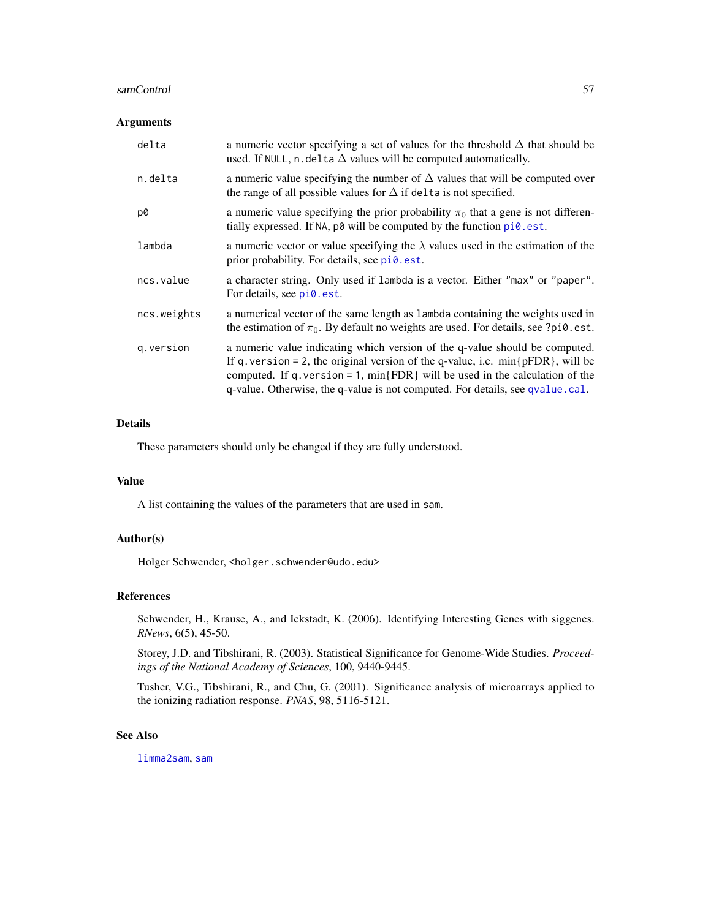#### samControl 57

## Arguments

| delta       | a numeric vector specifying a set of values for the threshold $\Delta$ that should be<br>used. If NULL, n. delta $\Delta$ values will be computed automatically.                                                                                                                                                                       |
|-------------|----------------------------------------------------------------------------------------------------------------------------------------------------------------------------------------------------------------------------------------------------------------------------------------------------------------------------------------|
| n.delta     | a numeric value specifying the number of $\Delta$ values that will be computed over<br>the range of all possible values for $\Delta$ if delta is not specified.                                                                                                                                                                        |
| p0          | a numeric value specifying the prior probability $\pi_0$ that a gene is not differen-<br>tially expressed. If NA, p0 will be computed by the function pi0.est.                                                                                                                                                                         |
| lambda      | a numeric vector or value specifying the $\lambda$ values used in the estimation of the<br>prior probability. For details, see pi0.est.                                                                                                                                                                                                |
| ncs.value   | a character string. Only used if lambda is a vector. Either "max" or "paper".<br>For details, see pi0.est.                                                                                                                                                                                                                             |
| ncs.weights | a numerical vector of the same length as lambda containing the weights used in<br>the estimation of $\pi_0$ . By default no weights are used. For details, see ?pi0.est.                                                                                                                                                               |
| q.version   | a numeric value indicating which version of the q-value should be computed.<br>If q. version = 2, the original version of the q-value, i.e. $min{pFDR}$ , will be<br>computed. If q. version = 1, $min\{FDR\}$ will be used in the calculation of the<br>q-value. Otherwise, the q-value is not computed. For details, see qvalue.cal. |

## Details

These parameters should only be changed if they are fully understood.

#### Value

A list containing the values of the parameters that are used in sam.

#### Author(s)

Holger Schwender, <holger.schwender@udo.edu>

#### References

Schwender, H., Krause, A., and Ickstadt, K. (2006). Identifying Interesting Genes with siggenes. *RNews*, 6(5), 45-50.

Storey, J.D. and Tibshirani, R. (2003). Statistical Significance for Genome-Wide Studies. *Proceedings of the National Academy of Sciences*, 100, 9440-9445.

Tusher, V.G., Tibshirani, R., and Chu, G. (2001). Significance analysis of microarrays applied to the ionizing radiation response. *PNAS*, 98, 5116-5121.

#### See Also

[limma2sam](#page-32-0), [sam](#page-47-0)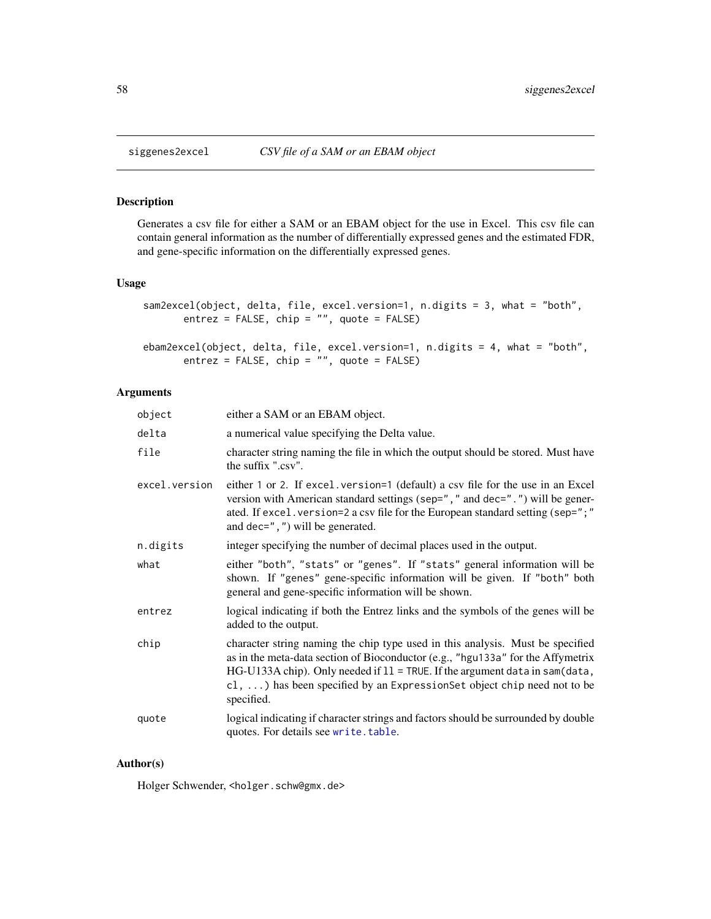#### Description

Generates a csv file for either a SAM or an EBAM object for the use in Excel. This csv file can contain general information as the number of differentially expressed genes and the estimated FDR, and gene-specific information on the differentially expressed genes.

## Usage

```
sam2excel(object, delta, file, excel.version=1, n.digits = 3, what = "both",
      entrez = FALSE, chip = "", quote = FALSE)
```

```
ebam2excel(object, delta, file, excel.version=1, n.digits = 4, what = "both",
      entrez = FALSE, chip = "", quote = FALSE)
```
## Arguments

| object        | either a SAM or an EBAM object.                                                                                                                                                                                                                                                                                                                           |
|---------------|-----------------------------------------------------------------------------------------------------------------------------------------------------------------------------------------------------------------------------------------------------------------------------------------------------------------------------------------------------------|
| delta         | a numerical value specifying the Delta value.                                                                                                                                                                                                                                                                                                             |
| file          | character string naming the file in which the output should be stored. Must have<br>the suffix ".csv".                                                                                                                                                                                                                                                    |
| excel.version | either 1 or 2. If excel. version=1 (default) a csv file for the use in an Excel<br>version with American standard settings (sep=", " and dec=". ") will be gener-<br>ated. If excel. version=2 a csv file for the European standard setting (sep=";"<br>and dec= $", "$ ) will be generated.                                                              |
| n.digits      | integer specifying the number of decimal places used in the output.                                                                                                                                                                                                                                                                                       |
| what          | either "both", "stats" or "genes". If "stats" general information will be<br>shown. If "genes" gene-specific information will be given. If "both" both<br>general and gene-specific information will be shown.                                                                                                                                            |
| entrez        | logical indicating if both the Entrez links and the symbols of the genes will be<br>added to the output.                                                                                                                                                                                                                                                  |
| chip          | character string naming the chip type used in this analysis. Must be specified<br>as in the meta-data section of Bioconductor (e.g., "hgu133a" for the Affymetrix<br>$HG-U133A chip)$ . Only needed if $11 = TRUE$ . If the argument data in sam(data,<br>$cl, \ldots$ ) has been specified by an Expression Set object chip need not to be<br>specified. |
| quote         | logical indicating if character strings and factors should be surrounded by double<br>quotes. For details see write. table.                                                                                                                                                                                                                               |

## Author(s)

Holger Schwender, <holger.schw@gmx.de>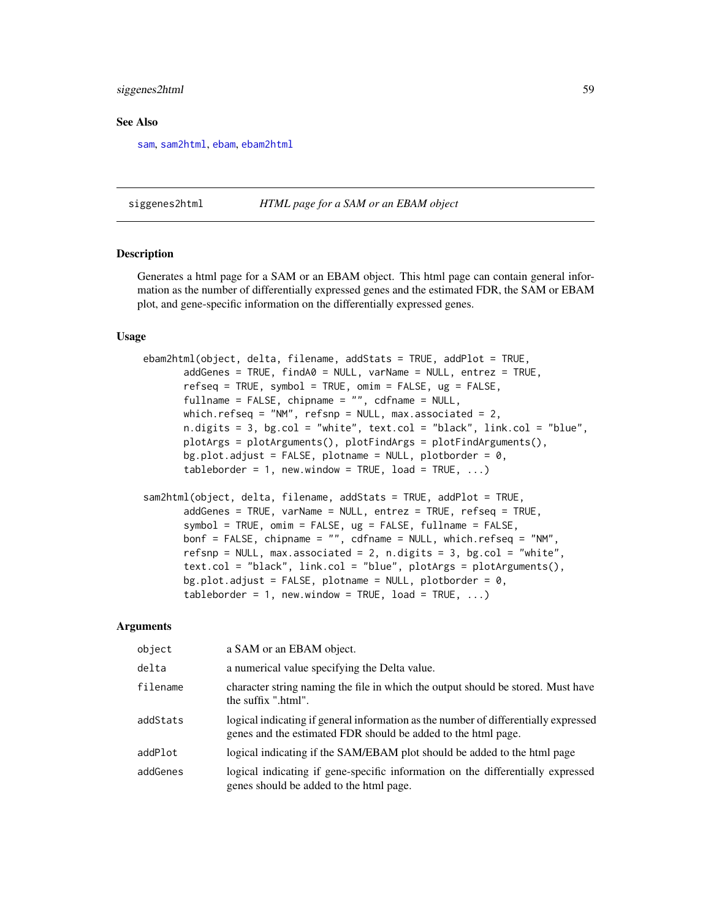## siggenes2html 59

#### See Also

[sam](#page-47-0), [sam2html](#page-58-0), [ebam](#page-13-0), [ebam2html](#page-58-0)

siggenes2html *HTML page for a SAM or an EBAM object*

#### <span id="page-58-0"></span>Description

Generates a html page for a SAM or an EBAM object. This html page can contain general information as the number of differentially expressed genes and the estimated FDR, the SAM or EBAM plot, and gene-specific information on the differentially expressed genes.

#### Usage

```
ebam2html(object, delta, filename, addStats = TRUE, addPlot = TRUE,
       addGenes = TRUE, findA0 = NULL, varName = NULL, entrez = TRUE,
       refseq = TRUE, symbol = TRUE, omim = FALSE, ug = FALSE,
       fullname = FALSE, chipname = "", cdfname = NULL,
      which.refseq = "NM", refsnp = NULL, max.associated = 2,
      n.digits = 3, bg.col = "white", text.col = "black", link.col = "blue",
      plotArgs = plotArguments(), plotFindArgs = plotFindArguments(),
      bg.plot.adjust = FALSE, plotname = NULL, plotborder = \theta,
       tableborder = 1, new.window = TRUE, load = TRUE, \ldots)
```

```
sam2html(object, delta, filename, addStats = TRUE, addPlot = TRUE,
       addGenes = TRUE, varName = NULL, entrez = TRUE, refseq = TRUE,
       symbol = TRUE, omim = FALSE, ug = FALSE, fullname = FALSE,
       bonf = FALSE, chipname = "", cdfname = NULL, which.refseq = "NM",
       refsnp = NULL, max.associated = 2, n.digits = 3, bg.col = "white",
       text.col = "black", link.col = "blue", plotArgs = plotArguments(),
      bg.plot.adjust = FALSE, plotname = NULL, plotborder = 0,
       tableborder = 1, new.window = TRUE, load = TRUE, \ldots)
```

| object   | a SAM or an EBAM object.                                                                                                                             |
|----------|------------------------------------------------------------------------------------------------------------------------------------------------------|
| delta    | a numerical value specifying the Delta value.                                                                                                        |
| filename | character string naming the file in which the output should be stored. Must have<br>the suffix ".html".                                              |
| addStats | logical indicating if general information as the number of differentially expressed<br>genes and the estimated FDR should be added to the html page. |
| addPlot  | logical indicating if the SAM/EBAM plot should be added to the html page                                                                             |
| addGenes | logical indicating if gene-specific information on the differentially expressed<br>genes should be added to the html page.                           |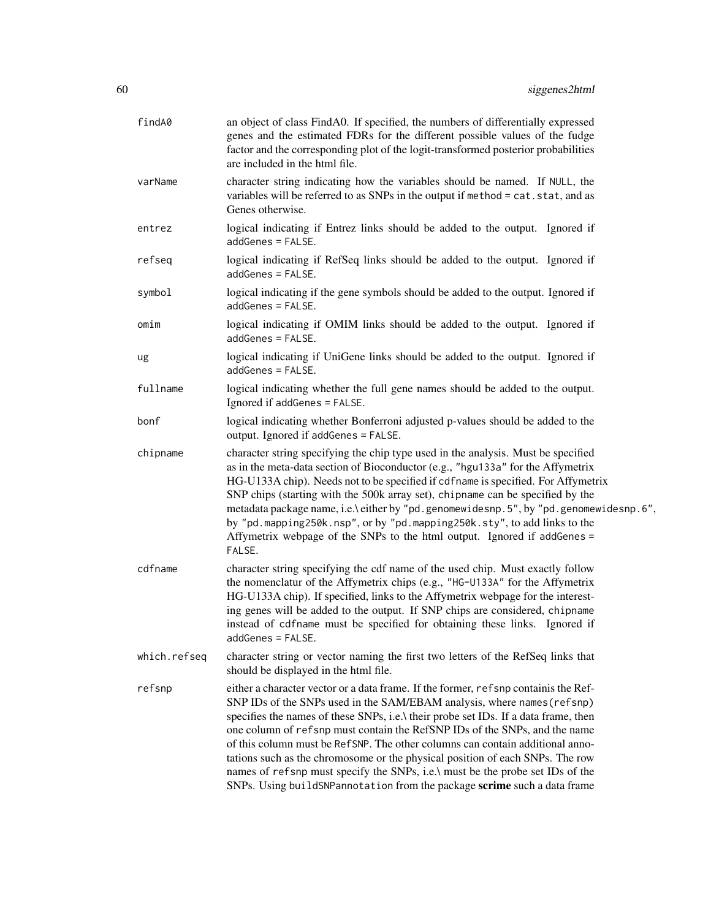| findA0       | an object of class FindA0. If specified, the numbers of differentially expressed<br>genes and the estimated FDRs for the different possible values of the fudge<br>factor and the corresponding plot of the logit-transformed posterior probabilities<br>are included in the html file.                                                                                                                                                                                                                                                                                                                                                                            |
|--------------|--------------------------------------------------------------------------------------------------------------------------------------------------------------------------------------------------------------------------------------------------------------------------------------------------------------------------------------------------------------------------------------------------------------------------------------------------------------------------------------------------------------------------------------------------------------------------------------------------------------------------------------------------------------------|
| varName      | character string indicating how the variables should be named. If NULL, the<br>variables will be referred to as SNPs in the output if method = cat.stat, and as<br>Genes otherwise.                                                                                                                                                                                                                                                                                                                                                                                                                                                                                |
| entrez       | logical indicating if Entrez links should be added to the output. Ignored if<br>addGenes = FALSE.                                                                                                                                                                                                                                                                                                                                                                                                                                                                                                                                                                  |
| refseq       | logical indicating if RefSeq links should be added to the output. Ignored if<br>addGenes = FALSE.                                                                                                                                                                                                                                                                                                                                                                                                                                                                                                                                                                  |
| symbol       | logical indicating if the gene symbols should be added to the output. Ignored if<br>addGenes = FALSE.                                                                                                                                                                                                                                                                                                                                                                                                                                                                                                                                                              |
| omim         | logical indicating if OMIM links should be added to the output. Ignored if<br>addGenes = FALSE.                                                                                                                                                                                                                                                                                                                                                                                                                                                                                                                                                                    |
| ug           | logical indicating if UniGene links should be added to the output. Ignored if<br>addGenes = FALSE.                                                                                                                                                                                                                                                                                                                                                                                                                                                                                                                                                                 |
| fullname     | logical indicating whether the full gene names should be added to the output.<br>Ignored if addGenes = FALSE.                                                                                                                                                                                                                                                                                                                                                                                                                                                                                                                                                      |
| bonf         | logical indicating whether Bonferroni adjusted p-values should be added to the<br>output. Ignored if addGenes = FALSE.                                                                                                                                                                                                                                                                                                                                                                                                                                                                                                                                             |
| chipname     | character string specifying the chip type used in the analysis. Must be specified<br>as in the meta-data section of Bioconductor (e.g., "hgu133a" for the Affymetrix<br>HG-U133A chip). Needs not to be specified if cdfname is specified. For Affymetrix<br>SNP chips (starting with the 500k array set), chipname can be specified by the<br>metadata package name, i.e.\ either by "pd.genomewidesnp.5", by "pd.genomewidesnp.6",<br>by "pd.mapping250k.nsp", or by "pd.mapping250k.sty", to add links to the<br>Affymetrix webpage of the SNPs to the html output. Ignored if addGenes =<br>FALSE.                                                             |
| cdfname      | character string specifying the cdf name of the used chip. Must exactly follow<br>the nomenclatur of the Affymetrix chips (e.g., "HG-U133A" for the Affymetrix<br>HG-U133A chip). If specified, links to the Affymetrix webpage for the interest-<br>ing genes will be added to the output. If SNP chips are considered, chipname<br>instead of cdfname must be specified for obtaining these links. Ignored if<br>addGenes = FALSE.                                                                                                                                                                                                                               |
| which.refseq | character string or vector naming the first two letters of the RefSeq links that<br>should be displayed in the html file.                                                                                                                                                                                                                                                                                                                                                                                                                                                                                                                                          |
| refsnp       | either a character vector or a data frame. If the former, refsnp containis the Ref-<br>SNP IDs of the SNPs used in the SAM/EBAM analysis, where names (refsnp)<br>specifies the names of these SNPs, i.e.\ their probe set IDs. If a data frame, then<br>one column of refsnp must contain the RefSNP IDs of the SNPs, and the name<br>of this column must be RefSNP. The other columns can contain additional anno-<br>tations such as the chromosome or the physical position of each SNPs. The row<br>names of refsnp must specify the SNPs, i.e.\ must be the probe set IDs of the<br>SNPs. Using buildSNPannotation from the package scrime such a data frame |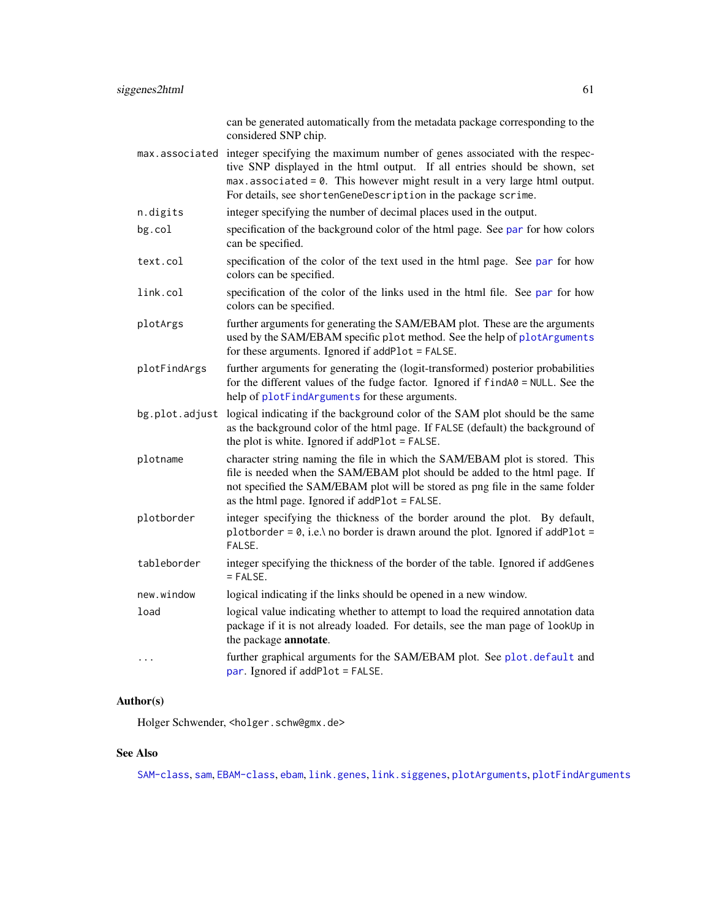|                | can be generated automatically from the metadata package corresponding to the<br>considered SNP chip.                                                                                                                                                                                                                       |
|----------------|-----------------------------------------------------------------------------------------------------------------------------------------------------------------------------------------------------------------------------------------------------------------------------------------------------------------------------|
|                | max associated integer specifying the maximum number of genes associated with the respec-<br>tive SNP displayed in the html output. If all entries should be shown, set<br>$max. associated = 0$ . This however might result in a very large html output.<br>For details, see shortenGeneDescription in the package scrime. |
| n.digits       | integer specifying the number of decimal places used in the output.                                                                                                                                                                                                                                                         |
| bg.col         | specification of the background color of the html page. See par for how colors<br>can be specified.                                                                                                                                                                                                                         |
| text.col       | specification of the color of the text used in the html page. See par for how<br>colors can be specified.                                                                                                                                                                                                                   |
| link.col       | specification of the color of the links used in the html file. See par for how<br>colors can be specified.                                                                                                                                                                                                                  |
| plotArgs       | further arguments for generating the SAM/EBAM plot. These are the arguments<br>used by the SAM/EBAM specific plot method. See the help of plotArguments<br>for these arguments. Ignored if addPlot = FALSE.                                                                                                                 |
| plotFindArgs   | further arguments for generating the (logit-transformed) posterior probabilities<br>for the different values of the fudge factor. Ignored if $findA@ = NULL$ . See the<br>help of plotFindArguments for these arguments.                                                                                                    |
| bg.plot.adjust | logical indicating if the background color of the SAM plot should be the same<br>as the background color of the html page. If FALSE (default) the background of<br>the plot is white. Ignored if addPlot = FALSE.                                                                                                           |
| plotname       | character string naming the file in which the SAM/EBAM plot is stored. This<br>file is needed when the SAM/EBAM plot should be added to the html page. If<br>not specified the SAM/EBAM plot will be stored as png file in the same folder<br>as the html page. Ignored if addPlot = FALSE.                                 |
| plotborder     | integer specifying the thickness of the border around the plot. By default,<br>plotborder = $0$ , i.e.\ no border is drawn around the plot. Ignored if addPlot =<br>FALSE.                                                                                                                                                  |
| tableborder    | integer specifying the thickness of the border of the table. Ignored if addGenes<br>$=$ FALSE.                                                                                                                                                                                                                              |
| new.window     | logical indicating if the links should be opened in a new window.                                                                                                                                                                                                                                                           |
| load           | logical value indicating whether to attempt to load the required annotation data<br>package if it is not already loaded. For details, see the man page of lookUp in<br>the package annotate.                                                                                                                                |
| .              | further graphical arguments for the SAM/EBAM plot. See plot. default and<br>par. Ignored if addPlot = FALSE.                                                                                                                                                                                                                |

# Author(s)

Holger Schwender, <holger.schw@gmx.de>

# See Also

[SAM-class](#page-50-0), [sam](#page-47-0), [EBAM-class](#page-16-0), [ebam](#page-13-0), [link.genes](#page-33-0), [link.siggenes](#page-35-0), [plotArguments](#page-42-0), [plotFindArguments](#page-43-0)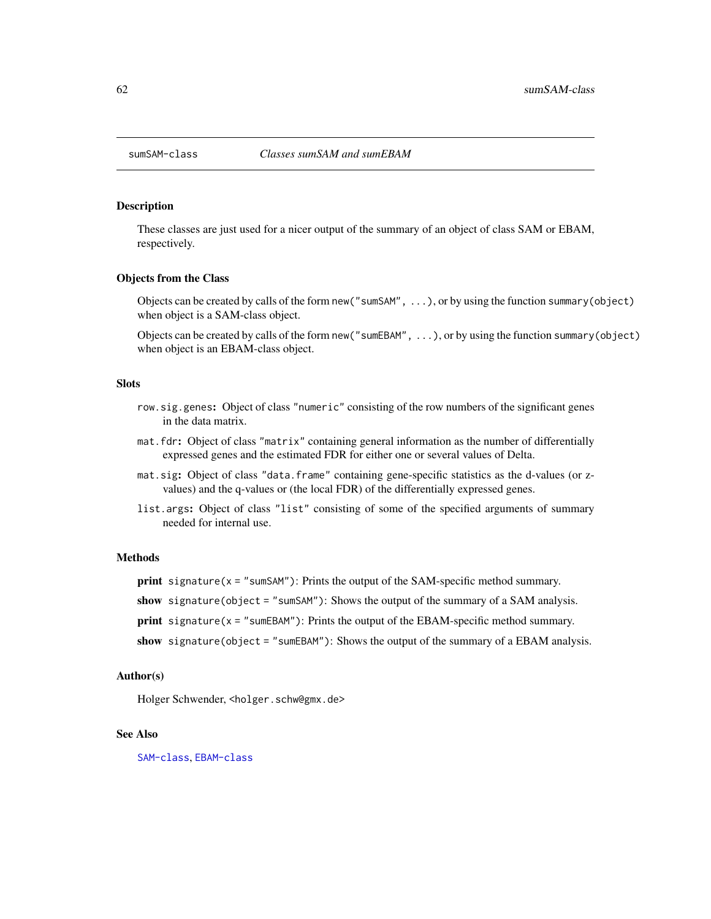#### Description

These classes are just used for a nicer output of the summary of an object of class SAM or EBAM, respectively.

#### Objects from the Class

Objects can be created by calls of the form new("sumSAM", ...), or by using the function summary(object) when object is a SAM-class object.

Objects can be created by calls of the form new("sumEBAM", ...), or by using the function summary(object) when object is an EBAM-class object.

## Slots

- row.sig.genes: Object of class "numeric" consisting of the row numbers of the significant genes in the data matrix.
- mat.fdr: Object of class "matrix" containing general information as the number of differentially expressed genes and the estimated FDR for either one or several values of Delta.
- mat.sig: Object of class "data.frame" containing gene-specific statistics as the d-values (or zvalues) and the q-values or (the local FDR) of the differentially expressed genes.
- list.args: Object of class "list" consisting of some of the specified arguments of summary needed for internal use.

#### Methods

**print** signature( $x =$  "sumSAM"): Prints the output of the SAM-specific method summary.

show signature(object = "sumSAM"): Shows the output of the summary of a SAM analysis.

- print signature( $x =$  "sumEBAM"): Prints the output of the EBAM-specific method summary.
- show signature(object = "sumEBAM"): Shows the output of the summary of a EBAM analysis.

#### Author(s)

Holger Schwender, <holger.schw@gmx.de>

#### See Also

[SAM-class](#page-50-0), [EBAM-class](#page-16-0)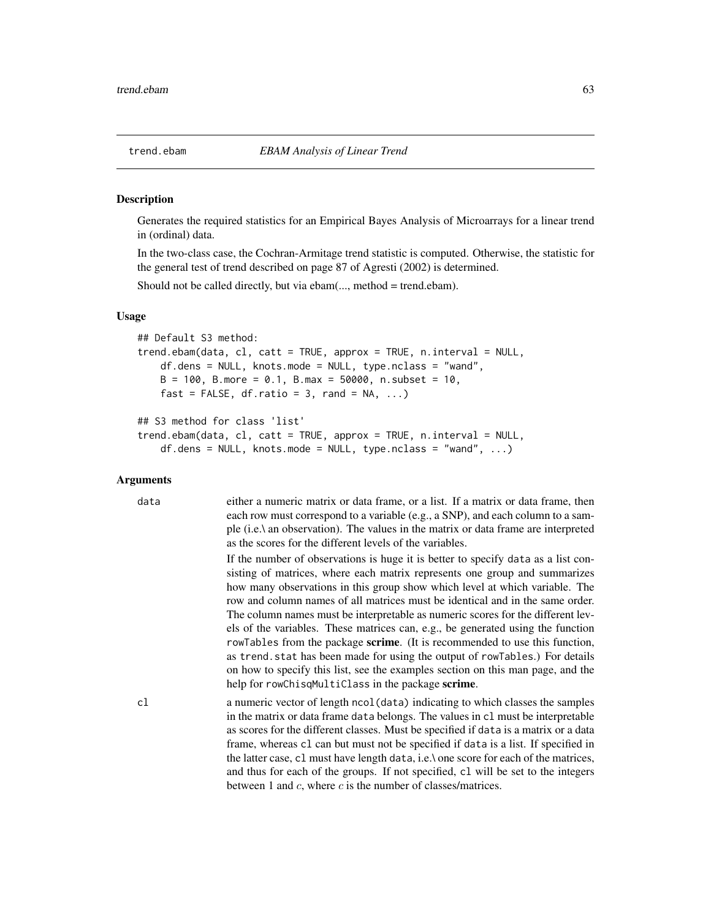#### <span id="page-62-0"></span>**Description**

Generates the required statistics for an Empirical Bayes Analysis of Microarrays for a linear trend in (ordinal) data.

In the two-class case, the Cochran-Armitage trend statistic is computed. Otherwise, the statistic for the general test of trend described on page 87 of Agresti (2002) is determined.

Should not be called directly, but via ebam(..., method = trend.ebam).

#### Usage

```
## Default S3 method:
trend.ebam(data, cl, catt = TRUE, approx = TRUE, n.interval = NULL,
    df.dens = NULL, knots.mode = NULL, type.nclass = "wand",
    B = 100, B.more = 0.1, B.max = 50000, n.subset = 10,
    fast = FALSE, df.ratio = 3, rand = NA, ...)
## S3 method for class 'list'
```

```
trend.ebam(data, cl, catt = TRUE, approx = TRUE, n.interval = NULL,
   df.dens = NULL, knots.mode = NULL, type.nclass = "wand", ...)
```
#### Arguments

data either a numeric matrix or data frame, or a list. If a matrix or data frame, then each row must correspond to a variable (e.g., a SNP), and each column to a sample (i.e.\ an observation). The values in the matrix or data frame are interpreted as the scores for the different levels of the variables.

> If the number of observations is huge it is better to specify data as a list consisting of matrices, where each matrix represents one group and summarizes how many observations in this group show which level at which variable. The row and column names of all matrices must be identical and in the same order. The column names must be interpretable as numeric scores for the different levels of the variables. These matrices can, e.g., be generated using the function rowTables from the package scrime. (It is recommended to use this function, as trend.stat has been made for using the output of rowTables.) For details on how to specify this list, see the examples section on this man page, and the help for rowChisqMultiClass in the package scrime.

cl a numeric vector of length ncol(data) indicating to which classes the samples in the matrix or data frame data belongs. The values in cl must be interpretable as scores for the different classes. Must be specified if data is a matrix or a data frame, whereas cl can but must not be specified if data is a list. If specified in the latter case, cl must have length data, i.e.\ one score for each of the matrices, and thus for each of the groups. If not specified, cl will be set to the integers between 1 and  $c$ , where  $c$  is the number of classes/matrices.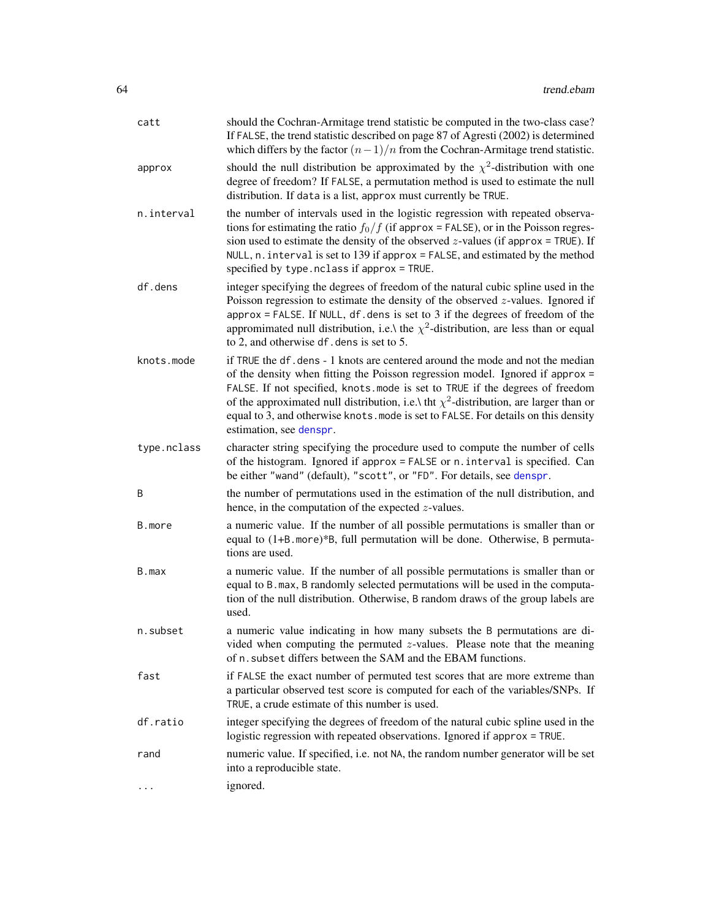| catt        | should the Cochran-Armitage trend statistic be computed in the two-class case?<br>If FALSE, the trend statistic described on page 87 of Agresti (2002) is determined<br>which differs by the factor $(n-1)/n$ from the Cochran-Armitage trend statistic.                                                                                                                                                                                                          |
|-------------|-------------------------------------------------------------------------------------------------------------------------------------------------------------------------------------------------------------------------------------------------------------------------------------------------------------------------------------------------------------------------------------------------------------------------------------------------------------------|
| approx      | should the null distribution be approximated by the $\chi^2$ -distribution with one<br>degree of freedom? If FALSE, a permutation method is used to estimate the null<br>distribution. If data is a list, approx must currently be TRUE.                                                                                                                                                                                                                          |
| n.interval  | the number of intervals used in the logistic regression with repeated observa-<br>tions for estimating the ratio $f_0/f$ (if approx = FALSE), or in the Poisson regres-<br>sion used to estimate the density of the observed $z$ -values (if approx = TRUE). If<br>NULL, $n$ . interval is set to 139 if approx = FALSE, and estimated by the method<br>specified by type.nclass if approx = TRUE.                                                                |
| df.dens     | integer specifying the degrees of freedom of the natural cubic spline used in the<br>Poisson regression to estimate the density of the observed $z$ -values. Ignored if<br>approx = FALSE. If NULL, df. dens is set to $3$ if the degrees of freedom of the<br>appromimated null distribution, i.e.\ the $\chi^2$ -distribution, are less than or equal<br>to 2, and otherwise df. dens is set to 5.                                                              |
| knots.mode  | if TRUE the df. dens - 1 knots are centered around the mode and not the median<br>of the density when fitting the Poisson regression model. Ignored if approx $=$<br>FALSE. If not specified, knots mode is set to TRUE if the degrees of freedom<br>of the approximated null distribution, i.e.\ tht $\chi^2$ -distribution, are larger than or<br>equal to 3, and otherwise knots. mode is set to FALSE. For details on this density<br>estimation, see denspr. |
| type.nclass | character string specifying the procedure used to compute the number of cells<br>of the histogram. Ignored if approx = FALSE or n. interval is specified. Can<br>be either "wand" (default), "scott", or "FD". For details, see denspr.                                                                                                                                                                                                                           |
| B           | the number of permutations used in the estimation of the null distribution, and<br>hence, in the computation of the expected $z$ -values.                                                                                                                                                                                                                                                                                                                         |
| B.more      | a numeric value. If the number of all possible permutations is smaller than or<br>equal to (1+B. more)*B, full permutation will be done. Otherwise, B permuta-<br>tions are used.                                                                                                                                                                                                                                                                                 |
| B.max       | a numeric value. If the number of all possible permutations is smaller than or<br>equal to B. max, B randomly selected permutations will be used in the computa-<br>tion of the null distribution. Otherwise, B random draws of the group labels are<br>used.                                                                                                                                                                                                     |
| n.subset    | a numeric value indicating in how many subsets the B permutations are di-<br>vided when computing the permuted $z$ -values. Please note that the meaning<br>of n. subset differs between the SAM and the EBAM functions.                                                                                                                                                                                                                                          |
| fast        | if FALSE the exact number of permuted test scores that are more extreme than<br>a particular observed test score is computed for each of the variables/SNPs. If<br>TRUE, a crude estimate of this number is used.                                                                                                                                                                                                                                                 |
| df.ratio    | integer specifying the degrees of freedom of the natural cubic spline used in the<br>logistic regression with repeated observations. Ignored if approx = TRUE.                                                                                                                                                                                                                                                                                                    |
| rand        | numeric value. If specified, i.e. not NA, the random number generator will be set<br>into a reproducible state.                                                                                                                                                                                                                                                                                                                                                   |
| .           | ignored.                                                                                                                                                                                                                                                                                                                                                                                                                                                          |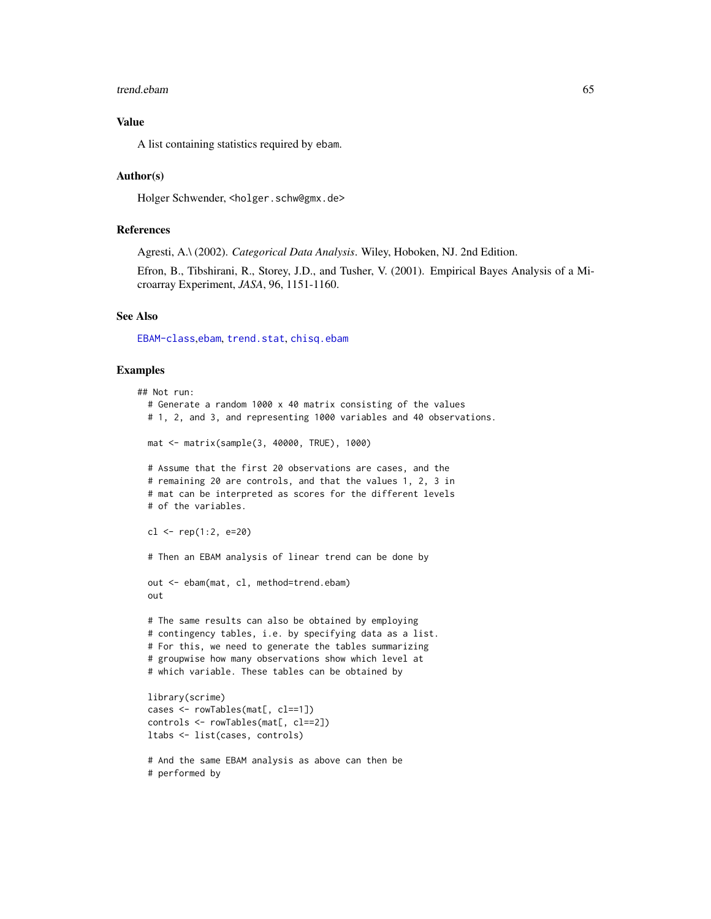#### trend.ebam 65

## Value

A list containing statistics required by ebam.

## Author(s)

Holger Schwender, <holger.schw@gmx.de>

#### References

Agresti, A.\ (2002). *Categorical Data Analysis*. Wiley, Hoboken, NJ. 2nd Edition.

Efron, B., Tibshirani, R., Storey, J.D., and Tusher, V. (2001). Empirical Bayes Analysis of a Microarray Experiment, *JASA*, 96, 1151-1160.

#### See Also

[EBAM-class](#page-16-0),[ebam](#page-13-0), [trend.stat](#page-65-0), [chisq.ebam](#page-1-0)

### Examples

```
## Not run:
 # Generate a random 1000 x 40 matrix consisting of the values
 # 1, 2, and 3, and representing 1000 variables and 40 observations.
 mat <- matrix(sample(3, 40000, TRUE), 1000)
 # Assume that the first 20 observations are cases, and the
 # remaining 20 are controls, and that the values 1, 2, 3 in
 # mat can be interpreted as scores for the different levels
 # of the variables.
 cl <- rep(1:2, e=20)# Then an EBAM analysis of linear trend can be done by
 out <- ebam(mat, cl, method=trend.ebam)
 out
 # The same results can also be obtained by employing
 # contingency tables, i.e. by specifying data as a list.
 # For this, we need to generate the tables summarizing
 # groupwise how many observations show which level at
 # which variable. These tables can be obtained by
 library(scrime)
 cases <- rowTables(mat[, cl==1])
 controls <- rowTables(mat[, cl==2])
 ltabs <- list(cases, controls)
 # And the same EBAM analysis as above can then be
```

```
# performed by
```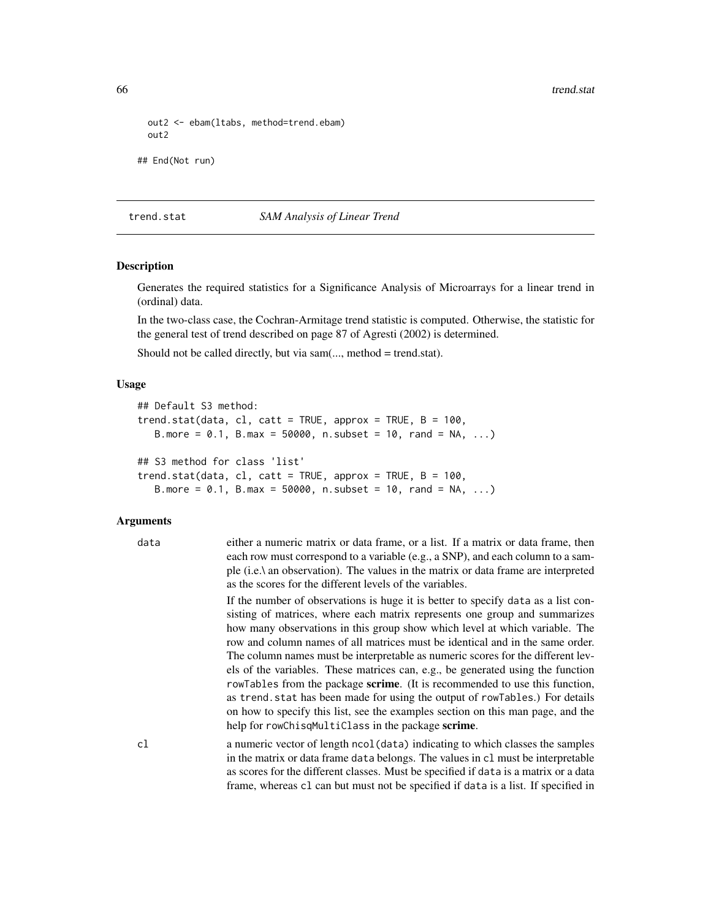```
out2 <- ebam(ltabs, method=trend.ebam)
 out2
## End(Not run)
```
#### <span id="page-65-0"></span>trend.stat *SAM Analysis of Linear Trend*

## Description

Generates the required statistics for a Significance Analysis of Microarrays for a linear trend in (ordinal) data.

In the two-class case, the Cochran-Armitage trend statistic is computed. Otherwise, the statistic for the general test of trend described on page 87 of Agresti (2002) is determined.

Should not be called directly, but via sam(..., method = trend.stat).

## Usage

```
## Default S3 method:
trend.stat(data, cl, catt = TRUE, approx = TRUE, B = 100,
   B.more = 0.1, B.max = 50000, n.subset = 10, rand = NA, ...)
## S3 method for class 'list'
trend.stat(data, cl, catt = TRUE, approx = TRUE, B = 100,
  B.more = 0.1, B.max = 50000, n.subset = 10, rand = NA, ...)
```

| data | either a numeric matrix or data frame, or a list. If a matrix or data frame, then<br>each row must correspond to a variable (e.g., a SNP), and each column to a sam-<br>ple (i.e.) an observation). The values in the matrix or data frame are interpreted<br>as the scores for the different levels of the variables.                                                                                                                                                                                                                                                                                                                                                                                                                                                                                                |
|------|-----------------------------------------------------------------------------------------------------------------------------------------------------------------------------------------------------------------------------------------------------------------------------------------------------------------------------------------------------------------------------------------------------------------------------------------------------------------------------------------------------------------------------------------------------------------------------------------------------------------------------------------------------------------------------------------------------------------------------------------------------------------------------------------------------------------------|
|      | If the number of observations is huge it is better to specify data as a list con-<br>sisting of matrices, where each matrix represents one group and summarizes<br>how many observations in this group show which level at which variable. The<br>row and column names of all matrices must be identical and in the same order.<br>The column names must be interpretable as numeric scores for the different lev-<br>els of the variables. These matrices can, e.g., be generated using the function<br>rowTables from the package <b>scrime</b> . (It is recommended to use this function,<br>as trend. stat has been made for using the output of rowTables.) For details<br>on how to specify this list, see the examples section on this man page, and the<br>help for rowChisqMultiClass in the package scrime. |
| cl   | a numeric vector of length ncol (data) indicating to which classes the samples<br>in the matrix or data frame data belongs. The values in c1 must be interpretable<br>as scores for the different classes. Must be specified if data is a matrix or a data<br>frame, whereas c1 can but must not be specified if data is a list. If specified in                                                                                                                                                                                                                                                                                                                                                                                                                                                                      |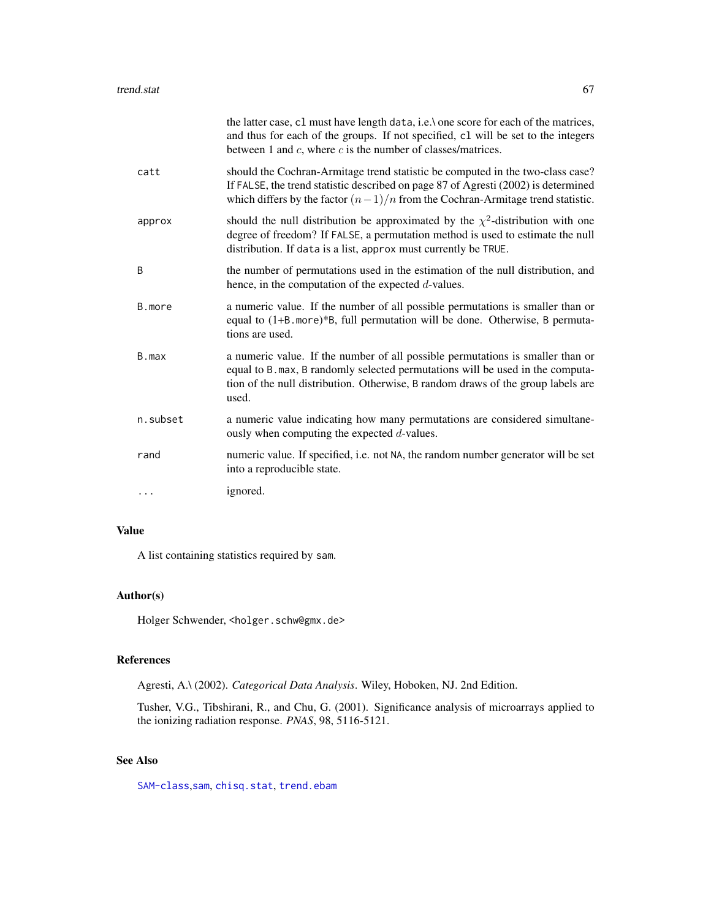|          | the latter case, c1 must have length data, i.e.\ one score for each of the matrices,<br>and thus for each of the groups. If not specified, c1 will be set to the integers<br>between 1 and $c$ , where $c$ is the number of classes/matrices.                 |
|----------|---------------------------------------------------------------------------------------------------------------------------------------------------------------------------------------------------------------------------------------------------------------|
| catt     | should the Cochran-Armitage trend statistic be computed in the two-class case?<br>If FALSE, the trend statistic described on page 87 of Agresti (2002) is determined<br>which differs by the factor $(n-1)/n$ from the Cochran-Armitage trend statistic.      |
| approx   | should the null distribution be approximated by the $\chi^2$ -distribution with one<br>degree of freedom? If FALSE, a permutation method is used to estimate the null<br>distribution. If data is a list, approx must currently be TRUE.                      |
| B        | the number of permutations used in the estimation of the null distribution, and<br>hence, in the computation of the expected $d$ -values.                                                                                                                     |
| B.more   | a numeric value. If the number of all possible permutations is smaller than or<br>equal to (1+B. more)*B, full permutation will be done. Otherwise, B permuta-<br>tions are used.                                                                             |
| B.max    | a numeric value. If the number of all possible permutations is smaller than or<br>equal to B. max, B randomly selected permutations will be used in the computa-<br>tion of the null distribution. Otherwise, B random draws of the group labels are<br>used. |
| n.subset | a numeric value indicating how many permutations are considered simultane-<br>ously when computing the expected $d$ -values.                                                                                                                                  |
| rand     | numeric value. If specified, i.e. not NA, the random number generator will be set<br>into a reproducible state.                                                                                                                                               |
|          | ignored.                                                                                                                                                                                                                                                      |

## Value

A list containing statistics required by sam.

## Author(s)

Holger Schwender, <holger.schw@gmx.de>

## References

Agresti, A.\ (2002). *Categorical Data Analysis*. Wiley, Hoboken, NJ. 2nd Edition.

Tusher, V.G., Tibshirani, R., and Chu, G. (2001). Significance analysis of microarrays applied to the ionizing radiation response. *PNAS*, 98, 5116-5121.

## See Also

[SAM-class](#page-50-0), [sam](#page-47-0), [chisq.stat](#page-5-0), [trend.ebam](#page-62-0)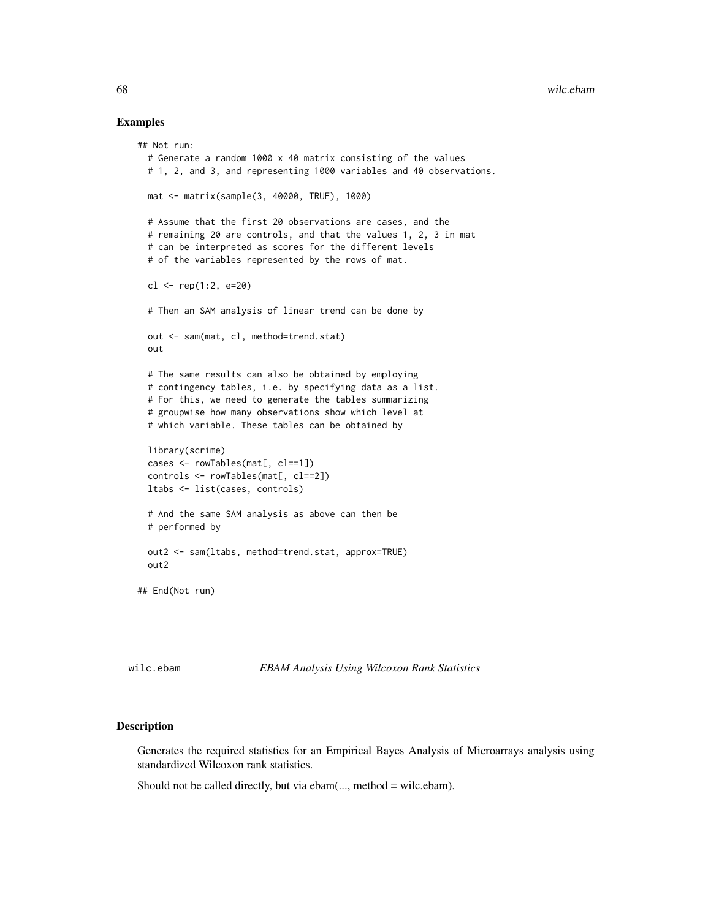#### Examples

```
## Not run:
 # Generate a random 1000 x 40 matrix consisting of the values
 # 1, 2, and 3, and representing 1000 variables and 40 observations.
 mat <- matrix(sample(3, 40000, TRUE), 1000)
 # Assume that the first 20 observations are cases, and the
 # remaining 20 are controls, and that the values 1, 2, 3 in mat
 # can be interpreted as scores for the different levels
 # of the variables represented by the rows of mat.
 cl <- rep(1:2, e=20)
 # Then an SAM analysis of linear trend can be done by
 out <- sam(mat, cl, method=trend.stat)
 out
 # The same results can also be obtained by employing
 # contingency tables, i.e. by specifying data as a list.
 # For this, we need to generate the tables summarizing
 # groupwise how many observations show which level at
 # which variable. These tables can be obtained by
 library(scrime)
 cases <- rowTables(mat[, cl==1])
 controls <- rowTables(mat[, cl==2])
 ltabs <- list(cases, controls)
 # And the same SAM analysis as above can then be
 # performed by
 out2 <- sam(ltabs, method=trend.stat, approx=TRUE)
 out2
## End(Not run)
```
<span id="page-67-0"></span>wilc.ebam *EBAM Analysis Using Wilcoxon Rank Statistics*

## **Description**

Generates the required statistics for an Empirical Bayes Analysis of Microarrays analysis using standardized Wilcoxon rank statistics.

Should not be called directly, but via ebam(..., method = wilc.ebam).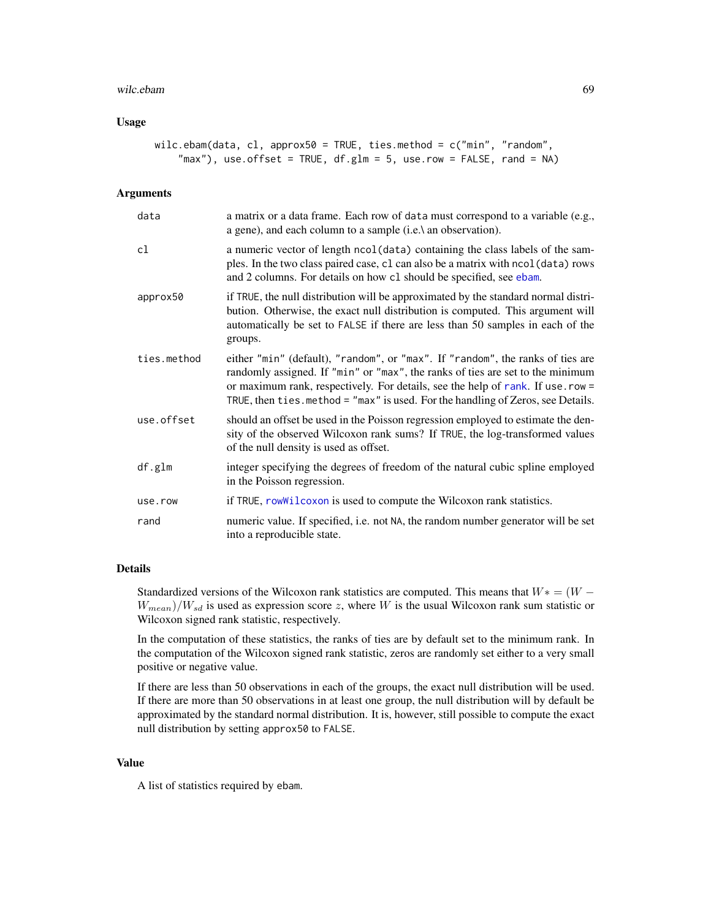#### wilc.ebam 69

## Usage

```
wilc.ebam(data, cl, approx50 = TRUE, ties.method = c("min", "random",
    "max"), use.offset = TRUE, df.glm = 5, use.row = FALSE, rand = NA)
```
#### **Arguments**

| data        | a matrix or a data frame. Each row of data must correspond to a variable (e.g.,<br>a gene), and each column to a sample (i.e.) an observation).                                                                                                                                                                                          |
|-------------|------------------------------------------------------------------------------------------------------------------------------------------------------------------------------------------------------------------------------------------------------------------------------------------------------------------------------------------|
| cl          | a numeric vector of length ncol (data) containing the class labels of the sam-<br>ples. In the two class paired case, c1 can also be a matrix with ncol (data) rows<br>and 2 columns. For details on how c1 should be specified, see ebam.                                                                                               |
| approx50    | if TRUE, the null distribution will be approximated by the standard normal distri-<br>bution. Otherwise, the exact null distribution is computed. This argument will<br>automatically be set to FALSE if there are less than 50 samples in each of the<br>groups.                                                                        |
| ties.method | either "min" (default), "random", or "max". If "random", the ranks of ties are<br>randomly assigned. If "min" or "max", the ranks of ties are set to the minimum<br>or maximum rank, respectively. For details, see the help of rank. If use . row =<br>TRUE, then ties. method = "max" is used. For the handling of Zeros, see Details. |
| use.offset  | should an offset be used in the Poisson regression employed to estimate the den-<br>sity of the observed Wilcoxon rank sums? If TRUE, the log-transformed values<br>of the null density is used as offset.                                                                                                                               |
| df.glm      | integer specifying the degrees of freedom of the natural cubic spline employed<br>in the Poisson regression.                                                                                                                                                                                                                             |
| use.row     | if TRUE, rowWilcoxon is used to compute the Wilcoxon rank statistics.                                                                                                                                                                                                                                                                    |
| rand        | numeric value. If specified, i.e. not NA, the random number generator will be set<br>into a reproducible state.                                                                                                                                                                                                                          |

#### Details

Standardized versions of the Wilcoxon rank statistics are computed. This means that  $W^* = (W W_{mean}$ )/ $W_{sd}$  is used as expression score z, where W is the usual Wilcoxon rank sum statistic or Wilcoxon signed rank statistic, respectively.

In the computation of these statistics, the ranks of ties are by default set to the minimum rank. In the computation of the Wilcoxon signed rank statistic, zeros are randomly set either to a very small positive or negative value.

If there are less than 50 observations in each of the groups, the exact null distribution will be used. If there are more than 50 observations in at least one group, the null distribution will by default be approximated by the standard normal distribution. It is, however, still possible to compute the exact null distribution by setting approx50 to FALSE.

#### Value

A list of statistics required by ebam.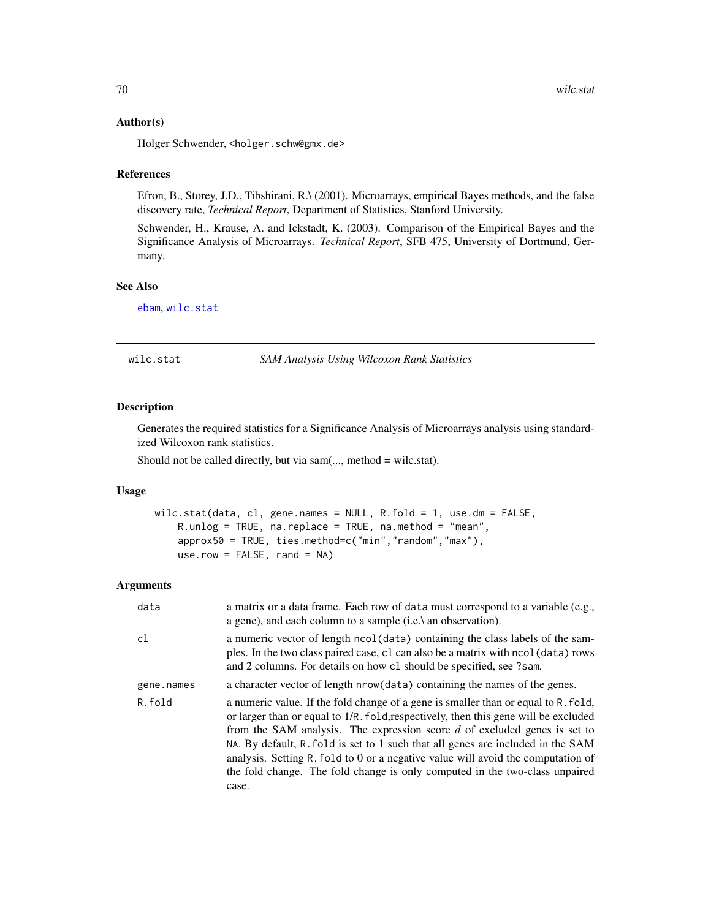#### Author(s)

Holger Schwender, <holger.schw@gmx.de>

#### References

Efron, B., Storey, J.D., Tibshirani, R.\ (2001). Microarrays, empirical Bayes methods, and the false discovery rate, *Technical Report*, Department of Statistics, Stanford University.

Schwender, H., Krause, A. and Ickstadt, K. (2003). Comparison of the Empirical Bayes and the Significance Analysis of Microarrays. *Technical Report*, SFB 475, University of Dortmund, Germany.

## See Also

[ebam](#page-13-0), [wilc.stat](#page-69-0)

#### <span id="page-69-0"></span>wilc.stat *SAM Analysis Using Wilcoxon Rank Statistics*

#### Description

Generates the required statistics for a Significance Analysis of Microarrays analysis using standardized Wilcoxon rank statistics.

Should not be called directly, but via sam(..., method = wilc.stat).

## Usage

```
wilc.stat(data, cl, gene.names = NULL, R.fold = 1, use.dm = FALSE,
   R.unlog = TRUE, na.replace = TRUE, na.method = "mean",
   approx50 = TRUE, ties.method=c("min","random","max"),
   use.row = FALSE, rand = NA)
```

| data       | a matrix or a data frame. Each row of data must correspond to a variable (e.g.,<br>a gene), and each column to a sample (i.e.) an observation).                                                                                                                                                                                                                                                                                                                                                                         |
|------------|-------------------------------------------------------------------------------------------------------------------------------------------------------------------------------------------------------------------------------------------------------------------------------------------------------------------------------------------------------------------------------------------------------------------------------------------------------------------------------------------------------------------------|
| cl         | a numeric vector of length ncol (data) containing the class labels of the sam-<br>ples. In the two class paired case, c1 can also be a matrix with nool (data) rows<br>and 2 columns. For details on how c1 should be specified, see ?sam.                                                                                                                                                                                                                                                                              |
| gene.names | a character vector of length nrow (data) containing the names of the genes.                                                                                                                                                                                                                                                                                                                                                                                                                                             |
| R.fold     | a numeric value. If the fold change of a gene is smaller than or equal to R. fold,<br>or larger than or equal to 1/R. fold, respectively, then this gene will be excluded<br>from the SAM analysis. The expression score $d$ of excluded genes is set to<br>NA. By default, R. fold is set to 1 such that all genes are included in the SAM<br>analysis. Setting R. fold to 0 or a negative value will avoid the computation of<br>the fold change. The fold change is only computed in the two-class unpaired<br>case. |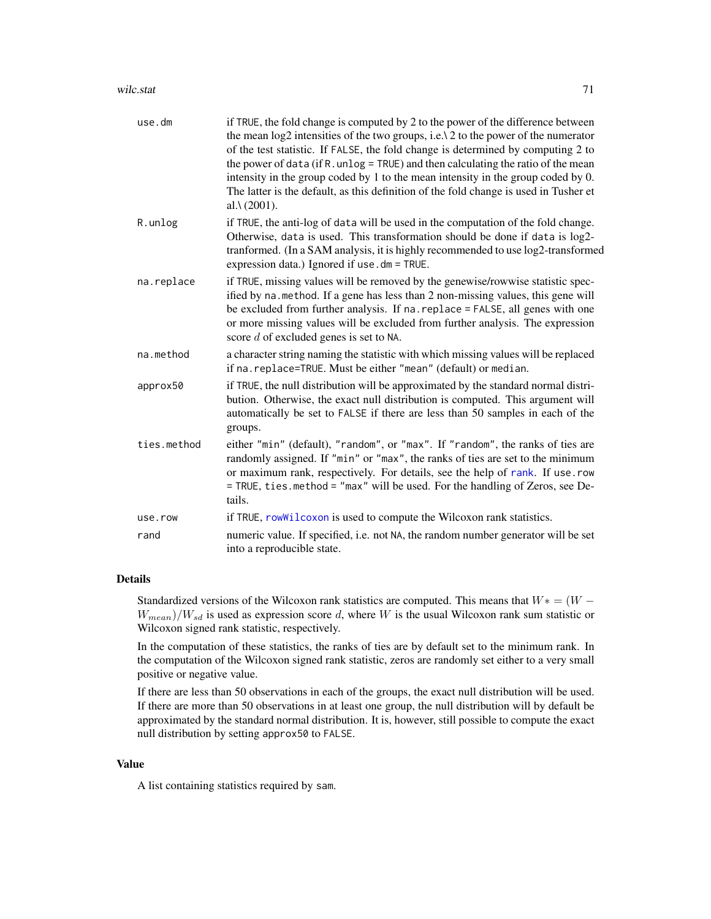| use.dm      | if TRUE, the fold change is computed by 2 to the power of the difference between<br>the mean log2 intensities of the two groups, i.e. \ 2 to the power of the numerator<br>of the test statistic. If FALSE, the fold change is determined by computing 2 to<br>the power of data (if R. unlog = TRUE) and then calculating the ratio of the mean<br>intensity in the group coded by 1 to the mean intensity in the group coded by 0.<br>The latter is the default, as this definition of the fold change is used in Tusher et<br>al. $\lambda$ (2001). |
|-------------|--------------------------------------------------------------------------------------------------------------------------------------------------------------------------------------------------------------------------------------------------------------------------------------------------------------------------------------------------------------------------------------------------------------------------------------------------------------------------------------------------------------------------------------------------------|
| R.unlog     | if TRUE, the anti-log of data will be used in the computation of the fold change.<br>Otherwise, data is used. This transformation should be done if data is log2-<br>tranformed. (In a SAM analysis, it is highly recommended to use log2-transformed<br>expression data.) Ignored if use . dm = TRUE.                                                                                                                                                                                                                                                 |
| na.replace  | if TRUE, missing values will be removed by the genewise/rowwise statistic spec-<br>ified by na. method. If a gene has less than 2 non-missing values, this gene will<br>be excluded from further analysis. If na. replace = FALSE, all genes with one<br>or more missing values will be excluded from further analysis. The expression<br>score $d$ of excluded genes is set to NA.                                                                                                                                                                    |
| na.method   | a character string naming the statistic with which missing values will be replaced<br>if na. replace=TRUE. Must be either "mean" (default) or median.                                                                                                                                                                                                                                                                                                                                                                                                  |
| approx50    | if TRUE, the null distribution will be approximated by the standard normal distri-<br>bution. Otherwise, the exact null distribution is computed. This argument will<br>automatically be set to FALSE if there are less than 50 samples in each of the<br>groups.                                                                                                                                                                                                                                                                                      |
| ties.method | either "min" (default), "random", or "max". If "random", the ranks of ties are<br>randomly assigned. If "min" or "max", the ranks of ties are set to the minimum<br>or maximum rank, respectively. For details, see the help of rank. If use . row<br>= TRUE, ties.method = "max" will be used. For the handling of Zeros, see De-<br>tails.                                                                                                                                                                                                           |
| use.row     | if TRUE, rowWilcoxon is used to compute the Wilcoxon rank statistics.                                                                                                                                                                                                                                                                                                                                                                                                                                                                                  |
| rand        | numeric value. If specified, i.e. not NA, the random number generator will be set<br>into a reproducible state.                                                                                                                                                                                                                                                                                                                                                                                                                                        |

#### Details

Standardized versions of the Wilcoxon rank statistics are computed. This means that  $W^* = (W W_{mean}/W_{sd}$  is used as expression score d, where W is the usual Wilcoxon rank sum statistic or Wilcoxon signed rank statistic, respectively.

In the computation of these statistics, the ranks of ties are by default set to the minimum rank. In the computation of the Wilcoxon signed rank statistic, zeros are randomly set either to a very small positive or negative value.

If there are less than 50 observations in each of the groups, the exact null distribution will be used. If there are more than 50 observations in at least one group, the null distribution will by default be approximated by the standard normal distribution. It is, however, still possible to compute the exact null distribution by setting approx50 to FALSE.

## Value

A list containing statistics required by sam.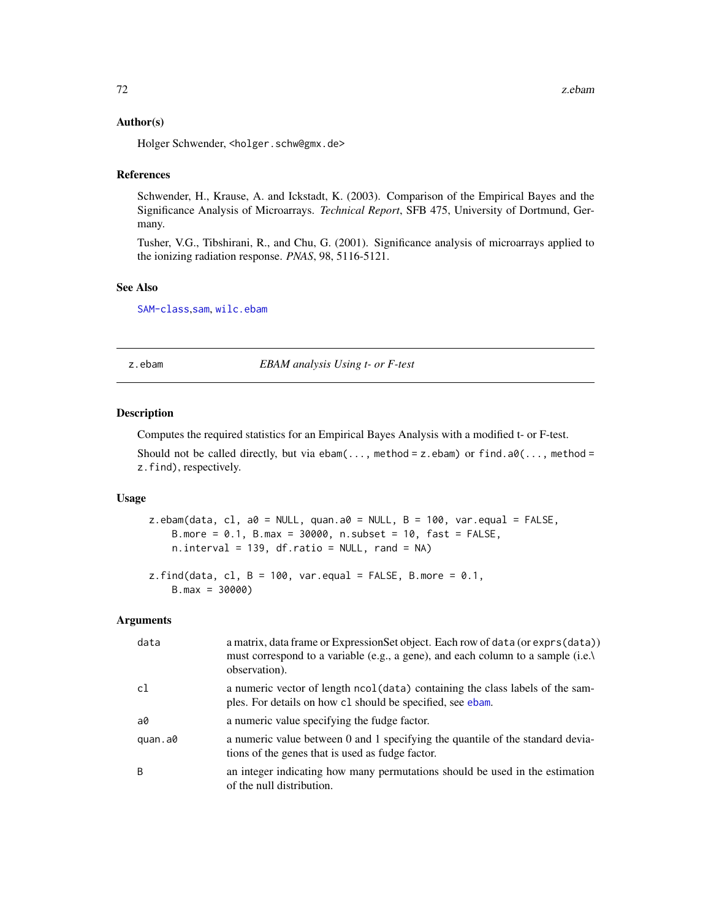#### Author(s)

Holger Schwender, <holger.schw@gmx.de>

#### References

Schwender, H., Krause, A. and Ickstadt, K. (2003). Comparison of the Empirical Bayes and the Significance Analysis of Microarrays. *Technical Report*, SFB 475, University of Dortmund, Germany.

Tusher, V.G., Tibshirani, R., and Chu, G. (2001). Significance analysis of microarrays applied to the ionizing radiation response. *PNAS*, 98, 5116-5121.

#### See Also

[SAM-class](#page-50-0),[sam](#page-47-0), [wilc.ebam](#page-67-0)

z.ebam *EBAM analysis Using t- or F-test*

#### Description

Computes the required statistics for an Empirical Bayes Analysis with a modified t- or F-test.

Should not be called directly, but via ebam $(\ldots,$  method = z.ebam) or find.a0 $(\ldots,$  method = z.find), respectively.

#### Usage

z.ebam(data, cl, a0 = NULL, quan.a0 = NULL, B = 100, var.equal = FALSE, B.more = 0.1, B.max = 30000, n.subset = 10, fast = FALSE, n.interval = 139, df.ratio = NULL, rand = NA)

```
z.find(data, cl, B = 100, var.equal = FALSE, B.more = 0.1,
   B.max = 30000)
```

| data    | a matrix, data frame or ExpressionSet object. Each row of data (or exprs (data))<br>must correspond to a variable (e.g., a gene), and each column to a sample (i.e.)<br>observation). |
|---------|---------------------------------------------------------------------------------------------------------------------------------------------------------------------------------------|
| c1      | a numeric vector of length nool (data) containing the class labels of the sam-<br>ples. For details on how c1 should be specified, see ebam.                                          |
| a0      | a numeric value specifying the fudge factor.                                                                                                                                          |
| quan.a0 | a numeric value between 0 and 1 specifying the quantile of the standard devia-<br>tions of the genes that is used as fudge factor.                                                    |
| B       | an integer indicating how many permutations should be used in the estimation<br>of the null distribution.                                                                             |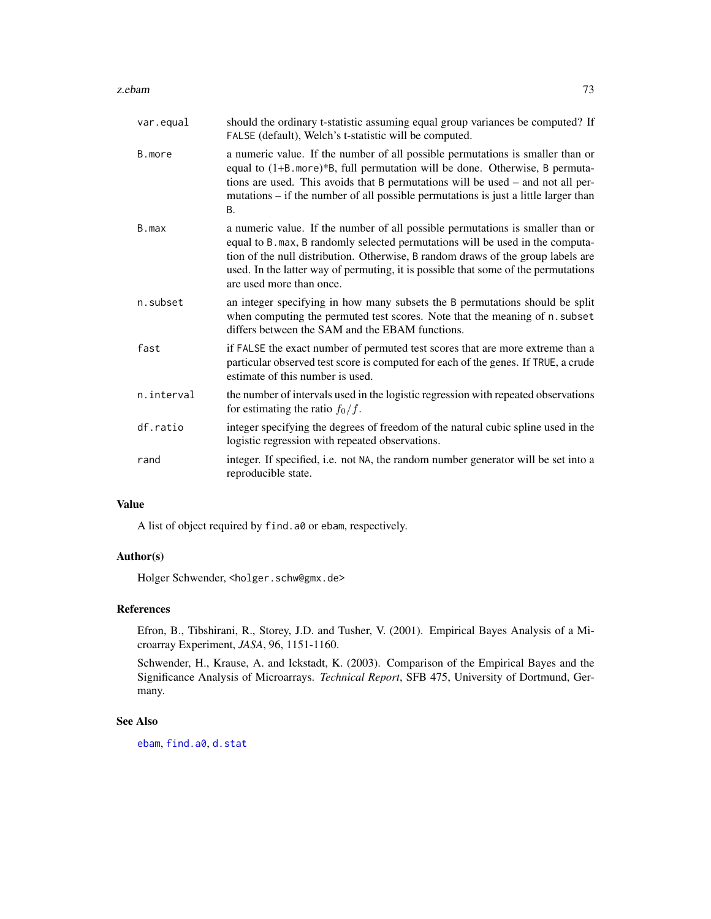#### <span id="page-72-0"></span>z.ebam 73

| var.equal  | should the ordinary t-statistic assuming equal group variances be computed? If<br>FALSE (default), Welch's t-statistic will be computed.                                                                                                                                                                                                                               |
|------------|------------------------------------------------------------------------------------------------------------------------------------------------------------------------------------------------------------------------------------------------------------------------------------------------------------------------------------------------------------------------|
| B.more     | a numeric value. If the number of all possible permutations is smaller than or<br>equal to (1+B. more)*B, full permutation will be done. Otherwise, B permuta-<br>tions are used. This avoids that B permutations will be used – and not all per-<br>mutations – if the number of all possible permutations is just a little larger than<br><b>B.</b>                  |
| B.max      | a numeric value. If the number of all possible permutations is smaller than or<br>equal to B. max, B randomly selected permutations will be used in the computa-<br>tion of the null distribution. Otherwise, B random draws of the group labels are<br>used. In the latter way of permuting, it is possible that some of the permutations<br>are used more than once. |
| n.subset   | an integer specifying in how many subsets the B permutations should be split<br>when computing the permuted test scores. Note that the meaning of n. subset<br>differs between the SAM and the EBAM functions.                                                                                                                                                         |
| fast       | if FALSE the exact number of permuted test scores that are more extreme than a<br>particular observed test score is computed for each of the genes. If TRUE, a crude<br>estimate of this number is used.                                                                                                                                                               |
| n.interval | the number of intervals used in the logistic regression with repeated observations<br>for estimating the ratio $f_0/f$ .                                                                                                                                                                                                                                               |
| df.ratio   | integer specifying the degrees of freedom of the natural cubic spline used in the<br>logistic regression with repeated observations.                                                                                                                                                                                                                                   |
| rand       | integer. If specified, i.e. not NA, the random number generator will be set into a<br>reproducible state.                                                                                                                                                                                                                                                              |

## Value

A list of object required by find.a0 or ebam, respectively.

## Author(s)

Holger Schwender, <holger.schw@gmx.de>

## References

Efron, B., Tibshirani, R., Storey, J.D. and Tusher, V. (2001). Empirical Bayes Analysis of a Microarray Experiment, *JASA*, 96, 1151-1160.

Schwender, H., Krause, A. and Ickstadt, K. (2003). Comparison of the Empirical Bayes and the Significance Analysis of Microarrays. *Technical Report*, SFB 475, University of Dortmund, Germany.

# See Also

[ebam](#page-13-0), [find.a0](#page-20-0), [d.stat](#page-7-0)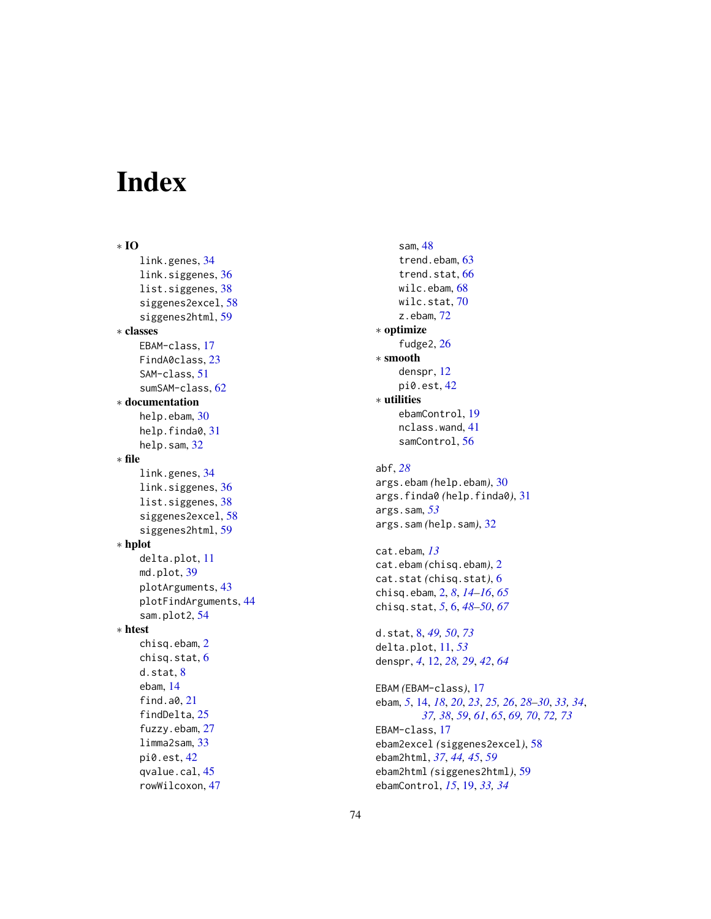# Index

∗ IO link.genes , [34](#page-33-0) link.siggenes, [36](#page-35-0) list.siggenes, [38](#page-37-0) siggenes2excel , [58](#page-57-0) siggenes2html , [59](#page-58-0) ∗ classes EBAM-class , [17](#page-16-0) FindA0class, [23](#page-22-0) SAM-class , [51](#page-50-0) sumSAM-class, [62](#page-61-0) ∗ documentation help.ebam, [30](#page-29-0) help.finda0, [31](#page-30-0) help.sam, [32](#page-31-0) ∗ file link.genes , [34](#page-33-0) link.siggenes, [36](#page-35-0) list.siggenes, [38](#page-37-0) siggenes2excel , [58](#page-57-0) siggenes2html, [59](#page-58-0) ∗ hplot delta.plot , [11](#page-10-0) md.plot, [39](#page-38-0) plotArguments , [43](#page-42-0) plotFindArguments , [44](#page-43-0) sam.plot2 , [54](#page-53-0) ∗ htest chisq.ebam , [2](#page-1-0) chisq.stat , [6](#page-5-0) d.stat , [8](#page-7-1) ebam , [14](#page-13-1) find.a0, [21](#page-20-1) findDelta , [25](#page-24-0) fuzzy.ebam , [27](#page-26-0) limma2sam , [33](#page-32-0) pi0.est , [42](#page-41-0) qvalue.cal, [45](#page-44-0) rowWilcoxon , [47](#page-46-0)

sam , [48](#page-47-0) trend.ebam, [63](#page-62-0) trend.stat, [66](#page-65-0) wilc.ebam , [68](#page-67-0) wilc.stat,[70](#page-69-0) z.ebam , [72](#page-71-0) ∗ optimize fudge2, [26](#page-25-0) ∗ smooth denspr , [12](#page-11-0) pi0.est , [42](#page-41-0) ∗ utilities ebamControl , [19](#page-18-0) nclass.wand , [41](#page-40-0) samControl , [56](#page-55-0) abf , *[28](#page-27-0)* args.ebam *(*help.ebam *)* , [30](#page-29-0) args.finda0 *(*help.finda0 *)* , [31](#page-30-0) args.sam , *[53](#page-52-0)* args.sam *(*help.sam *)* , [32](#page-31-0) cat.ebam , *[13](#page-12-0)* cat.ebam *(*chisq.ebam *)* , [2](#page-1-0) cat.stat *(*chisq.stat *)* , [6](#page-5-0) chisq.ebam , [2](#page-1-0) , *[8](#page-7-1)* , *[14](#page-13-1) [–16](#page-15-0)* , *[65](#page-64-0)* chisq.stat , *[5](#page-4-0)* , [6](#page-5-0) , *[48](#page-47-0) [–50](#page-49-0)* , *[67](#page-66-0)* d.stat , [8](#page-7-1) , *[49](#page-48-0) , [50](#page-49-0)* , *[73](#page-72-0)* delta.plot , [11](#page-10-0) , *[53](#page-52-0)* denspr , *[4](#page-3-0)* , [12](#page-11-0) , *[28](#page-27-0) , [29](#page-28-0)* , *[42](#page-41-0)* , *[64](#page-63-0)* EBAM *(*EBAM-class *)* , [17](#page-16-0) ebam, [5](#page-4-0), [14](#page-13-1), [18](#page-17-0), [20](#page-19-0), [23](#page-22-0), [25](#page-24-0), [26](#page-25-0), [28](#page-27-0)[–30](#page-29-0), [33](#page-32-0), [34](#page-33-0), *[37,](#page-36-0) [38](#page-37-0)* , *[59](#page-58-0)* , *[61](#page-60-0)* , *[65](#page-64-0)* , *[69](#page-68-0) , [70](#page-69-0)* , *[72](#page-71-0) , [73](#page-72-0)* EBAM-class , [17](#page-16-0) ebam2excel *(*siggenes2excel *)* , [58](#page-57-0) ebam2html , *[37](#page-36-0)* , *[44](#page-43-0) , [45](#page-44-0)* , *[59](#page-58-0)* ebam2html *(*siggenes2html *)* , [59](#page-58-0) ebamControl , *[15](#page-14-0)* , [19](#page-18-0) , *[33](#page-32-0) , [34](#page-33-0)*